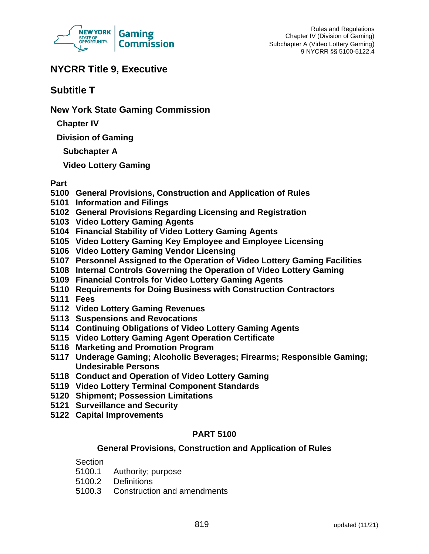

# **NYCRR Title 9, Executive**

**Subtitle T**

**New York State Gaming Commission**

**Chapter IV**

**Division of Gaming**

**Subchapter A**

**Video Lottery Gaming**

## **Part**

- **5100 General Provisions, Construction and Application of Rules**
- **5101 Information and Filings**
- **5102 General Provisions Regarding Licensing and Registration**
- **5103 Video Lottery Gaming Agents**
- **5104 Financial Stability of Video Lottery Gaming Agents**
- **5105 Video Lottery Gaming Key Employee and Employee Licensing**
- **5106 Video Lottery Gaming Vendor Licensing**
- **5107 Personnel Assigned to the Operation of Video Lottery Gaming Facilities**
- **5108 Internal Controls Governing the Operation of Video Lottery Gaming**
- **5109 Financial Controls for Video Lottery Gaming Agents**
- **5110 Requirements for Doing Business with Construction Contractors**
- **5111 Fees**
- **5112 Video Lottery Gaming Revenues**
- **5113 Suspensions and Revocations**
- **5114 Continuing Obligations of Video Lottery Gaming Agents**
- **5115 Video Lottery Gaming Agent Operation Certificate**
- **5116 Marketing and Promotion Program**
- **5117 Underage Gaming; Alcoholic Beverages; Firearms; Responsible Gaming; Undesirable Persons**
- **5118 Conduct and Operation of Video Lottery Gaming**
- **5119 Video Lottery Terminal Component Standards**
- **5120 Shipment; Possession Limitations**
- **5121 Surveillance and Security**
- **5122 Capital Improvements**

## **PART 5100**

## **General Provisions, Construction and Application of Rules**

**Section** 

- 5100.1 Authority; purpose
- 5100.2 Definitions
- 5100.3 Construction and amendments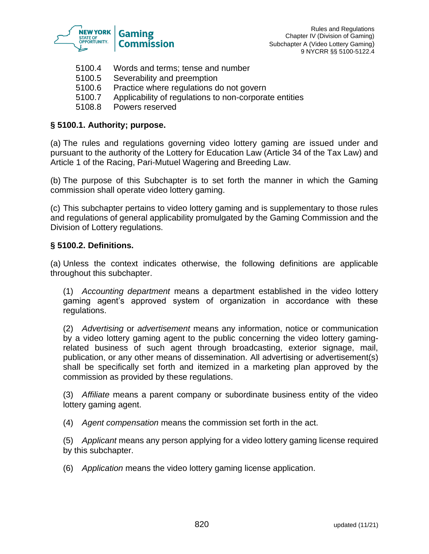

- 5100.4 Words and terms; tense and number
- 5100.5 Severability and preemption
- 5100.6 Practice where regulations do not govern
- 5100.7 Applicability of regulations to non-corporate entities
- 5108.8 Powers reserved

### **§ 5100.1. Authority; purpose.**

(a) The rules and regulations governing video lottery gaming are issued under and pursuant to the authority of the Lottery for Education Law (Article 34 of the Tax Law) and Article 1 of the Racing, Pari-Mutuel Wagering and Breeding Law.

(b) The purpose of this Subchapter is to set forth the manner in which the Gaming commission shall operate video lottery gaming.

(c) This subchapter pertains to video lottery gaming and is supplementary to those rules and regulations of general applicability promulgated by the Gaming Commission and the Division of Lottery regulations.

### **§ 5100.2. Definitions.**

(a) Unless the context indicates otherwise, the following definitions are applicable throughout this subchapter.

(1) *Accounting department* means a department established in the video lottery gaming agent's approved system of organization in accordance with these regulations.

(2) *Advertising* or *advertisement* means any information, notice or communication by a video lottery gaming agent to the public concerning the video lottery gamingrelated business of such agent through broadcasting, exterior signage, mail, publication, or any other means of dissemination. All advertising or advertisement(s) shall be specifically set forth and itemized in a marketing plan approved by the commission as provided by these regulations.

(3) *Affiliate* means a parent company or subordinate business entity of the video lottery gaming agent.

(4) *Agent compensation* means the commission set forth in the act.

(5) *Applicant* means any person applying for a video lottery gaming license required by this subchapter.

(6) *Application* means the video lottery gaming license application.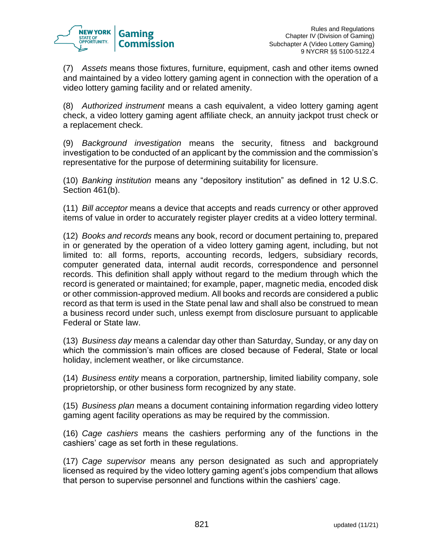

(7) *Assets* means those fixtures, furniture, equipment, cash and other items owned and maintained by a video lottery gaming agent in connection with the operation of a video lottery gaming facility and or related amenity.

(8) *Authorized instrument* means a cash equivalent, a video lottery gaming agent check, a video lottery gaming agent affiliate check, an annuity jackpot trust check or a replacement check.

(9) *Background investigation* means the security, fitness and background investigation to be conducted of an applicant by the commission and the commission's representative for the purpose of determining suitability for licensure.

(10) *Banking institution* means any "depository institution" as defined in 12 U.S.C. Section 461(b).

(11) *Bill acceptor* means a device that accepts and reads currency or other approved items of value in order to accurately register player credits at a video lottery terminal.

(12) *Books and records* means any book, record or document pertaining to, prepared in or generated by the operation of a video lottery gaming agent, including, but not limited to: all forms, reports, accounting records, ledgers, subsidiary records, computer generated data, internal audit records, correspondence and personnel records. This definition shall apply without regard to the medium through which the record is generated or maintained; for example, paper, magnetic media, encoded disk or other commission-approved medium. All books and records are considered a public record as that term is used in the State penal law and shall also be construed to mean a business record under such, unless exempt from disclosure pursuant to applicable Federal or State law.

(13) *Business day* means a calendar day other than Saturday, Sunday, or any day on which the commission's main offices are closed because of Federal, State or local holiday, inclement weather, or like circumstance.

(14) *Business entity* means a corporation, partnership, limited liability company, sole proprietorship, or other business form recognized by any state.

(15) *Business plan* means a document containing information regarding video lottery gaming agent facility operations as may be required by the commission.

(16) *Cage cashiers* means the cashiers performing any of the functions in the cashiers' cage as set forth in these regulations.

(17) *Cage supervisor* means any person designated as such and appropriately licensed as required by the video lottery gaming agent's jobs compendium that allows that person to supervise personnel and functions within the cashiers' cage.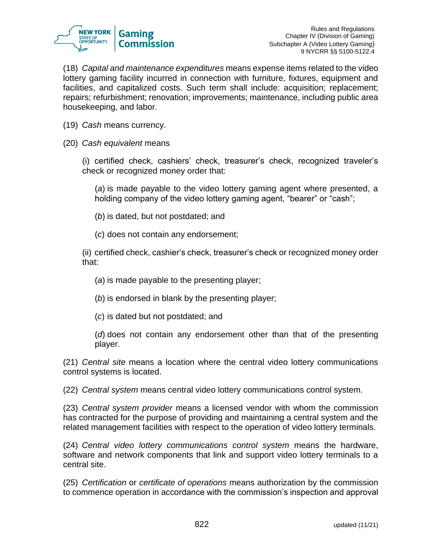

(18) *Capital and maintenance expenditures* means expense items related to the video lottery gaming facility incurred in connection with furniture, fixtures, equipment and facilities, and capitalized costs. Such term shall include: acquisition; replacement; repairs; refurbishment; renovation; improvements; maintenance, including public area housekeeping, and labor.

- (19) *Cash* means currency.
- (20) *Cash equivalent* means

(i) certified check, cashiers' check, treasurer's check, recognized traveler's check or recognized money order that:

(*a*) is made payable to the video lottery gaming agent where presented, a holding company of the video lottery gaming agent, "bearer" or "cash";

- (*b*) is dated, but not postdated; and
- (*c*) does not contain any endorsement;

(ii) certified check, cashier's check, treasurer's check or recognized money order that:

- (*a*) is made payable to the presenting player;
- (*b*) is endorsed in blank by the presenting player;
- (*c*) is dated but not postdated; and
- (*d*) does not contain any endorsement other than that of the presenting player.

(21) *Central site* means a location where the central video lottery communications control systems is located.

(22) *Central system* means central video lottery communications control system.

(23) *Central system provider* means a licensed vendor with whom the commission has contracted for the purpose of providing and maintaining a central system and the related management facilities with respect to the operation of video lottery terminals.

(24) *Central video lottery communications control system* means the hardware, software and network components that link and support video lottery terminals to a central site.

(25) *Certification* or *certificate of operations* means authorization by the commission to commence operation in accordance with the commission's inspection and approval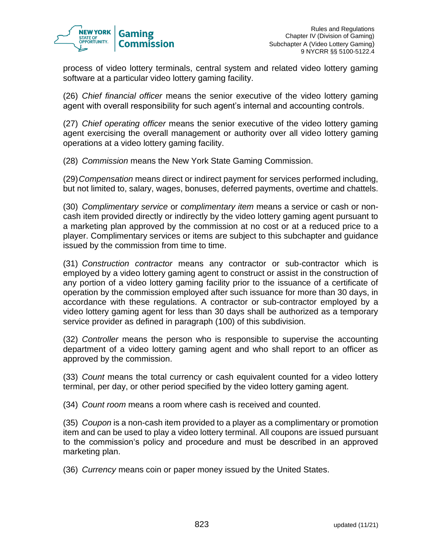

process of video lottery terminals, central system and related video lottery gaming software at a particular video lottery gaming facility.

(26) *Chief financial officer* means the senior executive of the video lottery gaming agent with overall responsibility for such agent's internal and accounting controls.

(27) *Chief operating officer* means the senior executive of the video lottery gaming agent exercising the overall management or authority over all video lottery gaming operations at a video lottery gaming facility.

(28) *Commission* means the New York State Gaming Commission.

(29)*Compensation* means direct or indirect payment for services performed including, but not limited to, salary, wages, bonuses, deferred payments, overtime and chattels.

(30) *Complimentary service* or *complimentary item* means a service or cash or noncash item provided directly or indirectly by the video lottery gaming agent pursuant to a marketing plan approved by the commission at no cost or at a reduced price to a player. Complimentary services or items are subject to this subchapter and guidance issued by the commission from time to time.

(31) *Construction contractor* means any contractor or sub-contractor which is employed by a video lottery gaming agent to construct or assist in the construction of any portion of a video lottery gaming facility prior to the issuance of a certificate of operation by the commission employed after such issuance for more than 30 days, in accordance with these regulations. A contractor or sub-contractor employed by a video lottery gaming agent for less than 30 days shall be authorized as a temporary service provider as defined in paragraph (100) of this subdivision.

(32) *Controller* means the person who is responsible to supervise the accounting department of a video lottery gaming agent and who shall report to an officer as approved by the commission.

(33) *Count* means the total currency or cash equivalent counted for a video lottery terminal, per day, or other period specified by the video lottery gaming agent.

(34) *Count room* means a room where cash is received and counted.

(35) *Coupon* is a non-cash item provided to a player as a complimentary or promotion item and can be used to play a video lottery terminal. All coupons are issued pursuant to the commission's policy and procedure and must be described in an approved marketing plan.

(36) *Currency* means coin or paper money issued by the United States.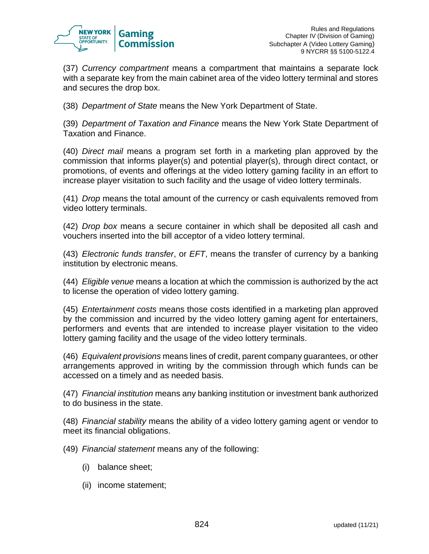

(37) *Currency compartment* means a compartment that maintains a separate lock with a separate key from the main cabinet area of the video lottery terminal and stores and secures the drop box.

(38) *Department of State* means the New York Department of State.

(39) *Department of Taxation and Finance* means the New York State Department of Taxation and Finance.

(40) *Direct mail* means a program set forth in a marketing plan approved by the commission that informs player(s) and potential player(s), through direct contact, or promotions, of events and offerings at the video lottery gaming facility in an effort to increase player visitation to such facility and the usage of video lottery terminals.

(41) *Drop* means the total amount of the currency or cash equivalents removed from video lottery terminals.

(42) *Drop box* means a secure container in which shall be deposited all cash and vouchers inserted into the bill acceptor of a video lottery terminal.

(43) *Electronic funds transfer*, or *EFT*, means the transfer of currency by a banking institution by electronic means.

(44) *Eligible venue* means a location at which the commission is authorized by the act to license the operation of video lottery gaming.

(45) *Entertainment costs* means those costs identified in a marketing plan approved by the commission and incurred by the video lottery gaming agent for entertainers, performers and events that are intended to increase player visitation to the video lottery gaming facility and the usage of the video lottery terminals.

(46) *Equivalent provisions* means lines of credit, parent company guarantees, or other arrangements approved in writing by the commission through which funds can be accessed on a timely and as needed basis.

(47) *Financial institution* means any banking institution or investment bank authorized to do business in the state.

(48) *Financial stability* means the ability of a video lottery gaming agent or vendor to meet its financial obligations.

(49) *Financial statement* means any of the following:

- (i) balance sheet;
- (ii) income statement;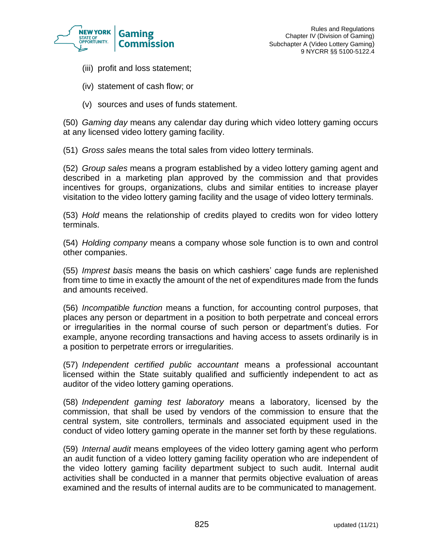

- (iii) profit and loss statement;
- (iv) statement of cash flow; or
- (v) sources and uses of funds statement.

(50) *Gaming day* means any calendar day during which video lottery gaming occurs at any licensed video lottery gaming facility.

(51) *Gross sales* means the total sales from video lottery terminals.

(52) *Group sales* means a program established by a video lottery gaming agent and described in a marketing plan approved by the commission and that provides incentives for groups, organizations, clubs and similar entities to increase player visitation to the video lottery gaming facility and the usage of video lottery terminals.

(53) *Hold* means the relationship of credits played to credits won for video lottery terminals.

(54) *Holding company* means a company whose sole function is to own and control other companies.

(55) *Imprest basis* means the basis on which cashiers' cage funds are replenished from time to time in exactly the amount of the net of expenditures made from the funds and amounts received.

(56) *Incompatible function* means a function, for accounting control purposes, that places any person or department in a position to both perpetrate and conceal errors or irregularities in the normal course of such person or department's duties. For example, anyone recording transactions and having access to assets ordinarily is in a position to perpetrate errors or irregularities.

(57) *Independent certified public accountant* means a professional accountant licensed within the State suitably qualified and sufficiently independent to act as auditor of the video lottery gaming operations.

(58) *Independent gaming test laboratory* means a laboratory, licensed by the commission, that shall be used by vendors of the commission to ensure that the central system, site controllers, terminals and associated equipment used in the conduct of video lottery gaming operate in the manner set forth by these regulations.

(59) *Internal audit* means employees of the video lottery gaming agent who perform an audit function of a video lottery gaming facility operation who are independent of the video lottery gaming facility department subject to such audit. Internal audit activities shall be conducted in a manner that permits objective evaluation of areas examined and the results of internal audits are to be communicated to management.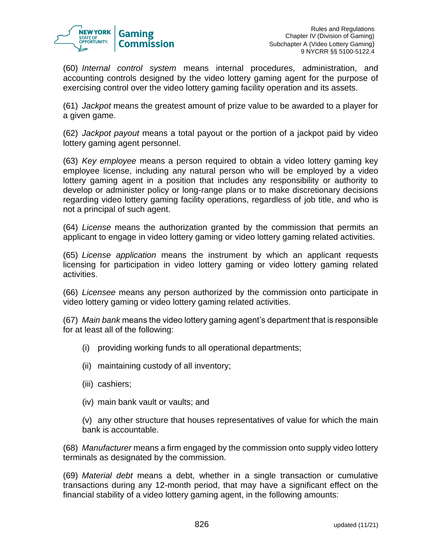

(60) *Internal control system* means internal procedures, administration, and accounting controls designed by the video lottery gaming agent for the purpose of exercising control over the video lottery gaming facility operation and its assets.

(61) *Jackpot* means the greatest amount of prize value to be awarded to a player for a given game.

(62) *Jackpot payout* means a total payout or the portion of a jackpot paid by video lottery gaming agent personnel.

(63) *Key employee* means a person required to obtain a video lottery gaming key employee license, including any natural person who will be employed by a video lottery gaming agent in a position that includes any responsibility or authority to develop or administer policy or long-range plans or to make discretionary decisions regarding video lottery gaming facility operations, regardless of job title, and who is not a principal of such agent.

(64) *License* means the authorization granted by the commission that permits an applicant to engage in video lottery gaming or video lottery gaming related activities.

(65) *License application* means the instrument by which an applicant requests licensing for participation in video lottery gaming or video lottery gaming related activities.

(66) *Licensee* means any person authorized by the commission onto participate in video lottery gaming or video lottery gaming related activities.

(67) *Main bank* means the video lottery gaming agent's department that is responsible for at least all of the following:

- (i) providing working funds to all operational departments;
- (ii) maintaining custody of all inventory;
- (iii) cashiers;
- (iv) main bank vault or vaults; and

(v) any other structure that houses representatives of value for which the main bank is accountable.

(68) *Manufacturer* means a firm engaged by the commission onto supply video lottery terminals as designated by the commission.

(69) *Material debt* means a debt, whether in a single transaction or cumulative transactions during any 12-month period, that may have a significant effect on the financial stability of a video lottery gaming agent, in the following amounts: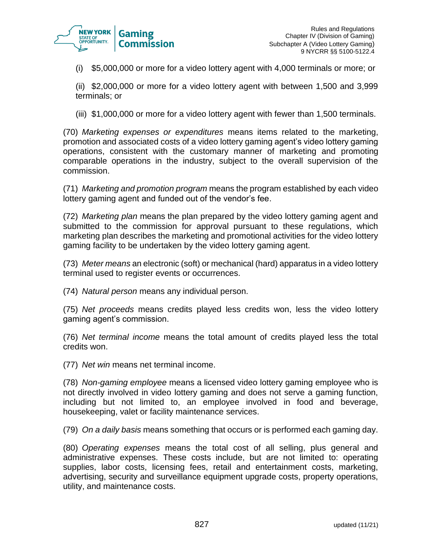

(i) \$5,000,000 or more for a video lottery agent with 4,000 terminals or more; or

(ii) \$2,000,000 or more for a video lottery agent with between 1,500 and 3,999 terminals; or

(iii) \$1,000,000 or more for a video lottery agent with fewer than 1,500 terminals.

(70) *Marketing expenses or expenditures* means items related to the marketing, promotion and associated costs of a video lottery gaming agent's video lottery gaming operations, consistent with the customary manner of marketing and promoting comparable operations in the industry, subject to the overall supervision of the commission.

(71) *Marketing and promotion program* means the program established by each video lottery gaming agent and funded out of the vendor's fee.

(72) *Marketing plan* means the plan prepared by the video lottery gaming agent and submitted to the commission for approval pursuant to these regulations, which marketing plan describes the marketing and promotional activities for the video lottery gaming facility to be undertaken by the video lottery gaming agent.

(73) *Meter means* an electronic (soft) or mechanical (hard) apparatus in a video lottery terminal used to register events or occurrences.

(74) *Natural person* means any individual person.

(75) *Net proceeds* means credits played less credits won, less the video lottery gaming agent's commission.

(76) *Net terminal income* means the total amount of credits played less the total credits won.

(77) *Net win* means net terminal income.

(78) *Non-gaming employee* means a licensed video lottery gaming employee who is not directly involved in video lottery gaming and does not serve a gaming function, including but not limited to, an employee involved in food and beverage, housekeeping, valet or facility maintenance services.

(79) *On a daily basis* means something that occurs or is performed each gaming day.

(80) *Operating expenses* means the total cost of all selling, plus general and administrative expenses. These costs include, but are not limited to: operating supplies, labor costs, licensing fees, retail and entertainment costs, marketing, advertising, security and surveillance equipment upgrade costs, property operations, utility, and maintenance costs.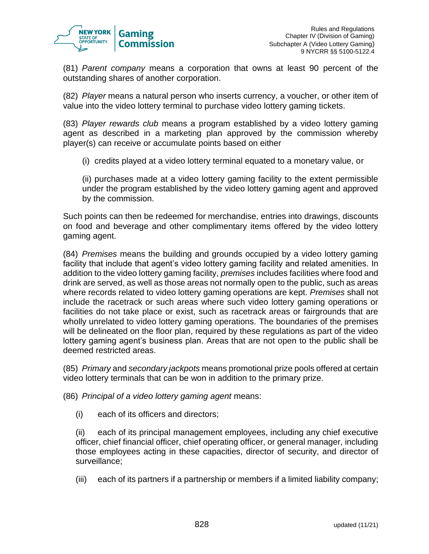

(81) *Parent company* means a corporation that owns at least 90 percent of the outstanding shares of another corporation.

(82) *Player* means a natural person who inserts currency, a voucher, or other item of value into the video lottery terminal to purchase video lottery gaming tickets.

(83) *Player rewards club* means a program established by a video lottery gaming agent as described in a marketing plan approved by the commission whereby player(s) can receive or accumulate points based on either

(i) credits played at a video lottery terminal equated to a monetary value, or

(ii) purchases made at a video lottery gaming facility to the extent permissible under the program established by the video lottery gaming agent and approved by the commission.

Such points can then be redeemed for merchandise, entries into drawings, discounts on food and beverage and other complimentary items offered by the video lottery gaming agent.

(84) *Premises* means the building and grounds occupied by a video lottery gaming facility that include that agent's video lottery gaming facility and related amenities. In addition to the video lottery gaming facility, *premises* includes facilities where food and drink are served, as well as those areas not normally open to the public, such as areas where records related to video lottery gaming operations are kept. *Premises* shall not include the racetrack or such areas where such video lottery gaming operations or facilities do not take place or exist, such as racetrack areas or fairgrounds that are wholly unrelated to video lottery gaming operations. The boundaries of the premises will be delineated on the floor plan, required by these regulations as part of the video lottery gaming agent's business plan. Areas that are not open to the public shall be deemed restricted areas.

(85) *Primary* and *secondary jackpots* means promotional prize pools offered at certain video lottery terminals that can be won in addition to the primary prize.

(86) *Principal of a video lottery gaming agent* means:

(i) each of its officers and directors;

(ii) each of its principal management employees, including any chief executive officer, chief financial officer, chief operating officer, or general manager, including those employees acting in these capacities, director of security, and director of surveillance;

(iii) each of its partners if a partnership or members if a limited liability company;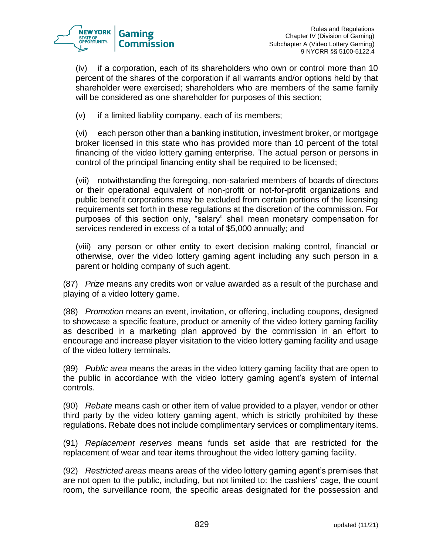

(iv) if a corporation, each of its shareholders who own or control more than 10 percent of the shares of the corporation if all warrants and/or options held by that shareholder were exercised; shareholders who are members of the same family will be considered as one shareholder for purposes of this section;

(v) if a limited liability company, each of its members;

(vi) each person other than a banking institution, investment broker, or mortgage broker licensed in this state who has provided more than 10 percent of the total financing of the video lottery gaming enterprise. The actual person or persons in control of the principal financing entity shall be required to be licensed;

(vii) notwithstanding the foregoing, non-salaried members of boards of directors or their operational equivalent of non-profit or not-for-profit organizations and public benefit corporations may be excluded from certain portions of the licensing requirements set forth in these regulations at the discretion of the commission. For purposes of this section only, "salary" shall mean monetary compensation for services rendered in excess of a total of \$5,000 annually; and

(viii) any person or other entity to exert decision making control, financial or otherwise, over the video lottery gaming agent including any such person in a parent or holding company of such agent.

(87) *Prize* means any credits won or value awarded as a result of the purchase and playing of a video lottery game.

(88) *Promotion* means an event, invitation, or offering, including coupons, designed to showcase a specific feature, product or amenity of the video lottery gaming facility as described in a marketing plan approved by the commission in an effort to encourage and increase player visitation to the video lottery gaming facility and usage of the video lottery terminals.

(89) *Public area* means the areas in the video lottery gaming facility that are open to the public in accordance with the video lottery gaming agent's system of internal controls.

(90) *Rebate* means cash or other item of value provided to a player, vendor or other third party by the video lottery gaming agent, which is strictly prohibited by these regulations. Rebate does not include complimentary services or complimentary items.

(91) *Replacement reserves* means funds set aside that are restricted for the replacement of wear and tear items throughout the video lottery gaming facility.

(92) *Restricted areas* means areas of the video lottery gaming agent's premises that are not open to the public, including, but not limited to: the cashiers' cage, the count room, the surveillance room, the specific areas designated for the possession and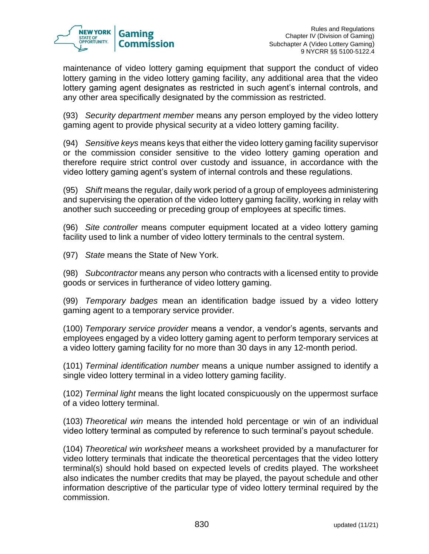

maintenance of video lottery gaming equipment that support the conduct of video lottery gaming in the video lottery gaming facility, any additional area that the video lottery gaming agent designates as restricted in such agent's internal controls, and any other area specifically designated by the commission as restricted.

(93) *Security department member* means any person employed by the video lottery gaming agent to provide physical security at a video lottery gaming facility.

(94) *Sensitive keys* means keys that either the video lottery gaming facility supervisor or the commission consider sensitive to the video lottery gaming operation and therefore require strict control over custody and issuance, in accordance with the video lottery gaming agent's system of internal controls and these regulations.

(95) *Shift* means the regular, daily work period of a group of employees administering and supervising the operation of the video lottery gaming facility, working in relay with another such succeeding or preceding group of employees at specific times.

(96) *Site controller* means computer equipment located at a video lottery gaming facility used to link a number of video lottery terminals to the central system.

(97) *State* means the State of New York.

(98) *Subcontractor* means any person who contracts with a licensed entity to provide goods or services in furtherance of video lottery gaming.

(99) *Temporary badges* mean an identification badge issued by a video lottery gaming agent to a temporary service provider.

(100) *Temporary service provider* means a vendor, a vendor's agents, servants and employees engaged by a video lottery gaming agent to perform temporary services at a video lottery gaming facility for no more than 30 days in any 12-month period.

(101) *Terminal identification number* means a unique number assigned to identify a single video lottery terminal in a video lottery gaming facility.

(102) *Terminal light* means the light located conspicuously on the uppermost surface of a video lottery terminal.

(103) *Theoretical win* means the intended hold percentage or win of an individual video lottery terminal as computed by reference to such terminal's payout schedule.

(104) *Theoretical win worksheet* means a worksheet provided by a manufacturer for video lottery terminals that indicate the theoretical percentages that the video lottery terminal(s) should hold based on expected levels of credits played. The worksheet also indicates the number credits that may be played, the payout schedule and other information descriptive of the particular type of video lottery terminal required by the commission.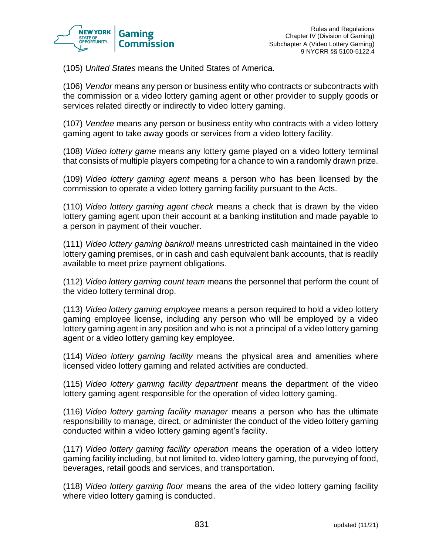

(105) *United States* means the United States of America.

(106) *Vendor* means any person or business entity who contracts or subcontracts with the commission or a video lottery gaming agent or other provider to supply goods or services related directly or indirectly to video lottery gaming.

(107) *Vendee* means any person or business entity who contracts with a video lottery gaming agent to take away goods or services from a video lottery facility.

(108) *Video lottery game* means any lottery game played on a video lottery terminal that consists of multiple players competing for a chance to win a randomly drawn prize.

(109) *Video lottery gaming agent* means a person who has been licensed by the commission to operate a video lottery gaming facility pursuant to the Acts.

(110) *Video lottery gaming agent check* means a check that is drawn by the video lottery gaming agent upon their account at a banking institution and made payable to a person in payment of their voucher.

(111) *Video lottery gaming bankroll* means unrestricted cash maintained in the video lottery gaming premises, or in cash and cash equivalent bank accounts, that is readily available to meet prize payment obligations.

(112) *Video lottery gaming count team* means the personnel that perform the count of the video lottery terminal drop.

(113) *Video lottery gaming employee* means a person required to hold a video lottery gaming employee license, including any person who will be employed by a video lottery gaming agent in any position and who is not a principal of a video lottery gaming agent or a video lottery gaming key employee.

(114) *Video lottery gaming facility* means the physical area and amenities where licensed video lottery gaming and related activities are conducted.

(115) *Video lottery gaming facility department* means the department of the video lottery gaming agent responsible for the operation of video lottery gaming.

(116) *Video lottery gaming facility manager* means a person who has the ultimate responsibility to manage, direct, or administer the conduct of the video lottery gaming conducted within a video lottery gaming agent's facility.

(117) *Video lottery gaming facility operation* means the operation of a video lottery gaming facility including, but not limited to, video lottery gaming, the purveying of food, beverages, retail goods and services, and transportation.

(118) *Video lottery gaming floor* means the area of the video lottery gaming facility where video lottery gaming is conducted.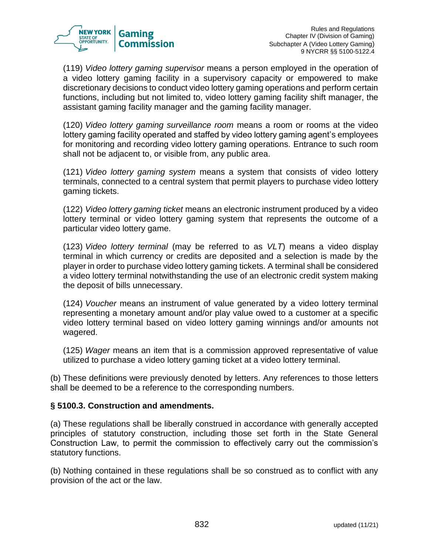

(119) *Video lottery gaming supervisor* means a person employed in the operation of a video lottery gaming facility in a supervisory capacity or empowered to make discretionary decisions to conduct video lottery gaming operations and perform certain functions, including but not limited to, video lottery gaming facility shift manager, the assistant gaming facility manager and the gaming facility manager.

(120) *Video lottery gaming surveillance room* means a room or rooms at the video lottery gaming facility operated and staffed by video lottery gaming agent's employees for monitoring and recording video lottery gaming operations. Entrance to such room shall not be adjacent to, or visible from, any public area.

(121) *Video lottery gaming system* means a system that consists of video lottery terminals, connected to a central system that permit players to purchase video lottery gaming tickets.

(122) *Video lottery gaming ticket* means an electronic instrument produced by a video lottery terminal or video lottery gaming system that represents the outcome of a particular video lottery game.

(123) *Video lottery terminal* (may be referred to as *VLT*) means a video display terminal in which currency or credits are deposited and a selection is made by the player in order to purchase video lottery gaming tickets. A terminal shall be considered a video lottery terminal notwithstanding the use of an electronic credit system making the deposit of bills unnecessary.

(124) *Voucher* means an instrument of value generated by a video lottery terminal representing a monetary amount and/or play value owed to a customer at a specific video lottery terminal based on video lottery gaming winnings and/or amounts not wagered.

(125) *Wager* means an item that is a commission approved representative of value utilized to purchase a video lottery gaming ticket at a video lottery terminal.

(b) These definitions were previously denoted by letters. Any references to those letters shall be deemed to be a reference to the corresponding numbers.

## **§ 5100.3. Construction and amendments.**

(a) These regulations shall be liberally construed in accordance with generally accepted principles of statutory construction, including those set forth in the State General Construction Law, to permit the commission to effectively carry out the commission's statutory functions.

(b) Nothing contained in these regulations shall be so construed as to conflict with any provision of the act or the law.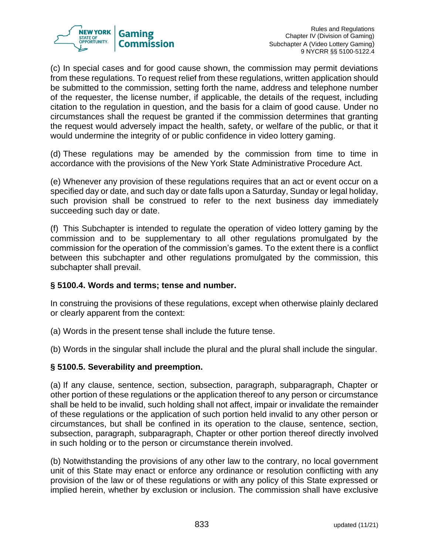

(c) In special cases and for good cause shown, the commission may permit deviations from these regulations. To request relief from these regulations, written application should be submitted to the commission, setting forth the name, address and telephone number of the requester, the license number, if applicable, the details of the request, including citation to the regulation in question, and the basis for a claim of good cause. Under no circumstances shall the request be granted if the commission determines that granting the request would adversely impact the health, safety, or welfare of the public, or that it would undermine the integrity of or public confidence in video lottery gaming.

(d) These regulations may be amended by the commission from time to time in accordance with the provisions of the New York State Administrative Procedure Act.

(e) Whenever any provision of these regulations requires that an act or event occur on a specified day or date, and such day or date falls upon a Saturday, Sunday or legal holiday, such provision shall be construed to refer to the next business day immediately succeeding such day or date.

(f) This Subchapter is intended to regulate the operation of video lottery gaming by the commission and to be supplementary to all other regulations promulgated by the commission for the operation of the commission's games. To the extent there is a conflict between this subchapter and other regulations promulgated by the commission, this subchapter shall prevail.

## **§ 5100.4. Words and terms; tense and number.**

In construing the provisions of these regulations, except when otherwise plainly declared or clearly apparent from the context:

(a) Words in the present tense shall include the future tense.

(b) Words in the singular shall include the plural and the plural shall include the singular.

## **§ 5100.5. Severability and preemption.**

(a) If any clause, sentence, section, subsection, paragraph, subparagraph, Chapter or other portion of these regulations or the application thereof to any person or circumstance shall be held to be invalid, such holding shall not affect, impair or invalidate the remainder of these regulations or the application of such portion held invalid to any other person or circumstances, but shall be confined in its operation to the clause, sentence, section, subsection, paragraph, subparagraph, Chapter or other portion thereof directly involved in such holding or to the person or circumstance therein involved.

(b) Notwithstanding the provisions of any other law to the contrary, no local government unit of this State may enact or enforce any ordinance or resolution conflicting with any provision of the law or of these regulations or with any policy of this State expressed or implied herein, whether by exclusion or inclusion. The commission shall have exclusive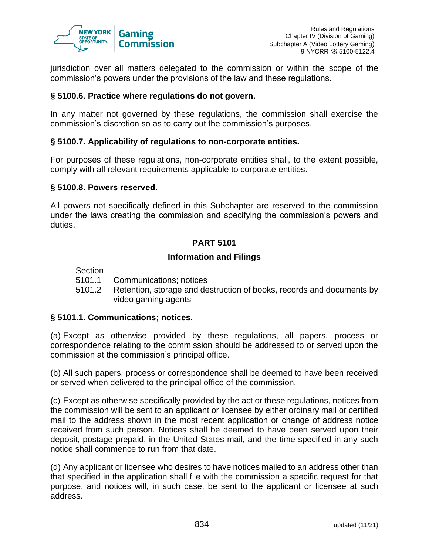

jurisdiction over all matters delegated to the commission or within the scope of the commission's powers under the provisions of the law and these regulations.

### **§ 5100.6. Practice where regulations do not govern.**

In any matter not governed by these regulations, the commission shall exercise the commission's discretion so as to carry out the commission's purposes.

#### **§ 5100.7. Applicability of regulations to non-corporate entities.**

For purposes of these regulations, non-corporate entities shall, to the extent possible, comply with all relevant requirements applicable to corporate entities.

#### **§ 5100.8. Powers reserved.**

All powers not specifically defined in this Subchapter are reserved to the commission under the laws creating the commission and specifying the commission's powers and duties.

### **PART 5101**

### **Information and Filings**

#### **Section**

- 5101.1 Communications; notices
- 5101.2 Retention, storage and destruction of books, records and documents by video gaming agents

#### **§ 5101.1. Communications; notices.**

(a) Except as otherwise provided by these regulations, all papers, process or correspondence relating to the commission should be addressed to or served upon the commission at the commission's principal office.

(b) All such papers, process or correspondence shall be deemed to have been received or served when delivered to the principal office of the commission.

(c) Except as otherwise specifically provided by the act or these regulations, notices from the commission will be sent to an applicant or licensee by either ordinary mail or certified mail to the address shown in the most recent application or change of address notice received from such person. Notices shall be deemed to have been served upon their deposit, postage prepaid, in the United States mail, and the time specified in any such notice shall commence to run from that date.

(d) Any applicant or licensee who desires to have notices mailed to an address other than that specified in the application shall file with the commission a specific request for that purpose, and notices will, in such case, be sent to the applicant or licensee at such address.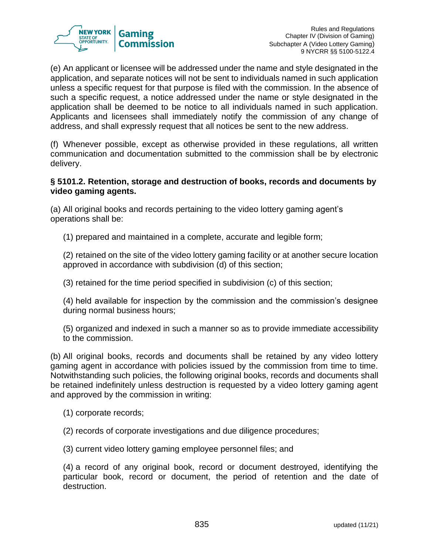

(e) An applicant or licensee will be addressed under the name and style designated in the application, and separate notices will not be sent to individuals named in such application unless a specific request for that purpose is filed with the commission. In the absence of such a specific request, a notice addressed under the name or style designated in the application shall be deemed to be notice to all individuals named in such application. Applicants and licensees shall immediately notify the commission of any change of address, and shall expressly request that all notices be sent to the new address.

(f) Whenever possible, except as otherwise provided in these regulations, all written communication and documentation submitted to the commission shall be by electronic delivery.

### **§ 5101.2. Retention, storage and destruction of books, records and documents by video gaming agents.**

(a) All original books and records pertaining to the video lottery gaming agent's operations shall be:

(1) prepared and maintained in a complete, accurate and legible form;

(2) retained on the site of the video lottery gaming facility or at another secure location approved in accordance with subdivision (d) of this section;

(3) retained for the time period specified in subdivision (c) of this section;

(4) held available for inspection by the commission and the commission's designee during normal business hours;

(5) organized and indexed in such a manner so as to provide immediate accessibility to the commission.

(b) All original books, records and documents shall be retained by any video lottery gaming agent in accordance with policies issued by the commission from time to time. Notwithstanding such policies, the following original books, records and documents shall be retained indefinitely unless destruction is requested by a video lottery gaming agent and approved by the commission in writing:

- (1) corporate records;
- (2) records of corporate investigations and due diligence procedures;
- (3) current video lottery gaming employee personnel files; and

(4) a record of any original book, record or document destroyed, identifying the particular book, record or document, the period of retention and the date of destruction.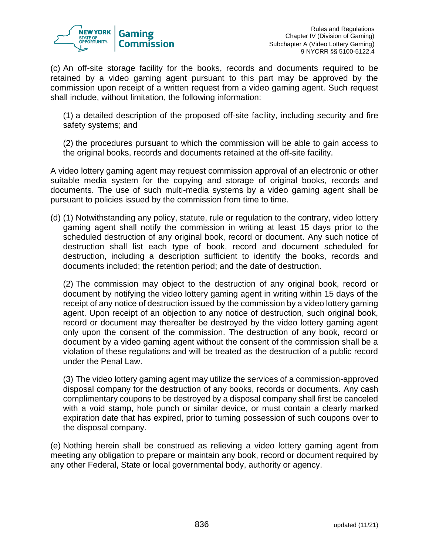

(c) An off-site storage facility for the books, records and documents required to be retained by a video gaming agent pursuant to this part may be approved by the commission upon receipt of a written request from a video gaming agent. Such request shall include, without limitation, the following information:

(1) a detailed description of the proposed off-site facility, including security and fire safety systems; and

(2) the procedures pursuant to which the commission will be able to gain access to the original books, records and documents retained at the off-site facility.

A video lottery gaming agent may request commission approval of an electronic or other suitable media system for the copying and storage of original books, records and documents. The use of such multi-media systems by a video gaming agent shall be pursuant to policies issued by the commission from time to time.

(d) (1) Notwithstanding any policy, statute, rule or regulation to the contrary, video lottery gaming agent shall notify the commission in writing at least 15 days prior to the scheduled destruction of any original book, record or document. Any such notice of destruction shall list each type of book, record and document scheduled for destruction, including a description sufficient to identify the books, records and documents included; the retention period; and the date of destruction.

(2) The commission may object to the destruction of any original book, record or document by notifying the video lottery gaming agent in writing within 15 days of the receipt of any notice of destruction issued by the commission by a video lottery gaming agent. Upon receipt of an objection to any notice of destruction, such original book, record or document may thereafter be destroyed by the video lottery gaming agent only upon the consent of the commission. The destruction of any book, record or document by a video gaming agent without the consent of the commission shall be a violation of these regulations and will be treated as the destruction of a public record under the Penal Law.

(3) The video lottery gaming agent may utilize the services of a commission-approved disposal company for the destruction of any books, records or documents. Any cash complimentary coupons to be destroyed by a disposal company shall first be canceled with a void stamp, hole punch or similar device, or must contain a clearly marked expiration date that has expired, prior to turning possession of such coupons over to the disposal company.

(e) Nothing herein shall be construed as relieving a video lottery gaming agent from meeting any obligation to prepare or maintain any book, record or document required by any other Federal, State or local governmental body, authority or agency.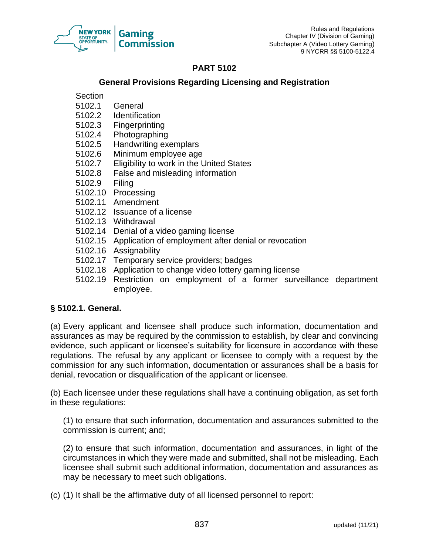

## **PART 5102**

### **General Provisions Regarding Licensing and Registration**

**Section** 

- 5102.1 General
- 5102.2 Identification
- 5102.3 Fingerprinting
- 5102.4 Photographing
- 5102.5 Handwriting exemplars
- 5102.6 Minimum employee age
- 5102.7 Eligibility to work in the United States
- 5102.8 False and misleading information
- 5102.9 Filing
- 5102.10 Processing
- 5102.11 Amendment
- 5102.12 Issuance of a license
- 5102.13 Withdrawal
- 5102.14 Denial of a video gaming license
- 5102.15 Application of employment after denial or revocation
- 5102.16 Assignability
- 5102.17 Temporary service providers; badges
- 5102.18 Application to change video lottery gaming license
- 5102.19 Restriction on employment of a former surveillance department employee.

## **§ 5102.1. General.**

(a) Every applicant and licensee shall produce such information, documentation and assurances as may be required by the commission to establish, by clear and convincing evidence, such applicant or licensee's suitability for licensure in accordance with these regulations. The refusal by any applicant or licensee to comply with a request by the commission for any such information, documentation or assurances shall be a basis for denial, revocation or disqualification of the applicant or licensee.

(b) Each licensee under these regulations shall have a continuing obligation, as set forth in these regulations:

(1) to ensure that such information, documentation and assurances submitted to the commission is current; and;

(2) to ensure that such information, documentation and assurances, in light of the circumstances in which they were made and submitted, shall not be misleading. Each licensee shall submit such additional information, documentation and assurances as may be necessary to meet such obligations.

(c) (1) It shall be the affirmative duty of all licensed personnel to report: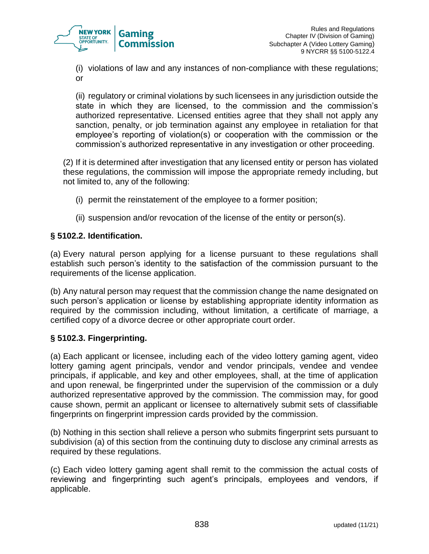

(i) violations of law and any instances of non-compliance with these regulations; or

(ii) regulatory or criminal violations by such licensees in any jurisdiction outside the state in which they are licensed, to the commission and the commission's authorized representative. Licensed entities agree that they shall not apply any sanction, penalty, or job termination against any employee in retaliation for that employee's reporting of violation(s) or cooperation with the commission or the commission's authorized representative in any investigation or other proceeding.

(2) If it is determined after investigation that any licensed entity or person has violated these regulations, the commission will impose the appropriate remedy including, but not limited to, any of the following:

- (i) permit the reinstatement of the employee to a former position;
- (ii) suspension and/or revocation of the license of the entity or person(s).

## **§ 5102.2. Identification.**

(a) Every natural person applying for a license pursuant to these regulations shall establish such person's identity to the satisfaction of the commission pursuant to the requirements of the license application.

(b) Any natural person may request that the commission change the name designated on such person's application or license by establishing appropriate identity information as required by the commission including, without limitation, a certificate of marriage, a certified copy of a divorce decree or other appropriate court order.

## **§ 5102.3. Fingerprinting.**

(a) Each applicant or licensee, including each of the video lottery gaming agent, video lottery gaming agent principals, vendor and vendor principals, vendee and vendee principals, if applicable, and key and other employees, shall, at the time of application and upon renewal, be fingerprinted under the supervision of the commission or a duly authorized representative approved by the commission. The commission may, for good cause shown, permit an applicant or licensee to alternatively submit sets of classifiable fingerprints on fingerprint impression cards provided by the commission.

(b) Nothing in this section shall relieve a person who submits fingerprint sets pursuant to subdivision (a) of this section from the continuing duty to disclose any criminal arrests as required by these regulations.

(c) Each video lottery gaming agent shall remit to the commission the actual costs of reviewing and fingerprinting such agent's principals, employees and vendors, if applicable.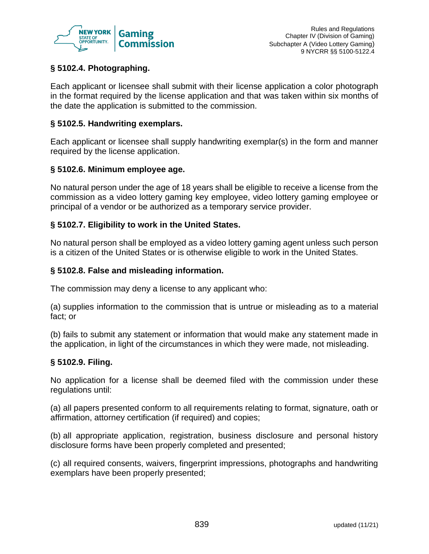

## **§ 5102.4. Photographing.**

Each applicant or licensee shall submit with their license application a color photograph in the format required by the license application and that was taken within six months of the date the application is submitted to the commission.

### **§ 5102.5. Handwriting exemplars.**

Each applicant or licensee shall supply handwriting exemplar(s) in the form and manner required by the license application.

### **§ 5102.6. Minimum employee age.**

No natural person under the age of 18 years shall be eligible to receive a license from the commission as a video lottery gaming key employee, video lottery gaming employee or principal of a vendor or be authorized as a temporary service provider.

### **§ 5102.7. Eligibility to work in the United States.**

No natural person shall be employed as a video lottery gaming agent unless such person is a citizen of the United States or is otherwise eligible to work in the United States.

### **§ 5102.8. False and misleading information.**

The commission may deny a license to any applicant who:

(a) supplies information to the commission that is untrue or misleading as to a material fact; or

(b) fails to submit any statement or information that would make any statement made in the application, in light of the circumstances in which they were made, not misleading.

#### **§ 5102.9. Filing.**

No application for a license shall be deemed filed with the commission under these regulations until:

(a) all papers presented conform to all requirements relating to format, signature, oath or affirmation, attorney certification (if required) and copies;

(b) all appropriate application, registration, business disclosure and personal history disclosure forms have been properly completed and presented;

(c) all required consents, waivers, fingerprint impressions, photographs and handwriting exemplars have been properly presented;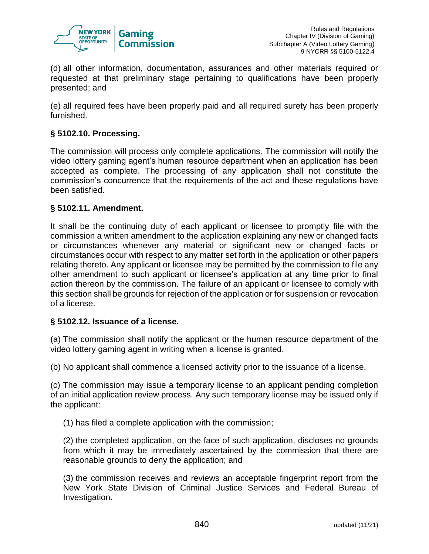

(d) all other information, documentation, assurances and other materials required or requested at that preliminary stage pertaining to qualifications have been properly presented; and

(e) all required fees have been properly paid and all required surety has been properly furnished.

## **§ 5102.10. Processing.**

The commission will process only complete applications. The commission will notify the video lottery gaming agent's human resource department when an application has been accepted as complete. The processing of any application shall not constitute the commission's concurrence that the requirements of the act and these regulations have been satisfied.

### **§ 5102.11. Amendment.**

It shall be the continuing duty of each applicant or licensee to promptly file with the commission a written amendment to the application explaining any new or changed facts or circumstances whenever any material or significant new or changed facts or circumstances occur with respect to any matter set forth in the application or other papers relating thereto. Any applicant or licensee may be permitted by the commission to file any other amendment to such applicant or licensee's application at any time prior to final action thereon by the commission. The failure of an applicant or licensee to comply with this section shall be grounds for rejection of the application or for suspension or revocation of a license.

#### **§ 5102.12. Issuance of a license.**

(a) The commission shall notify the applicant or the human resource department of the video lottery gaming agent in writing when a license is granted.

(b) No applicant shall commence a licensed activity prior to the issuance of a license.

(c) The commission may issue a temporary license to an applicant pending completion of an initial application review process. Any such temporary license may be issued only if the applicant:

(1) has filed a complete application with the commission;

(2) the completed application, on the face of such application, discloses no grounds from which it may be immediately ascertained by the commission that there are reasonable grounds to deny the application; and

(3) the commission receives and reviews an acceptable fingerprint report from the New York State Division of Criminal Justice Services and Federal Bureau of Investigation.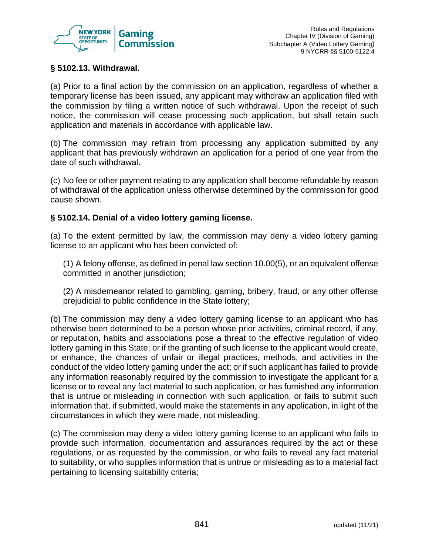

## **§ 5102.13. Withdrawal.**

(a) Prior to a final action by the commission on an application, regardless of whether a temporary license has been issued, any applicant may withdraw an application filed with the commission by filing a written notice of such withdrawal. Upon the receipt of such notice, the commission will cease processing such application, but shall retain such application and materials in accordance with applicable law.

(b) The commission may refrain from processing any application submitted by any applicant that has previously withdrawn an application for a period of one year from the date of such withdrawal.

(c) No fee or other payment relating to any application shall become refundable by reason of withdrawal of the application unless otherwise determined by the commission for good cause shown.

## **§ 5102.14. Denial of a video lottery gaming license.**

(a) To the extent permitted by law, the commission may deny a video lottery gaming license to an applicant who has been convicted of:

(1) A felony offense, as defined in penal law section 10.00(5), or an equivalent offense committed in another jurisdiction;

(2) A misdemeanor related to gambling, gaming, bribery, fraud, or any other offense prejudicial to public confidence in the State lottery;

(b) The commission may deny a video lottery gaming license to an applicant who has otherwise been determined to be a person whose prior activities, criminal record, if any, or reputation, habits and associations pose a threat to the effective regulation of video lottery gaming in this State; or if the granting of such license to the applicant would create, or enhance, the chances of unfair or illegal practices, methods, and activities in the conduct of the video lottery gaming under the act; or if such applicant has failed to provide any information reasonably required by the commission to investigate the applicant for a license or to reveal any fact material to such application, or has furnished any information that is untrue or misleading in connection with such application, or fails to submit such information that, if submitted, would make the statements in any application, in light of the circumstances in which they were made, not misleading.

(c) The commission may deny a video lottery gaming license to an applicant who fails to provide such information, documentation and assurances required by the act or these regulations, or as requested by the commission, or who fails to reveal any fact material to suitability, or who supplies information that is untrue or misleading as to a material fact pertaining to licensing suitability criteria;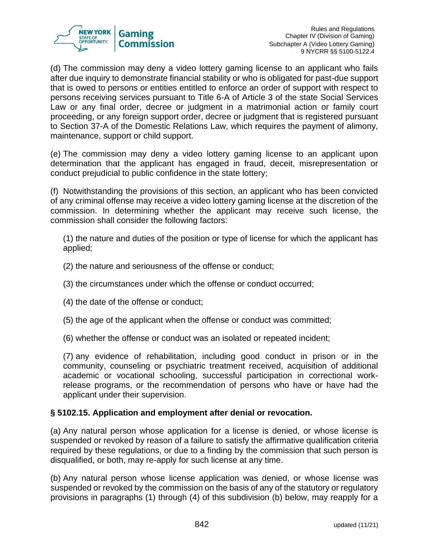

(d) The commission may deny a video lottery gaming license to an applicant who fails after due inquiry to demonstrate financial stability or who is obligated for past-due support that is owed to persons or entities entitled to enforce an order of support with respect to persons receiving services pursuant to Title 6-A of Article 3 of the state Social Services Law or any final order, decree or judgment in a matrimonial action or family court proceeding, or any foreign support order, decree or judgment that is registered pursuant to Section 37-A of the Domestic Relations Law, which requires the payment of alimony, maintenance, support or child support.

(e) The commission may deny a video lottery gaming license to an applicant upon determination that the applicant has engaged in fraud, deceit, misrepresentation or conduct prejudicial to public confidence in the state lottery;

(f) Notwithstanding the provisions of this section, an applicant who has been convicted of any criminal offense may receive a video lottery gaming license at the discretion of the commission. In determining whether the applicant may receive such license, the commission shall consider the following factors:

(1) the nature and duties of the position or type of license for which the applicant has applied;

- (2) the nature and seriousness of the offense or conduct;
- (3) the circumstances under which the offense or conduct occurred;
- (4) the date of the offense or conduct;
- (5) the age of the applicant when the offense or conduct was committed;
- (6) whether the offense or conduct was an isolated or repeated incident;

(7) any evidence of rehabilitation, including good conduct in prison or in the community, counseling or psychiatric treatment received, acquisition of additional academic or vocational schooling, successful participation in correctional workrelease programs, or the recommendation of persons who have or have had the applicant under their supervision.

## **§ 5102.15. Application and employment after denial or revocation.**

(a) Any natural person whose application for a license is denied, or whose license is suspended or revoked by reason of a failure to satisfy the affirmative qualification criteria required by these regulations, or due to a finding by the commission that such person is disqualified, or both, may re-apply for such license at any time.

(b) Any natural person whose license application was denied, or whose license was suspended or revoked by the commission on the basis of any of the statutory or regulatory provisions in paragraphs (1) through (4) of this subdivision (b) below, may reapply for a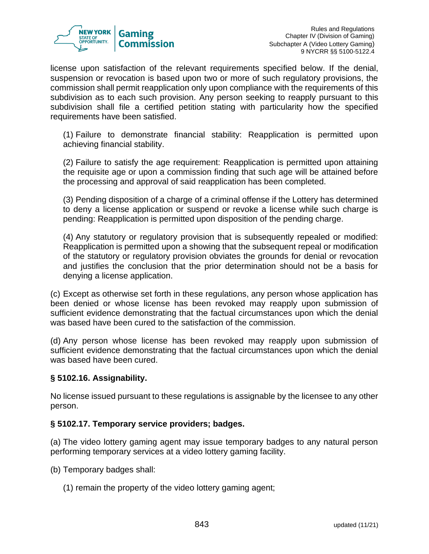

license upon satisfaction of the relevant requirements specified below. If the denial, suspension or revocation is based upon two or more of such regulatory provisions, the commission shall permit reapplication only upon compliance with the requirements of this subdivision as to each such provision. Any person seeking to reapply pursuant to this subdivision shall file a certified petition stating with particularity how the specified requirements have been satisfied.

(1) Failure to demonstrate financial stability: Reapplication is permitted upon achieving financial stability.

(2) Failure to satisfy the age requirement: Reapplication is permitted upon attaining the requisite age or upon a commission finding that such age will be attained before the processing and approval of said reapplication has been completed.

(3) Pending disposition of a charge of a criminal offense if the Lottery has determined to deny a license application or suspend or revoke a license while such charge is pending: Reapplication is permitted upon disposition of the pending charge.

(4) Any statutory or regulatory provision that is subsequently repealed or modified: Reapplication is permitted upon a showing that the subsequent repeal or modification of the statutory or regulatory provision obviates the grounds for denial or revocation and justifies the conclusion that the prior determination should not be a basis for denying a license application.

(c) Except as otherwise set forth in these regulations, any person whose application has been denied or whose license has been revoked may reapply upon submission of sufficient evidence demonstrating that the factual circumstances upon which the denial was based have been cured to the satisfaction of the commission.

(d) Any person whose license has been revoked may reapply upon submission of sufficient evidence demonstrating that the factual circumstances upon which the denial was based have been cured.

## **§ 5102.16. Assignability.**

No license issued pursuant to these regulations is assignable by the licensee to any other person.

## **§ 5102.17. Temporary service providers; badges.**

(a) The video lottery gaming agent may issue temporary badges to any natural person performing temporary services at a video lottery gaming facility.

- (b) Temporary badges shall:
	- (1) remain the property of the video lottery gaming agent;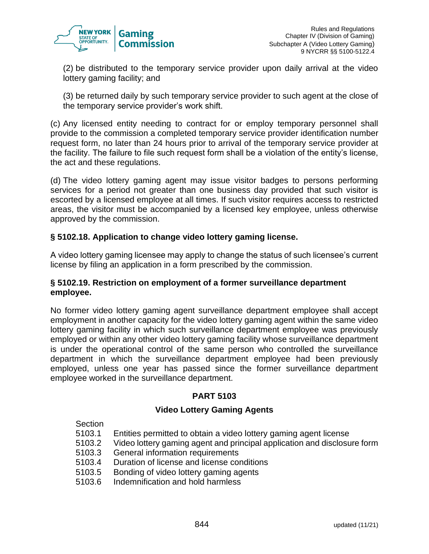

(2) be distributed to the temporary service provider upon daily arrival at the video lottery gaming facility; and

(3) be returned daily by such temporary service provider to such agent at the close of the temporary service provider's work shift.

(c) Any licensed entity needing to contract for or employ temporary personnel shall provide to the commission a completed temporary service provider identification number request form, no later than 24 hours prior to arrival of the temporary service provider at the facility. The failure to file such request form shall be a violation of the entity's license, the act and these regulations.

(d) The video lottery gaming agent may issue visitor badges to persons performing services for a period not greater than one business day provided that such visitor is escorted by a licensed employee at all times. If such visitor requires access to restricted areas, the visitor must be accompanied by a licensed key employee, unless otherwise approved by the commission.

## **§ 5102.18. Application to change video lottery gaming license.**

A video lottery gaming licensee may apply to change the status of such licensee's current license by filing an application in a form prescribed by the commission.

### **§ 5102.19. Restriction on employment of a former surveillance department employee.**

No former video lottery gaming agent surveillance department employee shall accept employment in another capacity for the video lottery gaming agent within the same video lottery gaming facility in which such surveillance department employee was previously employed or within any other video lottery gaming facility whose surveillance department is under the operational control of the same person who controlled the surveillance department in which the surveillance department employee had been previously employed, unless one year has passed since the former surveillance department employee worked in the surveillance department.

## **PART 5103**

## **Video Lottery Gaming Agents**

Section

- 5103.1 Entities permitted to obtain a video lottery gaming agent license
- 5103.2 Video lottery gaming agent and principal application and disclosure form
- 5103.3 General information requirements
- 5103.4 Duration of license and license conditions
- 5103.5 Bonding of video lottery gaming agents
- 5103.6 Indemnification and hold harmless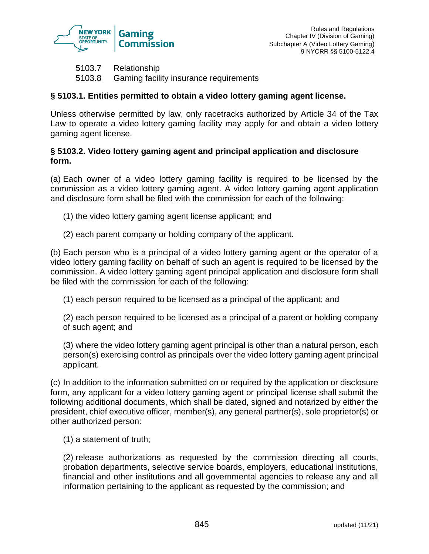

5103.7 Relationship 5103.8 Gaming facility insurance requirements

## **§ 5103.1. Entities permitted to obtain a video lottery gaming agent license.**

Unless otherwise permitted by law, only racetracks authorized by Article 34 of the Tax Law to operate a video lottery gaming facility may apply for and obtain a video lottery gaming agent license.

## **§ 5103.2. Video lottery gaming agent and principal application and disclosure form.**

(a) Each owner of a video lottery gaming facility is required to be licensed by the commission as a video lottery gaming agent. A video lottery gaming agent application and disclosure form shall be filed with the commission for each of the following:

- (1) the video lottery gaming agent license applicant; and
- (2) each parent company or holding company of the applicant.

(b) Each person who is a principal of a video lottery gaming agent or the operator of a video lottery gaming facility on behalf of such an agent is required to be licensed by the commission. A video lottery gaming agent principal application and disclosure form shall be filed with the commission for each of the following:

(1) each person required to be licensed as a principal of the applicant; and

(2) each person required to be licensed as a principal of a parent or holding company of such agent; and

(3) where the video lottery gaming agent principal is other than a natural person, each person(s) exercising control as principals over the video lottery gaming agent principal applicant.

(c) In addition to the information submitted on or required by the application or disclosure form, any applicant for a video lottery gaming agent or principal license shall submit the following additional documents, which shall be dated, signed and notarized by either the president, chief executive officer, member(s), any general partner(s), sole proprietor(s) or other authorized person:

(1) a statement of truth;

(2) release authorizations as requested by the commission directing all courts, probation departments, selective service boards, employers, educational institutions, financial and other institutions and all governmental agencies to release any and all information pertaining to the applicant as requested by the commission; and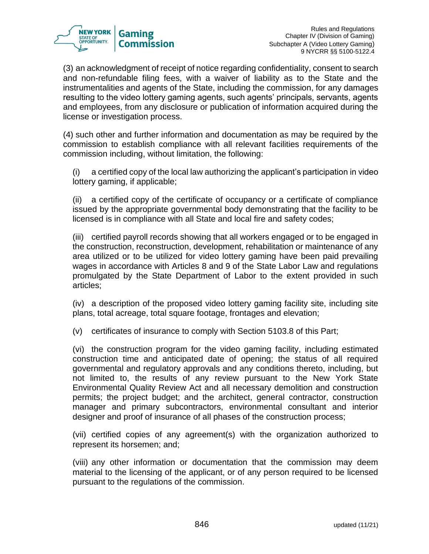

(3) an acknowledgment of receipt of notice regarding confidentiality, consent to search and non-refundable filing fees, with a waiver of liability as to the State and the instrumentalities and agents of the State, including the commission, for any damages resulting to the video lottery gaming agents, such agents' principals, servants, agents and employees, from any disclosure or publication of information acquired during the license or investigation process.

(4) such other and further information and documentation as may be required by the commission to establish compliance with all relevant facilities requirements of the commission including, without limitation, the following:

(i) a certified copy of the local law authorizing the applicant's participation in video lottery gaming, if applicable;

(ii) a certified copy of the certificate of occupancy or a certificate of compliance issued by the appropriate governmental body demonstrating that the facility to be licensed is in compliance with all State and local fire and safety codes;

(iii) certified payroll records showing that all workers engaged or to be engaged in the construction, reconstruction, development, rehabilitation or maintenance of any area utilized or to be utilized for video lottery gaming have been paid prevailing wages in accordance with Articles 8 and 9 of the State Labor Law and regulations promulgated by the State Department of Labor to the extent provided in such articles;

(iv) a description of the proposed video lottery gaming facility site, including site plans, total acreage, total square footage, frontages and elevation;

(v) certificates of insurance to comply with Section 5103.8 of this Part;

(vi) the construction program for the video gaming facility, including estimated construction time and anticipated date of opening; the status of all required governmental and regulatory approvals and any conditions thereto, including, but not limited to, the results of any review pursuant to the New York State Environmental Quality Review Act and all necessary demolition and construction permits; the project budget; and the architect, general contractor, construction manager and primary subcontractors, environmental consultant and interior designer and proof of insurance of all phases of the construction process;

(vii) certified copies of any agreement(s) with the organization authorized to represent its horsemen; and;

(viii) any other information or documentation that the commission may deem material to the licensing of the applicant, or of any person required to be licensed pursuant to the regulations of the commission.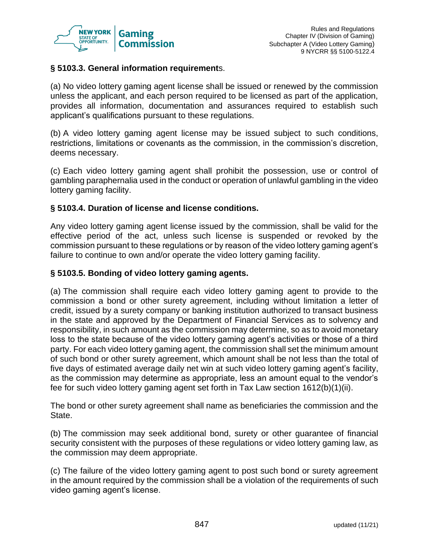

### **§ 5103.3. General information requirement**s.

(a) No video lottery gaming agent license shall be issued or renewed by the commission unless the applicant, and each person required to be licensed as part of the application, provides all information, documentation and assurances required to establish such applicant's qualifications pursuant to these regulations.

(b) A video lottery gaming agent license may be issued subject to such conditions, restrictions, limitations or covenants as the commission, in the commission's discretion, deems necessary.

(c) Each video lottery gaming agent shall prohibit the possession, use or control of gambling paraphernalia used in the conduct or operation of unlawful gambling in the video lottery gaming facility.

### **§ 5103.4. Duration of license and license conditions.**

Any video lottery gaming agent license issued by the commission, shall be valid for the effective period of the act, unless such license is suspended or revoked by the commission pursuant to these regulations or by reason of the video lottery gaming agent's failure to continue to own and/or operate the video lottery gaming facility.

#### **§ 5103.5. Bonding of video lottery gaming agents.**

(a) The commission shall require each video lottery gaming agent to provide to the commission a bond or other surety agreement, including without limitation a letter of credit, issued by a surety company or banking institution authorized to transact business in the state and approved by the Department of Financial Services as to solvency and responsibility, in such amount as the commission may determine, so as to avoid monetary loss to the state because of the video lottery gaming agent's activities or those of a third party. For each video lottery gaming agent, the commission shall set the minimum amount of such bond or other surety agreement, which amount shall be not less than the total of five days of estimated average daily net win at such video lottery gaming agent's facility, as the commission may determine as appropriate, less an amount equal to the vendor's fee for such video lottery gaming agent set forth in Tax Law section 1612(b)(1)(ii).

The bond or other surety agreement shall name as beneficiaries the commission and the State.

(b) The commission may seek additional bond, surety or other guarantee of financial security consistent with the purposes of these regulations or video lottery gaming law, as the commission may deem appropriate.

(c) The failure of the video lottery gaming agent to post such bond or surety agreement in the amount required by the commission shall be a violation of the requirements of such video gaming agent's license.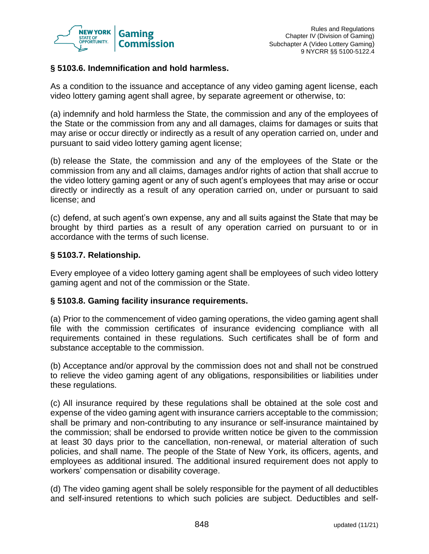

### **§ 5103.6. Indemnification and hold harmless.**

As a condition to the issuance and acceptance of any video gaming agent license, each video lottery gaming agent shall agree, by separate agreement or otherwise, to:

(a) indemnify and hold harmless the State, the commission and any of the employees of the State or the commission from any and all damages, claims for damages or suits that may arise or occur directly or indirectly as a result of any operation carried on, under and pursuant to said video lottery gaming agent license;

(b) release the State, the commission and any of the employees of the State or the commission from any and all claims, damages and/or rights of action that shall accrue to the video lottery gaming agent or any of such agent's employees that may arise or occur directly or indirectly as a result of any operation carried on, under or pursuant to said license; and

(c) defend, at such agent's own expense, any and all suits against the State that may be brought by third parties as a result of any operation carried on pursuant to or in accordance with the terms of such license.

### **§ 5103.7. Relationship.**

Every employee of a video lottery gaming agent shall be employees of such video lottery gaming agent and not of the commission or the State.

#### **§ 5103.8. Gaming facility insurance requirements.**

(a) Prior to the commencement of video gaming operations, the video gaming agent shall file with the commission certificates of insurance evidencing compliance with all requirements contained in these regulations. Such certificates shall be of form and substance acceptable to the commission.

(b) Acceptance and/or approval by the commission does not and shall not be construed to relieve the video gaming agent of any obligations, responsibilities or liabilities under these regulations.

(c) All insurance required by these regulations shall be obtained at the sole cost and expense of the video gaming agent with insurance carriers acceptable to the commission; shall be primary and non-contributing to any insurance or self-insurance maintained by the commission; shall be endorsed to provide written notice be given to the commission at least 30 days prior to the cancellation, non-renewal, or material alteration of such policies, and shall name. The people of the State of New York, its officers, agents, and employees as additional insured. The additional insured requirement does not apply to workers' compensation or disability coverage.

(d) The video gaming agent shall be solely responsible for the payment of all deductibles and self-insured retentions to which such policies are subject. Deductibles and self-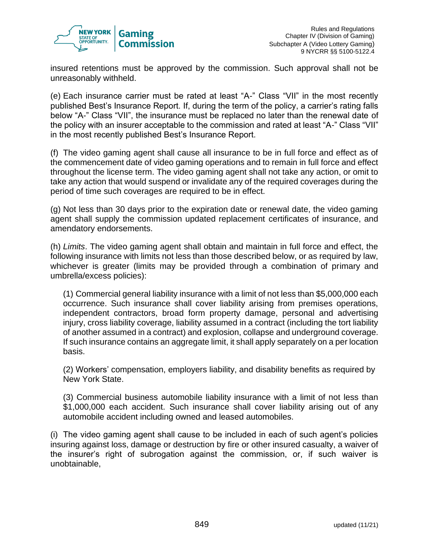

insured retentions must be approved by the commission. Such approval shall not be unreasonably withheld.

(e) Each insurance carrier must be rated at least "A-" Class "VII" in the most recently published Best's Insurance Report. If, during the term of the policy, a carrier's rating falls below "A-" Class "VII", the insurance must be replaced no later than the renewal date of the policy with an insurer acceptable to the commission and rated at least "A-" Class "VII" in the most recently published Best's Insurance Report.

(f) The video gaming agent shall cause all insurance to be in full force and effect as of the commencement date of video gaming operations and to remain in full force and effect throughout the license term. The video gaming agent shall not take any action, or omit to take any action that would suspend or invalidate any of the required coverages during the period of time such coverages are required to be in effect.

(g) Not less than 30 days prior to the expiration date or renewal date, the video gaming agent shall supply the commission updated replacement certificates of insurance, and amendatory endorsements.

(h) *Limits*. The video gaming agent shall obtain and maintain in full force and effect, the following insurance with limits not less than those described below, or as required by law, whichever is greater (limits may be provided through a combination of primary and umbrella/excess policies):

(1) Commercial general liability insurance with a limit of not less than \$5,000,000 each occurrence. Such insurance shall cover liability arising from premises operations, independent contractors, broad form property damage, personal and advertising injury, cross liability coverage, liability assumed in a contract (including the tort liability of another assumed in a contract) and explosion, collapse and underground coverage. If such insurance contains an aggregate limit, it shall apply separately on a per location basis.

(2) Workers' compensation, employers liability, and disability benefits as required by New York State.

(3) Commercial business automobile liability insurance with a limit of not less than \$1,000,000 each accident. Such insurance shall cover liability arising out of any automobile accident including owned and leased automobiles.

(i) The video gaming agent shall cause to be included in each of such agent's policies insuring against loss, damage or destruction by fire or other insured casualty, a waiver of the insurer's right of subrogation against the commission, or, if such waiver is unobtainable,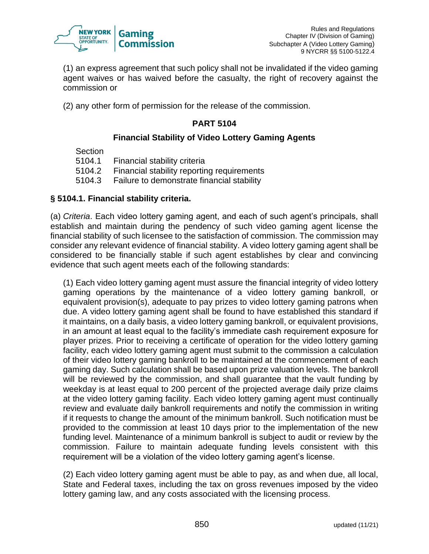

(1) an express agreement that such policy shall not be invalidated if the video gaming agent waives or has waived before the casualty, the right of recovery against the commission or

(2) any other form of permission for the release of the commission.

## **PART 5104**

## **Financial Stability of Video Lottery Gaming Agents**

Section

5104.1 Financial stability criteria

5104.2 Financial stability reporting requirements

5104.3 Failure to demonstrate financial stability

## **§ 5104.1. Financial stability criteria.**

(a) *Criteria*. Each video lottery gaming agent, and each of such agent's principals, shall establish and maintain during the pendency of such video gaming agent license the financial stability of such licensee to the satisfaction of commission. The commission may consider any relevant evidence of financial stability. A video lottery gaming agent shall be considered to be financially stable if such agent establishes by clear and convincing evidence that such agent meets each of the following standards:

(1) Each video lottery gaming agent must assure the financial integrity of video lottery gaming operations by the maintenance of a video lottery gaming bankroll, or equivalent provision(s), adequate to pay prizes to video lottery gaming patrons when due. A video lottery gaming agent shall be found to have established this standard if it maintains, on a daily basis, a video lottery gaming bankroll, or equivalent provisions, in an amount at least equal to the facility's immediate cash requirement exposure for player prizes. Prior to receiving a certificate of operation for the video lottery gaming facility, each video lottery gaming agent must submit to the commission a calculation of their video lottery gaming bankroll to be maintained at the commencement of each gaming day. Such calculation shall be based upon prize valuation levels. The bankroll will be reviewed by the commission, and shall guarantee that the vault funding by weekday is at least equal to 200 percent of the projected average daily prize claims at the video lottery gaming facility. Each video lottery gaming agent must continually review and evaluate daily bankroll requirements and notify the commission in writing if it requests to change the amount of the minimum bankroll. Such notification must be provided to the commission at least 10 days prior to the implementation of the new funding level. Maintenance of a minimum bankroll is subject to audit or review by the commission. Failure to maintain adequate funding levels consistent with this requirement will be a violation of the video lottery gaming agent's license.

(2) Each video lottery gaming agent must be able to pay, as and when due, all local, State and Federal taxes, including the tax on gross revenues imposed by the video lottery gaming law, and any costs associated with the licensing process.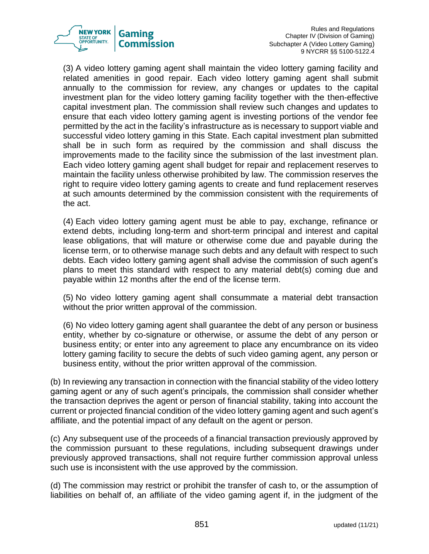

Rules and Regulations Chapter IV (Division of Gaming) Subchapter A (Video Lottery Gaming) 9 NYCRR §§ 5100-5122.4

(3) A video lottery gaming agent shall maintain the video lottery gaming facility and related amenities in good repair. Each video lottery gaming agent shall submit annually to the commission for review, any changes or updates to the capital investment plan for the video lottery gaming facility together with the then-effective capital investment plan. The commission shall review such changes and updates to ensure that each video lottery gaming agent is investing portions of the vendor fee permitted by the act in the facility's infrastructure as is necessary to support viable and successful video lottery gaming in this State. Each capital investment plan submitted shall be in such form as required by the commission and shall discuss the improvements made to the facility since the submission of the last investment plan. Each video lottery gaming agent shall budget for repair and replacement reserves to maintain the facility unless otherwise prohibited by law. The commission reserves the right to require video lottery gaming agents to create and fund replacement reserves at such amounts determined by the commission consistent with the requirements of the act.

(4) Each video lottery gaming agent must be able to pay, exchange, refinance or extend debts, including long-term and short-term principal and interest and capital lease obligations, that will mature or otherwise come due and payable during the license term, or to otherwise manage such debts and any default with respect to such debts. Each video lottery gaming agent shall advise the commission of such agent's plans to meet this standard with respect to any material debt(s) coming due and payable within 12 months after the end of the license term.

(5) No video lottery gaming agent shall consummate a material debt transaction without the prior written approval of the commission.

(6) No video lottery gaming agent shall guarantee the debt of any person or business entity, whether by co-signature or otherwise, or assume the debt of any person or business entity; or enter into any agreement to place any encumbrance on its video lottery gaming facility to secure the debts of such video gaming agent, any person or business entity, without the prior written approval of the commission.

(b) In reviewing any transaction in connection with the financial stability of the video lottery gaming agent or any of such agent's principals, the commission shall consider whether the transaction deprives the agent or person of financial stability, taking into account the current or projected financial condition of the video lottery gaming agent and such agent's affiliate, and the potential impact of any default on the agent or person.

(c) Any subsequent use of the proceeds of a financial transaction previously approved by the commission pursuant to these regulations, including subsequent drawings under previously approved transactions, shall not require further commission approval unless such use is inconsistent with the use approved by the commission.

(d) The commission may restrict or prohibit the transfer of cash to, or the assumption of liabilities on behalf of, an affiliate of the video gaming agent if, in the judgment of the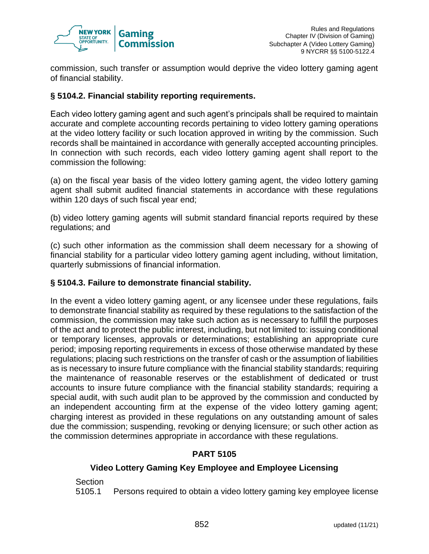

commission, such transfer or assumption would deprive the video lottery gaming agent of financial stability.

## **§ 5104.2. Financial stability reporting requirements.**

Each video lottery gaming agent and such agent's principals shall be required to maintain accurate and complete accounting records pertaining to video lottery gaming operations at the video lottery facility or such location approved in writing by the commission. Such records shall be maintained in accordance with generally accepted accounting principles. In connection with such records, each video lottery gaming agent shall report to the commission the following:

(a) on the fiscal year basis of the video lottery gaming agent, the video lottery gaming agent shall submit audited financial statements in accordance with these regulations within 120 days of such fiscal year end;

(b) video lottery gaming agents will submit standard financial reports required by these regulations; and

(c) such other information as the commission shall deem necessary for a showing of financial stability for a particular video lottery gaming agent including, without limitation, quarterly submissions of financial information.

## **§ 5104.3. Failure to demonstrate financial stability.**

In the event a video lottery gaming agent, or any licensee under these regulations, fails to demonstrate financial stability as required by these regulations to the satisfaction of the commission, the commission may take such action as is necessary to fulfill the purposes of the act and to protect the public interest, including, but not limited to: issuing conditional or temporary licenses, approvals or determinations; establishing an appropriate cure period; imposing reporting requirements in excess of those otherwise mandated by these regulations; placing such restrictions on the transfer of cash or the assumption of liabilities as is necessary to insure future compliance with the financial stability standards; requiring the maintenance of reasonable reserves or the establishment of dedicated or trust accounts to insure future compliance with the financial stability standards; requiring a special audit, with such audit plan to be approved by the commission and conducted by an independent accounting firm at the expense of the video lottery gaming agent; charging interest as provided in these regulations on any outstanding amount of sales due the commission; suspending, revoking or denying licensure; or such other action as the commission determines appropriate in accordance with these regulations.

## **PART 5105**

## **Video Lottery Gaming Key Employee and Employee Licensing**

Section

5105.1 Persons required to obtain a video lottery gaming key employee license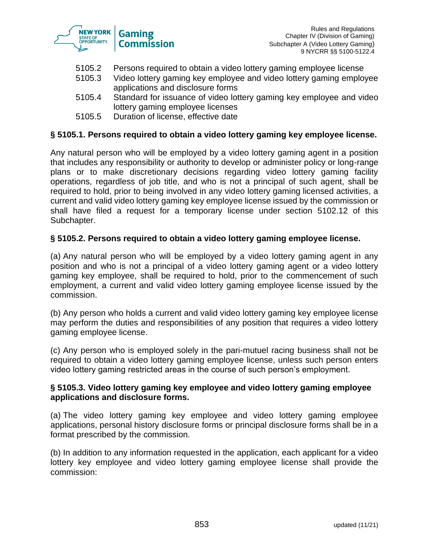

- 5105.2 Persons required to obtain a video lottery gaming employee license
- 5105.3 Video lottery gaming key employee and video lottery gaming employee applications and disclosure forms
- 5105.4 Standard for issuance of video lottery gaming key employee and video lottery gaming employee licenses
- 5105.5 Duration of license, effective date

### **§ 5105.1. Persons required to obtain a video lottery gaming key employee license.**

Any natural person who will be employed by a video lottery gaming agent in a position that includes any responsibility or authority to develop or administer policy or long-range plans or to make discretionary decisions regarding video lottery gaming facility operations, regardless of job title, and who is not a principal of such agent, shall be required to hold, prior to being involved in any video lottery gaming licensed activities, a current and valid video lottery gaming key employee license issued by the commission or shall have filed a request for a temporary license under section 5102.12 of this Subchapter.

#### **§ 5105.2. Persons required to obtain a video lottery gaming employee license.**

(a) Any natural person who will be employed by a video lottery gaming agent in any position and who is not a principal of a video lottery gaming agent or a video lottery gaming key employee, shall be required to hold, prior to the commencement of such employment, a current and valid video lottery gaming employee license issued by the commission.

(b) Any person who holds a current and valid video lottery gaming key employee license may perform the duties and responsibilities of any position that requires a video lottery gaming employee license.

(c) Any person who is employed solely in the pari-mutuel racing business shall not be required to obtain a video lottery gaming employee license, unless such person enters video lottery gaming restricted areas in the course of such person's employment.

### **§ 5105.3. Video lottery gaming key employee and video lottery gaming employee applications and disclosure forms.**

(a) The video lottery gaming key employee and video lottery gaming employee applications, personal history disclosure forms or principal disclosure forms shall be in a format prescribed by the commission.

(b) In addition to any information requested in the application, each applicant for a video lottery key employee and video lottery gaming employee license shall provide the commission: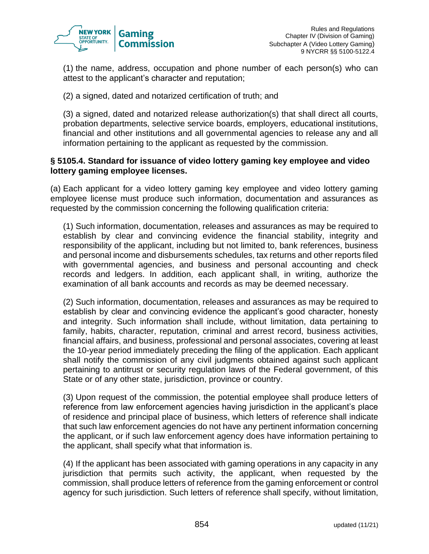

(1) the name, address, occupation and phone number of each person(s) who can attest to the applicant's character and reputation;

(2) a signed, dated and notarized certification of truth; and

(3) a signed, dated and notarized release authorization(s) that shall direct all courts, probation departments, selective service boards, employers, educational institutions, financial and other institutions and all governmental agencies to release any and all information pertaining to the applicant as requested by the commission.

### **§ 5105.4. Standard for issuance of video lottery gaming key employee and video lottery gaming employee licenses.**

(a) Each applicant for a video lottery gaming key employee and video lottery gaming employee license must produce such information, documentation and assurances as requested by the commission concerning the following qualification criteria:

(1) Such information, documentation, releases and assurances as may be required to establish by clear and convincing evidence the financial stability, integrity and responsibility of the applicant, including but not limited to, bank references, business and personal income and disbursements schedules, tax returns and other reports filed with governmental agencies, and business and personal accounting and check records and ledgers. In addition, each applicant shall, in writing, authorize the examination of all bank accounts and records as may be deemed necessary.

(2) Such information, documentation, releases and assurances as may be required to establish by clear and convincing evidence the applicant's good character, honesty and integrity. Such information shall include, without limitation, data pertaining to family, habits, character, reputation, criminal and arrest record, business activities, financial affairs, and business, professional and personal associates, covering at least the 10-year period immediately preceding the filing of the application. Each applicant shall notify the commission of any civil judgments obtained against such applicant pertaining to antitrust or security regulation laws of the Federal government, of this State or of any other state, jurisdiction, province or country.

(3) Upon request of the commission, the potential employee shall produce letters of reference from law enforcement agencies having jurisdiction in the applicant's place of residence and principal place of business, which letters of reference shall indicate that such law enforcement agencies do not have any pertinent information concerning the applicant, or if such law enforcement agency does have information pertaining to the applicant, shall specify what that information is.

(4) If the applicant has been associated with gaming operations in any capacity in any jurisdiction that permits such activity, the applicant, when requested by the commission, shall produce letters of reference from the gaming enforcement or control agency for such jurisdiction. Such letters of reference shall specify, without limitation,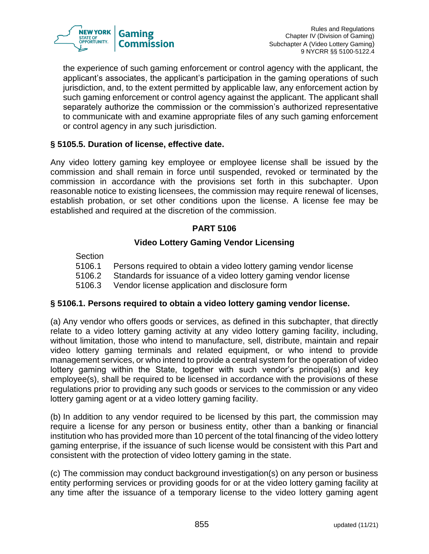

the experience of such gaming enforcement or control agency with the applicant, the applicant's associates, the applicant's participation in the gaming operations of such jurisdiction, and, to the extent permitted by applicable law, any enforcement action by such gaming enforcement or control agency against the applicant. The applicant shall separately authorize the commission or the commission's authorized representative to communicate with and examine appropriate files of any such gaming enforcement or control agency in any such jurisdiction.

## **§ 5105.5. Duration of license, effective date.**

Any video lottery gaming key employee or employee license shall be issued by the commission and shall remain in force until suspended, revoked or terminated by the commission in accordance with the provisions set forth in this subchapter. Upon reasonable notice to existing licensees, the commission may require renewal of licenses, establish probation, or set other conditions upon the license. A license fee may be established and required at the discretion of the commission.

## **PART 5106**

## **Video Lottery Gaming Vendor Licensing**

Section

5106.1 Persons required to obtain a video lottery gaming vendor license

5106.2 Standards for issuance of a video lottery gaming vendor license

5106.3 Vendor license application and disclosure form

## **§ 5106.1. Persons required to obtain a video lottery gaming vendor license.**

(a) Any vendor who offers goods or services, as defined in this subchapter, that directly relate to a video lottery gaming activity at any video lottery gaming facility, including, without limitation, those who intend to manufacture, sell, distribute, maintain and repair video lottery gaming terminals and related equipment, or who intend to provide management services, or who intend to provide a central system for the operation of video lottery gaming within the State, together with such vendor's principal(s) and key employee(s), shall be required to be licensed in accordance with the provisions of these regulations prior to providing any such goods or services to the commission or any video lottery gaming agent or at a video lottery gaming facility.

(b) In addition to any vendor required to be licensed by this part, the commission may require a license for any person or business entity, other than a banking or financial institution who has provided more than 10 percent of the total financing of the video lottery gaming enterprise, if the issuance of such license would be consistent with this Part and consistent with the protection of video lottery gaming in the state.

(c) The commission may conduct background investigation(s) on any person or business entity performing services or providing goods for or at the video lottery gaming facility at any time after the issuance of a temporary license to the video lottery gaming agent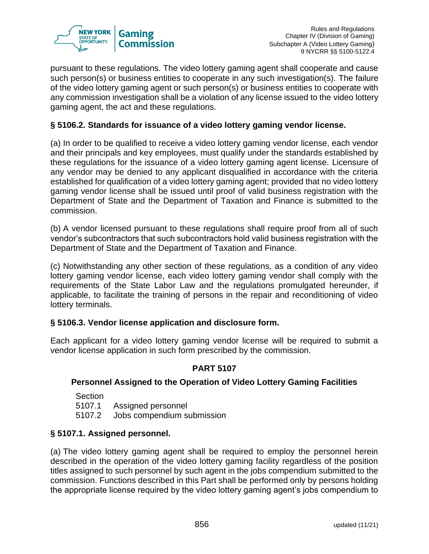

pursuant to these regulations. The video lottery gaming agent shall cooperate and cause such person(s) or business entities to cooperate in any such investigation(s). The failure of the video lottery gaming agent or such person(s) or business entities to cooperate with any commission investigation shall be a violation of any license issued to the video lottery gaming agent, the act and these regulations.

## **§ 5106.2. Standards for issuance of a video lottery gaming vendor license.**

(a) In order to be qualified to receive a video lottery gaming vendor license, each vendor and their principals and key employees, must qualify under the standards established by these regulations for the issuance of a video lottery gaming agent license. Licensure of any vendor may be denied to any applicant disqualified in accordance with the criteria established for qualification of a video lottery gaming agent; provided that no video lottery gaming vendor license shall be issued until proof of valid business registration with the Department of State and the Department of Taxation and Finance is submitted to the commission.

(b) A vendor licensed pursuant to these regulations shall require proof from all of such vendor's subcontractors that such subcontractors hold valid business registration with the Department of State and the Department of Taxation and Finance.

(c) Notwithstanding any other section of these regulations, as a condition of any video lottery gaming vendor license, each video lottery gaming vendor shall comply with the requirements of the State Labor Law and the regulations promulgated hereunder, if applicable, to facilitate the training of persons in the repair and reconditioning of video lottery terminals.

## **§ 5106.3. Vendor license application and disclosure form.**

Each applicant for a video lottery gaming vendor license will be required to submit a vendor license application in such form prescribed by the commission.

## **PART 5107**

## **Personnel Assigned to the Operation of Video Lottery Gaming Facilities**

- **Section** 5107.1 Assigned personnel
- 5107.2 Jobs compendium submission

## **§ 5107.1. Assigned personnel.**

(a) The video lottery gaming agent shall be required to employ the personnel herein described in the operation of the video lottery gaming facility regardless of the position titles assigned to such personnel by such agent in the jobs compendium submitted to the commission. Functions described in this Part shall be performed only by persons holding the appropriate license required by the video lottery gaming agent's jobs compendium to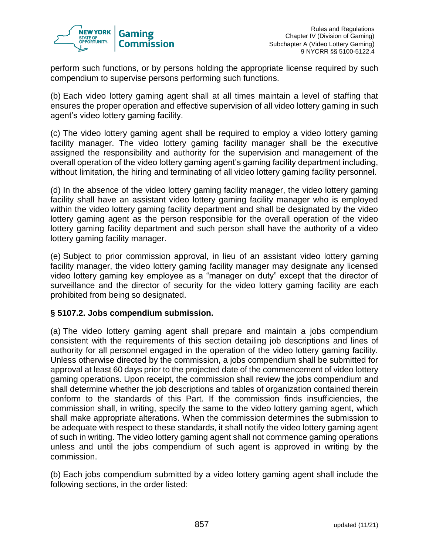

perform such functions, or by persons holding the appropriate license required by such compendium to supervise persons performing such functions.

(b) Each video lottery gaming agent shall at all times maintain a level of staffing that ensures the proper operation and effective supervision of all video lottery gaming in such agent's video lottery gaming facility.

(c) The video lottery gaming agent shall be required to employ a video lottery gaming facility manager. The video lottery gaming facility manager shall be the executive assigned the responsibility and authority for the supervision and management of the overall operation of the video lottery gaming agent's gaming facility department including, without limitation, the hiring and terminating of all video lottery gaming facility personnel.

(d) In the absence of the video lottery gaming facility manager, the video lottery gaming facility shall have an assistant video lottery gaming facility manager who is employed within the video lottery gaming facility department and shall be designated by the video lottery gaming agent as the person responsible for the overall operation of the video lottery gaming facility department and such person shall have the authority of a video lottery gaming facility manager.

(e) Subject to prior commission approval, in lieu of an assistant video lottery gaming facility manager, the video lottery gaming facility manager may designate any licensed video lottery gaming key employee as a "manager on duty" except that the director of surveillance and the director of security for the video lottery gaming facility are each prohibited from being so designated.

## **§ 5107.2. Jobs compendium submission.**

(a) The video lottery gaming agent shall prepare and maintain a jobs compendium consistent with the requirements of this section detailing job descriptions and lines of authority for all personnel engaged in the operation of the video lottery gaming facility. Unless otherwise directed by the commission, a jobs compendium shall be submitted for approval at least 60 days prior to the projected date of the commencement of video lottery gaming operations. Upon receipt, the commission shall review the jobs compendium and shall determine whether the job descriptions and tables of organization contained therein conform to the standards of this Part. If the commission finds insufficiencies, the commission shall, in writing, specify the same to the video lottery gaming agent, which shall make appropriate alterations. When the commission determines the submission to be adequate with respect to these standards, it shall notify the video lottery gaming agent of such in writing. The video lottery gaming agent shall not commence gaming operations unless and until the jobs compendium of such agent is approved in writing by the commission.

(b) Each jobs compendium submitted by a video lottery gaming agent shall include the following sections, in the order listed: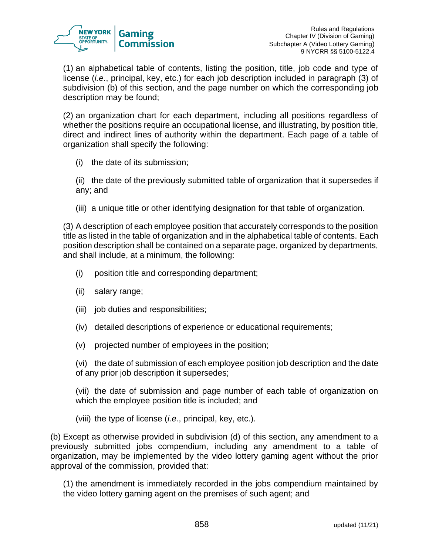

(1) an alphabetical table of contents, listing the position, title, job code and type of license (*i.e.*, principal, key, etc.) for each job description included in paragraph (3) of subdivision (b) of this section, and the page number on which the corresponding job description may be found;

(2) an organization chart for each department, including all positions regardless of whether the positions require an occupational license, and illustrating, by position title, direct and indirect lines of authority within the department. Each page of a table of organization shall specify the following:

(i) the date of its submission;

(ii) the date of the previously submitted table of organization that it supersedes if any; and

(iii) a unique title or other identifying designation for that table of organization.

(3) A description of each employee position that accurately corresponds to the position title as listed in the table of organization and in the alphabetical table of contents. Each position description shall be contained on a separate page, organized by departments, and shall include, at a minimum, the following:

- (i) position title and corresponding department;
- (ii) salary range;
- (iii) job duties and responsibilities;
- (iv) detailed descriptions of experience or educational requirements;
- (v) projected number of employees in the position;

(vi) the date of submission of each employee position job description and the date of any prior job description it supersedes;

(vii) the date of submission and page number of each table of organization on which the employee position title is included; and

(viii) the type of license (*i.e.*, principal, key, etc.).

(b) Except as otherwise provided in subdivision (d) of this section, any amendment to a previously submitted jobs compendium, including any amendment to a table of organization, may be implemented by the video lottery gaming agent without the prior approval of the commission, provided that:

(1) the amendment is immediately recorded in the jobs compendium maintained by the video lottery gaming agent on the premises of such agent; and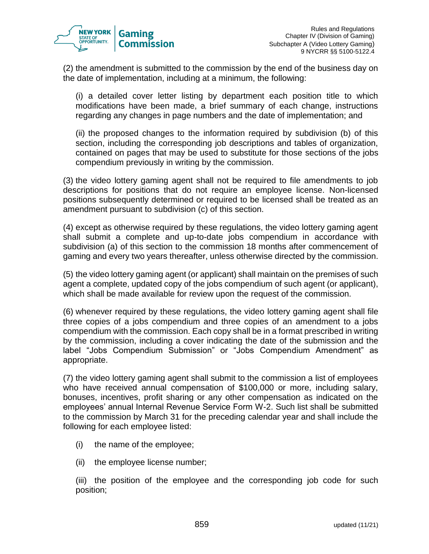

(2) the amendment is submitted to the commission by the end of the business day on the date of implementation, including at a minimum, the following:

(i) a detailed cover letter listing by department each position title to which modifications have been made, a brief summary of each change, instructions regarding any changes in page numbers and the date of implementation; and

(ii) the proposed changes to the information required by subdivision (b) of this section, including the corresponding job descriptions and tables of organization, contained on pages that may be used to substitute for those sections of the jobs compendium previously in writing by the commission.

(3) the video lottery gaming agent shall not be required to file amendments to job descriptions for positions that do not require an employee license. Non-licensed positions subsequently determined or required to be licensed shall be treated as an amendment pursuant to subdivision (c) of this section.

(4) except as otherwise required by these regulations, the video lottery gaming agent shall submit a complete and up-to-date jobs compendium in accordance with subdivision (a) of this section to the commission 18 months after commencement of gaming and every two years thereafter, unless otherwise directed by the commission.

(5) the video lottery gaming agent (or applicant) shall maintain on the premises of such agent a complete, updated copy of the jobs compendium of such agent (or applicant), which shall be made available for review upon the request of the commission.

(6) whenever required by these regulations, the video lottery gaming agent shall file three copies of a jobs compendium and three copies of an amendment to a jobs compendium with the commission. Each copy shall be in a format prescribed in writing by the commission, including a cover indicating the date of the submission and the label "Jobs Compendium Submission" or "Jobs Compendium Amendment" as appropriate.

(7) the video lottery gaming agent shall submit to the commission a list of employees who have received annual compensation of \$100,000 or more, including salary, bonuses, incentives, profit sharing or any other compensation as indicated on the employees' annual Internal Revenue Service Form W-2. Such list shall be submitted to the commission by March 31 for the preceding calendar year and shall include the following for each employee listed:

- (i) the name of the employee;
- (ii) the employee license number;

(iii) the position of the employee and the corresponding job code for such position;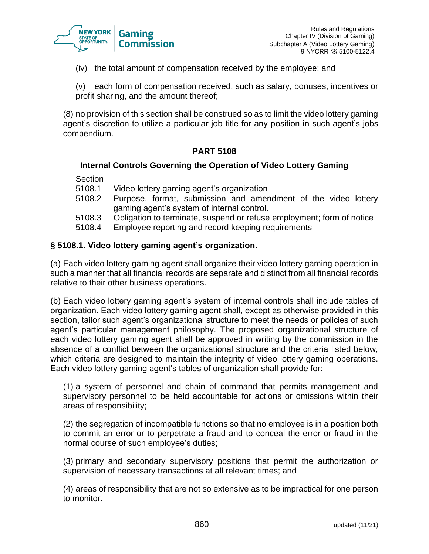

(iv) the total amount of compensation received by the employee; and

(v) each form of compensation received, such as salary, bonuses, incentives or profit sharing, and the amount thereof;

(8) no provision of this section shall be construed so as to limit the video lottery gaming agent's discretion to utilize a particular job title for any position in such agent's jobs compendium.

## **PART 5108**

#### **Internal Controls Governing the Operation of Video Lottery Gaming**

Section

- 5108.1 Video lottery gaming agent's organization
- 5108.2 Purpose, format, submission and amendment of the video lottery gaming agent's system of internal control.
- 5108.3 Obligation to terminate, suspend or refuse employment; form of notice
- 5108.4 Employee reporting and record keeping requirements

## **§ 5108.1. Video lottery gaming agent's organization.**

(a) Each video lottery gaming agent shall organize their video lottery gaming operation in such a manner that all financial records are separate and distinct from all financial records relative to their other business operations.

(b) Each video lottery gaming agent's system of internal controls shall include tables of organization. Each video lottery gaming agent shall, except as otherwise provided in this section, tailor such agent's organizational structure to meet the needs or policies of such agent's particular management philosophy. The proposed organizational structure of each video lottery gaming agent shall be approved in writing by the commission in the absence of a conflict between the organizational structure and the criteria listed below, which criteria are designed to maintain the integrity of video lottery gaming operations. Each video lottery gaming agent's tables of organization shall provide for:

(1) a system of personnel and chain of command that permits management and supervisory personnel to be held accountable for actions or omissions within their areas of responsibility;

(2) the segregation of incompatible functions so that no employee is in a position both to commit an error or to perpetrate a fraud and to conceal the error or fraud in the normal course of such employee's duties;

(3) primary and secondary supervisory positions that permit the authorization or supervision of necessary transactions at all relevant times; and

(4) areas of responsibility that are not so extensive as to be impractical for one person to monitor.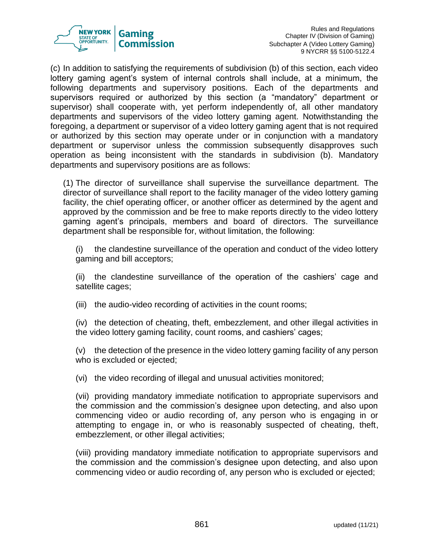

(c) In addition to satisfying the requirements of subdivision (b) of this section, each video lottery gaming agent's system of internal controls shall include, at a minimum, the following departments and supervisory positions. Each of the departments and supervisors required or authorized by this section (a "mandatory" department or supervisor) shall cooperate with, yet perform independently of, all other mandatory departments and supervisors of the video lottery gaming agent. Notwithstanding the foregoing, a department or supervisor of a video lottery gaming agent that is not required or authorized by this section may operate under or in conjunction with a mandatory department or supervisor unless the commission subsequently disapproves such operation as being inconsistent with the standards in subdivision (b). Mandatory departments and supervisory positions are as follows:

(1) The director of surveillance shall supervise the surveillance department. The director of surveillance shall report to the facility manager of the video lottery gaming facility, the chief operating officer, or another officer as determined by the agent and approved by the commission and be free to make reports directly to the video lottery gaming agent's principals, members and board of directors. The surveillance department shall be responsible for, without limitation, the following:

(i) the clandestine surveillance of the operation and conduct of the video lottery gaming and bill acceptors;

(ii) the clandestine surveillance of the operation of the cashiers' cage and satellite cages;

(iii) the audio-video recording of activities in the count rooms;

(iv) the detection of cheating, theft, embezzlement, and other illegal activities in the video lottery gaming facility, count rooms, and cashiers' cages;

(v) the detection of the presence in the video lottery gaming facility of any person who is excluded or ejected;

(vi) the video recording of illegal and unusual activities monitored;

(vii) providing mandatory immediate notification to appropriate supervisors and the commission and the commission's designee upon detecting, and also upon commencing video or audio recording of, any person who is engaging in or attempting to engage in, or who is reasonably suspected of cheating, theft, embezzlement, or other illegal activities;

(viii) providing mandatory immediate notification to appropriate supervisors and the commission and the commission's designee upon detecting, and also upon commencing video or audio recording of, any person who is excluded or ejected;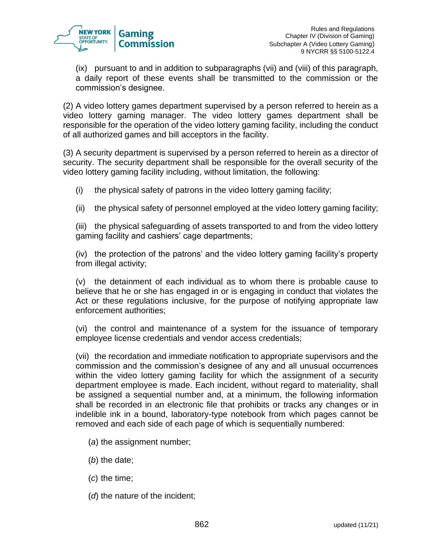

(ix) pursuant to and in addition to subparagraphs (vii) and (viii) of this paragraph, a daily report of these events shall be transmitted to the commission or the commission's designee.

(2) A video lottery games department supervised by a person referred to herein as a video lottery gaming manager. The video lottery games department shall be responsible for the operation of the video lottery gaming facility, including the conduct of all authorized games and bill acceptors in the facility.

(3) A security department is supervised by a person referred to herein as a director of security. The security department shall be responsible for the overall security of the video lottery gaming facility including, without limitation, the following:

- (i) the physical safety of patrons in the video lottery gaming facility;
- (ii) the physical safety of personnel employed at the video lottery gaming facility;

(iii) the physical safeguarding of assets transported to and from the video lottery gaming facility and cashiers' cage departments;

(iv) the protection of the patrons' and the video lottery gaming facility's property from illegal activity;

(v) the detainment of each individual as to whom there is probable cause to believe that he or she has engaged in or is engaging in conduct that violates the Act or these regulations inclusive, for the purpose of notifying appropriate law enforcement authorities;

(vi) the control and maintenance of a system for the issuance of temporary employee license credentials and vendor access credentials;

(vii) the recordation and immediate notification to appropriate supervisors and the commission and the commission's designee of any and all unusual occurrences within the video lottery gaming facility for which the assignment of a security department employee is made. Each incident, without regard to materiality, shall be assigned a sequential number and, at a minimum, the following information shall be recorded in an electronic file that prohibits or tracks any changes or in indelible ink in a bound, laboratory-type notebook from which pages cannot be removed and each side of each page of which is sequentially numbered:

- (*a*) the assignment number;
- (*b*) the date;
- (*c*) the time;
- (*d*) the nature of the incident;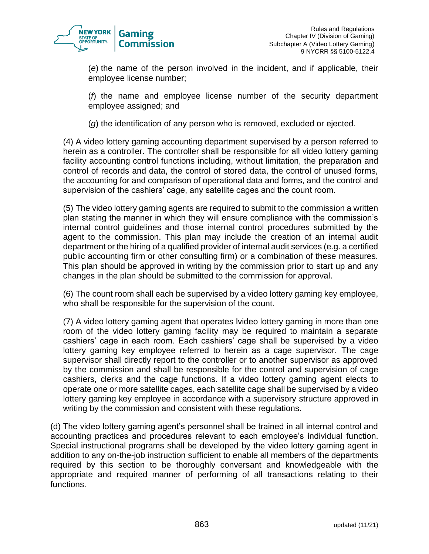

(*e*) the name of the person involved in the incident, and if applicable, their employee license number;

(*f*) the name and employee license number of the security department employee assigned; and

(*g*) the identification of any person who is removed, excluded or ejected.

(4) A video lottery gaming accounting department supervised by a person referred to herein as a controller. The controller shall be responsible for all video lottery gaming facility accounting control functions including, without limitation, the preparation and control of records and data, the control of stored data, the control of unused forms, the accounting for and comparison of operational data and forms, and the control and supervision of the cashiers' cage, any satellite cages and the count room.

(5) The video lottery gaming agents are required to submit to the commission a written plan stating the manner in which they will ensure compliance with the commission's internal control guidelines and those internal control procedures submitted by the agent to the commission. This plan may include the creation of an internal audit department or the hiring of a qualified provider of internal audit services (e.g. a certified public accounting firm or other consulting firm) or a combination of these measures. This plan should be approved in writing by the commission prior to start up and any changes in the plan should be submitted to the commission for approval.

(6) The count room shall each be supervised by a video lottery gaming key employee, who shall be responsible for the supervision of the count.

(7) A video lottery gaming agent that operates lvideo lottery gaming in more than one room of the video lottery gaming facility may be required to maintain a separate cashiers' cage in each room. Each cashiers' cage shall be supervised by a video lottery gaming key employee referred to herein as a cage supervisor. The cage supervisor shall directly report to the controller or to another supervisor as approved by the commission and shall be responsible for the control and supervision of cage cashiers, clerks and the cage functions. If a video lottery gaming agent elects to operate one or more satellite cages, each satellite cage shall be supervised by a video lottery gaming key employee in accordance with a supervisory structure approved in writing by the commission and consistent with these regulations.

(d) The video lottery gaming agent's personnel shall be trained in all internal control and accounting practices and procedures relevant to each employee's individual function. Special instructional programs shall be developed by the video lottery gaming agent in addition to any on-the-job instruction sufficient to enable all members of the departments required by this section to be thoroughly conversant and knowledgeable with the appropriate and required manner of performing of all transactions relating to their functions.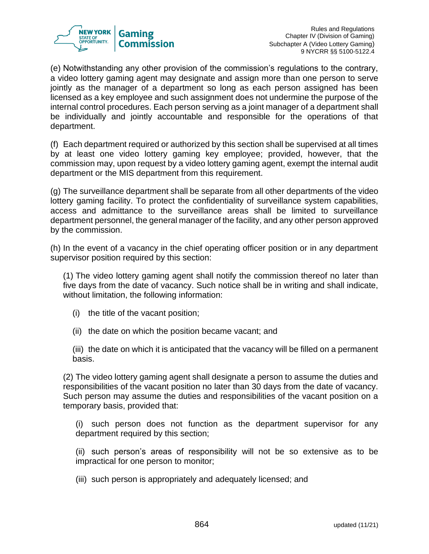

(e) Notwithstanding any other provision of the commission's regulations to the contrary, a video lottery gaming agent may designate and assign more than one person to serve jointly as the manager of a department so long as each person assigned has been licensed as a key employee and such assignment does not undermine the purpose of the internal control procedures. Each person serving as a joint manager of a department shall be individually and jointly accountable and responsible for the operations of that department.

(f) Each department required or authorized by this section shall be supervised at all times by at least one video lottery gaming key employee; provided, however, that the commission may, upon request by a video lottery gaming agent, exempt the internal audit department or the MIS department from this requirement.

(g) The surveillance department shall be separate from all other departments of the video lottery gaming facility. To protect the confidentiality of surveillance system capabilities, access and admittance to the surveillance areas shall be limited to surveillance department personnel, the general manager of the facility, and any other person approved by the commission.

(h) In the event of a vacancy in the chief operating officer position or in any department supervisor position required by this section:

(1) The video lottery gaming agent shall notify the commission thereof no later than five days from the date of vacancy. Such notice shall be in writing and shall indicate, without limitation, the following information:

- (i) the title of the vacant position;
- (ii) the date on which the position became vacant; and

(iii) the date on which it is anticipated that the vacancy will be filled on a permanent basis.

(2) The video lottery gaming agent shall designate a person to assume the duties and responsibilities of the vacant position no later than 30 days from the date of vacancy. Such person may assume the duties and responsibilities of the vacant position on a temporary basis, provided that:

(i) such person does not function as the department supervisor for any department required by this section;

(ii) such person's areas of responsibility will not be so extensive as to be impractical for one person to monitor;

(iii) such person is appropriately and adequately licensed; and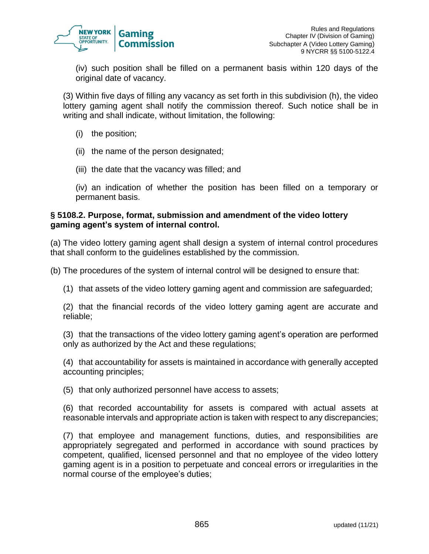

(iv) such position shall be filled on a permanent basis within 120 days of the original date of vacancy.

(3) Within five days of filling any vacancy as set forth in this subdivision (h), the video lottery gaming agent shall notify the commission thereof. Such notice shall be in writing and shall indicate, without limitation, the following:

- (i) the position;
- (ii) the name of the person designated;
- (iii) the date that the vacancy was filled; and

(iv) an indication of whether the position has been filled on a temporary or permanent basis.

#### **§ 5108.2. Purpose, format, submission and amendment of the video lottery gaming agent's system of internal control.**

(a) The video lottery gaming agent shall design a system of internal control procedures that shall conform to the guidelines established by the commission.

(b) The procedures of the system of internal control will be designed to ensure that:

(1) that assets of the video lottery gaming agent and commission are safeguarded;

(2) that the financial records of the video lottery gaming agent are accurate and reliable;

(3) that the transactions of the video lottery gaming agent's operation are performed only as authorized by the Act and these regulations;

(4) that accountability for assets is maintained in accordance with generally accepted accounting principles;

(5) that only authorized personnel have access to assets;

(6) that recorded accountability for assets is compared with actual assets at reasonable intervals and appropriate action is taken with respect to any discrepancies;

(7) that employee and management functions, duties, and responsibilities are appropriately segregated and performed in accordance with sound practices by competent, qualified, licensed personnel and that no employee of the video lottery gaming agent is in a position to perpetuate and conceal errors or irregularities in the normal course of the employee's duties;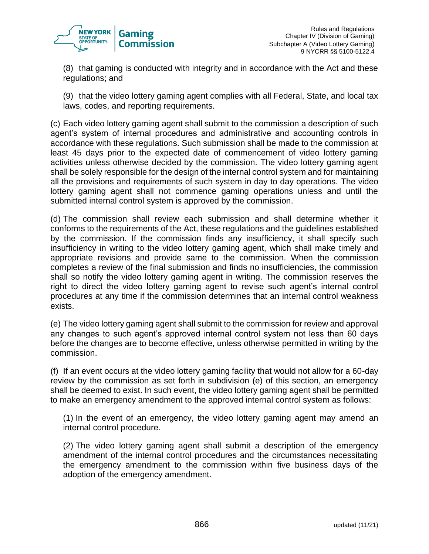

(8) that gaming is conducted with integrity and in accordance with the Act and these regulations; and

(9) that the video lottery gaming agent complies with all Federal, State, and local tax laws, codes, and reporting requirements.

(c) Each video lottery gaming agent shall submit to the commission a description of such agent's system of internal procedures and administrative and accounting controls in accordance with these regulations. Such submission shall be made to the commission at least 45 days prior to the expected date of commencement of video lottery gaming activities unless otherwise decided by the commission. The video lottery gaming agent shall be solely responsible for the design of the internal control system and for maintaining all the provisions and requirements of such system in day to day operations. The video lottery gaming agent shall not commence gaming operations unless and until the submitted internal control system is approved by the commission.

(d) The commission shall review each submission and shall determine whether it conforms to the requirements of the Act, these regulations and the guidelines established by the commission. If the commission finds any insufficiency, it shall specify such insufficiency in writing to the video lottery gaming agent, which shall make timely and appropriate revisions and provide same to the commission. When the commission completes a review of the final submission and finds no insufficiencies, the commission shall so notify the video lottery gaming agent in writing. The commission reserves the right to direct the video lottery gaming agent to revise such agent's internal control procedures at any time if the commission determines that an internal control weakness exists.

(e) The video lottery gaming agent shall submit to the commission for review and approval any changes to such agent's approved internal control system not less than 60 days before the changes are to become effective, unless otherwise permitted in writing by the commission.

(f) If an event occurs at the video lottery gaming facility that would not allow for a 60-day review by the commission as set forth in subdivision (e) of this section, an emergency shall be deemed to exist. In such event, the video lottery gaming agent shall be permitted to make an emergency amendment to the approved internal control system as follows:

(1) In the event of an emergency, the video lottery gaming agent may amend an internal control procedure.

(2) The video lottery gaming agent shall submit a description of the emergency amendment of the internal control procedures and the circumstances necessitating the emergency amendment to the commission within five business days of the adoption of the emergency amendment.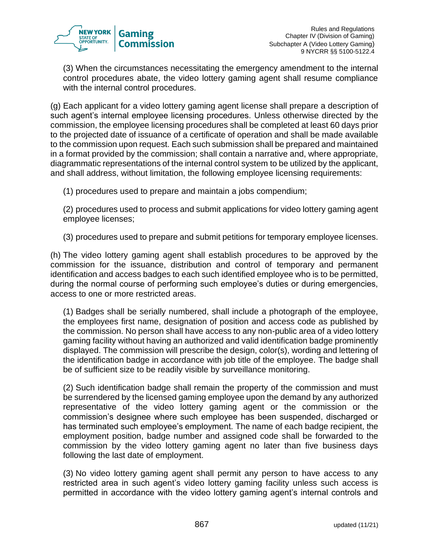

(3) When the circumstances necessitating the emergency amendment to the internal control procedures abate, the video lottery gaming agent shall resume compliance with the internal control procedures.

(g) Each applicant for a video lottery gaming agent license shall prepare a description of such agent's internal employee licensing procedures. Unless otherwise directed by the commission, the employee licensing procedures shall be completed at least 60 days prior to the projected date of issuance of a certificate of operation and shall be made available to the commission upon request. Each such submission shall be prepared and maintained in a format provided by the commission; shall contain a narrative and, where appropriate, diagrammatic representations of the internal control system to be utilized by the applicant, and shall address, without limitation, the following employee licensing requirements:

(1) procedures used to prepare and maintain a jobs compendium;

(2) procedures used to process and submit applications for video lottery gaming agent employee licenses;

(3) procedures used to prepare and submit petitions for temporary employee licenses.

(h) The video lottery gaming agent shall establish procedures to be approved by the commission for the issuance, distribution and control of temporary and permanent identification and access badges to each such identified employee who is to be permitted, during the normal course of performing such employee's duties or during emergencies, access to one or more restricted areas.

(1) Badges shall be serially numbered, shall include a photograph of the employee, the employees first name, designation of position and access code as published by the commission. No person shall have access to any non-public area of a video lottery gaming facility without having an authorized and valid identification badge prominently displayed. The commission will prescribe the design, color(s), wording and lettering of the identification badge in accordance with job title of the employee. The badge shall be of sufficient size to be readily visible by surveillance monitoring.

(2) Such identification badge shall remain the property of the commission and must be surrendered by the licensed gaming employee upon the demand by any authorized representative of the video lottery gaming agent or the commission or the commission's designee where such employee has been suspended, discharged or has terminated such employee's employment. The name of each badge recipient, the employment position, badge number and assigned code shall be forwarded to the commission by the video lottery gaming agent no later than five business days following the last date of employment.

(3) No video lottery gaming agent shall permit any person to have access to any restricted area in such agent's video lottery gaming facility unless such access is permitted in accordance with the video lottery gaming agent's internal controls and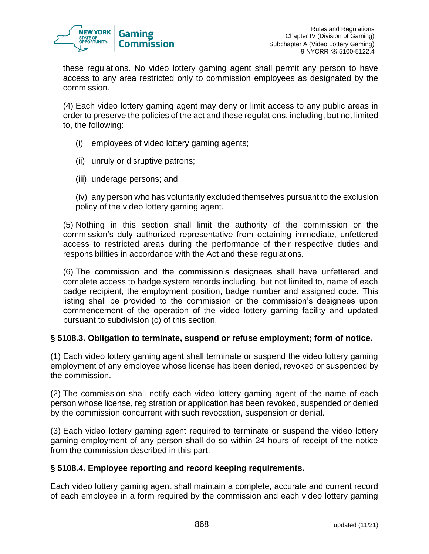

these regulations. No video lottery gaming agent shall permit any person to have access to any area restricted only to commission employees as designated by the commission.

(4) Each video lottery gaming agent may deny or limit access to any public areas in order to preserve the policies of the act and these regulations, including, but not limited to, the following:

- (i) employees of video lottery gaming agents;
- (ii) unruly or disruptive patrons;
- (iii) underage persons; and

(iv) any person who has voluntarily excluded themselves pursuant to the exclusion policy of the video lottery gaming agent.

(5) Nothing in this section shall limit the authority of the commission or the commission's duly authorized representative from obtaining immediate, unfettered access to restricted areas during the performance of their respective duties and responsibilities in accordance with the Act and these regulations.

(6) The commission and the commission's designees shall have unfettered and complete access to badge system records including, but not limited to, name of each badge recipient, the employment position, badge number and assigned code. This listing shall be provided to the commission or the commission's designees upon commencement of the operation of the video lottery gaming facility and updated pursuant to subdivision (c) of this section.

## **§ 5108.3. Obligation to terminate, suspend or refuse employment; form of notice.**

(1) Each video lottery gaming agent shall terminate or suspend the video lottery gaming employment of any employee whose license has been denied, revoked or suspended by the commission.

(2) The commission shall notify each video lottery gaming agent of the name of each person whose license, registration or application has been revoked, suspended or denied by the commission concurrent with such revocation, suspension or denial.

(3) Each video lottery gaming agent required to terminate or suspend the video lottery gaming employment of any person shall do so within 24 hours of receipt of the notice from the commission described in this part.

## **§ 5108.4. Employee reporting and record keeping requirements.**

Each video lottery gaming agent shall maintain a complete, accurate and current record of each employee in a form required by the commission and each video lottery gaming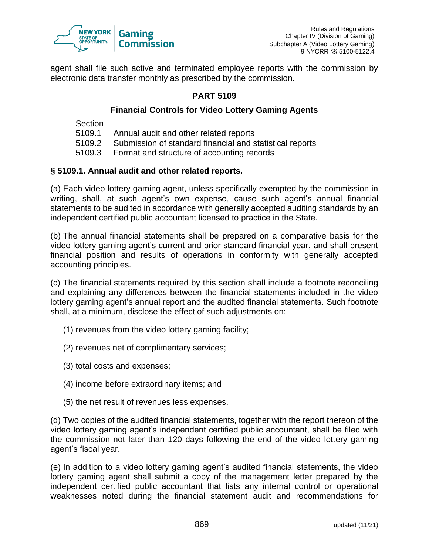

agent shall file such active and terminated employee reports with the commission by electronic data transfer monthly as prescribed by the commission.

## **PART 5109**

## **Financial Controls for Video Lottery Gaming Agents**

Section

- 5109.1 Annual audit and other related reports
- 5109.2 Submission of standard financial and statistical reports
- 5109.3 Format and structure of accounting records

#### **§ 5109.1. Annual audit and other related reports.**

(a) Each video lottery gaming agent, unless specifically exempted by the commission in writing, shall, at such agent's own expense, cause such agent's annual financial statements to be audited in accordance with generally accepted auditing standards by an independent certified public accountant licensed to practice in the State.

(b) The annual financial statements shall be prepared on a comparative basis for the video lottery gaming agent's current and prior standard financial year, and shall present financial position and results of operations in conformity with generally accepted accounting principles.

(c) The financial statements required by this section shall include a footnote reconciling and explaining any differences between the financial statements included in the video lottery gaming agent's annual report and the audited financial statements. Such footnote shall, at a minimum, disclose the effect of such adjustments on:

- (1) revenues from the video lottery gaming facility;
- (2) revenues net of complimentary services;
- (3) total costs and expenses;
- (4) income before extraordinary items; and
- (5) the net result of revenues less expenses.

(d) Two copies of the audited financial statements, together with the report thereon of the video lottery gaming agent's independent certified public accountant, shall be filed with the commission not later than 120 days following the end of the video lottery gaming agent's fiscal year.

(e) In addition to a video lottery gaming agent's audited financial statements, the video lottery gaming agent shall submit a copy of the management letter prepared by the independent certified public accountant that lists any internal control or operational weaknesses noted during the financial statement audit and recommendations for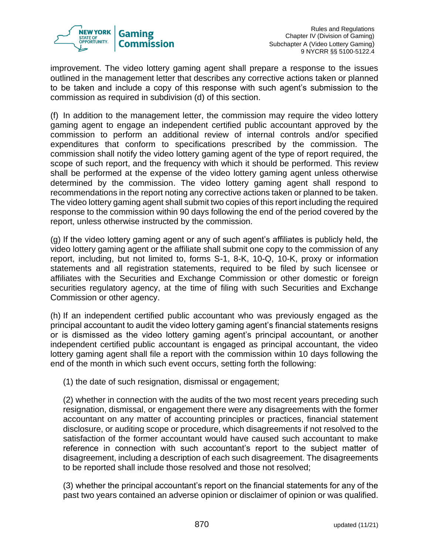

improvement. The video lottery gaming agent shall prepare a response to the issues outlined in the management letter that describes any corrective actions taken or planned to be taken and include a copy of this response with such agent's submission to the commission as required in subdivision (d) of this section.

(f) In addition to the management letter, the commission may require the video lottery gaming agent to engage an independent certified public accountant approved by the commission to perform an additional review of internal controls and/or specified expenditures that conform to specifications prescribed by the commission. The commission shall notify the video lottery gaming agent of the type of report required, the scope of such report, and the frequency with which it should be performed. This review shall be performed at the expense of the video lottery gaming agent unless otherwise determined by the commission. The video lottery gaming agent shall respond to recommendations in the report noting any corrective actions taken or planned to be taken. The video lottery gaming agent shall submit two copies of this report including the required response to the commission within 90 days following the end of the period covered by the report, unless otherwise instructed by the commission.

(g) If the video lottery gaming agent or any of such agent's affiliates is publicly held, the video lottery gaming agent or the affiliate shall submit one copy to the commission of any report, including, but not limited to, forms S-1, 8-K, 10-Q, 10-K, proxy or information statements and all registration statements, required to be filed by such licensee or affiliates with the Securities and Exchange Commission or other domestic or foreign securities regulatory agency, at the time of filing with such Securities and Exchange Commission or other agency.

(h) If an independent certified public accountant who was previously engaged as the principal accountant to audit the video lottery gaming agent's financial statements resigns or is dismissed as the video lottery gaming agent's principal accountant, or another independent certified public accountant is engaged as principal accountant, the video lottery gaming agent shall file a report with the commission within 10 days following the end of the month in which such event occurs, setting forth the following:

(1) the date of such resignation, dismissal or engagement;

(2) whether in connection with the audits of the two most recent years preceding such resignation, dismissal, or engagement there were any disagreements with the former accountant on any matter of accounting principles or practices, financial statement disclosure, or auditing scope or procedure, which disagreements if not resolved to the satisfaction of the former accountant would have caused such accountant to make reference in connection with such accountant's report to the subject matter of disagreement, including a description of each such disagreement. The disagreements to be reported shall include those resolved and those not resolved;

(3) whether the principal accountant's report on the financial statements for any of the past two years contained an adverse opinion or disclaimer of opinion or was qualified.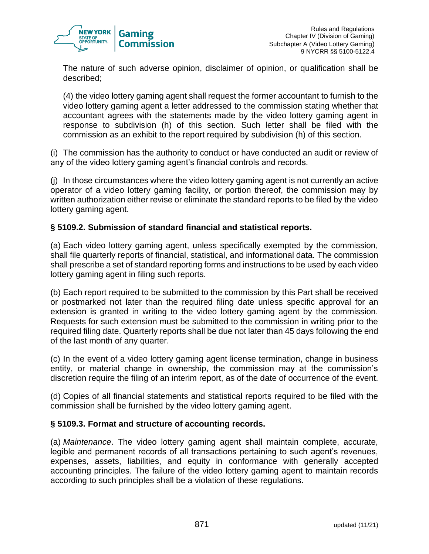

The nature of such adverse opinion, disclaimer of opinion, or qualification shall be described;

(4) the video lottery gaming agent shall request the former accountant to furnish to the video lottery gaming agent a letter addressed to the commission stating whether that accountant agrees with the statements made by the video lottery gaming agent in response to subdivision (h) of this section. Such letter shall be filed with the commission as an exhibit to the report required by subdivision (h) of this section.

(i) The commission has the authority to conduct or have conducted an audit or review of any of the video lottery gaming agent's financial controls and records.

(j) In those circumstances where the video lottery gaming agent is not currently an active operator of a video lottery gaming facility, or portion thereof, the commission may by written authorization either revise or eliminate the standard reports to be filed by the video lottery gaming agent.

## **§ 5109.2. Submission of standard financial and statistical reports.**

(a) Each video lottery gaming agent, unless specifically exempted by the commission, shall file quarterly reports of financial, statistical, and informational data. The commission shall prescribe a set of standard reporting forms and instructions to be used by each video lottery gaming agent in filing such reports.

(b) Each report required to be submitted to the commission by this Part shall be received or postmarked not later than the required filing date unless specific approval for an extension is granted in writing to the video lottery gaming agent by the commission. Requests for such extension must be submitted to the commission in writing prior to the required filing date. Quarterly reports shall be due not later than 45 days following the end of the last month of any quarter.

(c) In the event of a video lottery gaming agent license termination, change in business entity, or material change in ownership, the commission may at the commission's discretion require the filing of an interim report, as of the date of occurrence of the event.

(d) Copies of all financial statements and statistical reports required to be filed with the commission shall be furnished by the video lottery gaming agent.

## **§ 5109.3. Format and structure of accounting records.**

(a) *Maintenance*. The video lottery gaming agent shall maintain complete, accurate, legible and permanent records of all transactions pertaining to such agent's revenues, expenses, assets, liabilities, and equity in conformance with generally accepted accounting principles. The failure of the video lottery gaming agent to maintain records according to such principles shall be a violation of these regulations.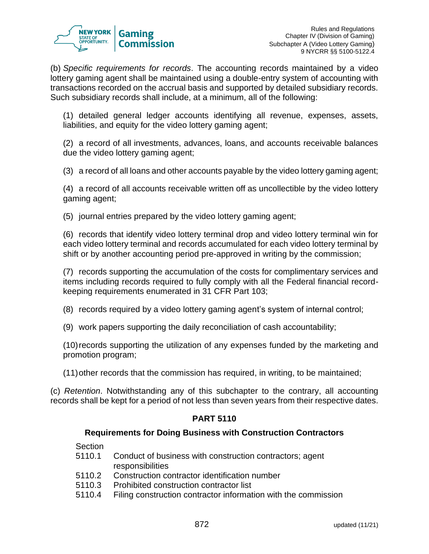

(b) *Specific requirements for records*. The accounting records maintained by a video lottery gaming agent shall be maintained using a double-entry system of accounting with transactions recorded on the accrual basis and supported by detailed subsidiary records. Such subsidiary records shall include, at a minimum, all of the following:

(1) detailed general ledger accounts identifying all revenue, expenses, assets, liabilities, and equity for the video lottery gaming agent:

(2) a record of all investments, advances, loans, and accounts receivable balances due the video lottery gaming agent;

(3) a record of all loans and other accounts payable by the video lottery gaming agent;

(4) a record of all accounts receivable written off as uncollectible by the video lottery gaming agent;

(5) journal entries prepared by the video lottery gaming agent;

(6) records that identify video lottery terminal drop and video lottery terminal win for each video lottery terminal and records accumulated for each video lottery terminal by shift or by another accounting period pre-approved in writing by the commission;

(7) records supporting the accumulation of the costs for complimentary services and items including records required to fully comply with all the Federal financial recordkeeping requirements enumerated in 31 CFR Part 103;

(8) records required by a video lottery gaming agent's system of internal control;

(9) work papers supporting the daily reconciliation of cash accountability;

(10)records supporting the utilization of any expenses funded by the marketing and promotion program;

(11)other records that the commission has required, in writing, to be maintained;

(c) *Retention*. Notwithstanding any of this subchapter to the contrary, all accounting records shall be kept for a period of not less than seven years from their respective dates.

# **PART 5110**

## **Requirements for Doing Business with Construction Contractors**

- **Section**
- 5110.1 Conduct of business with construction contractors; agent responsibilities
- 5110.2 Construction contractor identification number
- 5110.3 Prohibited construction contractor list
- 5110.4 Filing construction contractor information with the commission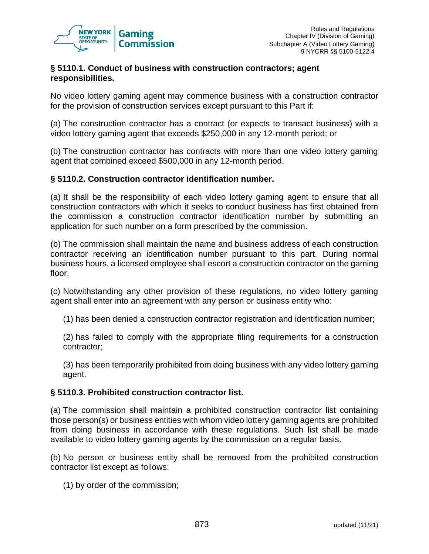

#### **§ 5110.1. Conduct of business with construction contractors; agent responsibilities.**

No video lottery gaming agent may commence business with a construction contractor for the provision of construction services except pursuant to this Part if:

(a) The construction contractor has a contract (or expects to transact business) with a video lottery gaming agent that exceeds \$250,000 in any 12-month period; or

(b) The construction contractor has contracts with more than one video lottery gaming agent that combined exceed \$500,000 in any 12-month period.

#### **§ 5110.2. Construction contractor identification number.**

(a) It shall be the responsibility of each video lottery gaming agent to ensure that all construction contractors with which it seeks to conduct business has first obtained from the commission a construction contractor identification number by submitting an application for such number on a form prescribed by the commission.

(b) The commission shall maintain the name and business address of each construction contractor receiving an identification number pursuant to this part. During normal business hours, a licensed employee shall escort a construction contractor on the gaming floor.

(c) Notwithstanding any other provision of these regulations, no video lottery gaming agent shall enter into an agreement with any person or business entity who:

(1) has been denied a construction contractor registration and identification number;

(2) has failed to comply with the appropriate filing requirements for a construction contractor;

(3) has been temporarily prohibited from doing business with any video lottery gaming agent.

#### **§ 5110.3. Prohibited construction contractor list.**

(a) The commission shall maintain a prohibited construction contractor list containing those person(s) or business entities with whom video lottery gaming agents are prohibited from doing business in accordance with these regulations. Such list shall be made available to video lottery gaming agents by the commission on a regular basis.

(b) No person or business entity shall be removed from the prohibited construction contractor list except as follows:

(1) by order of the commission;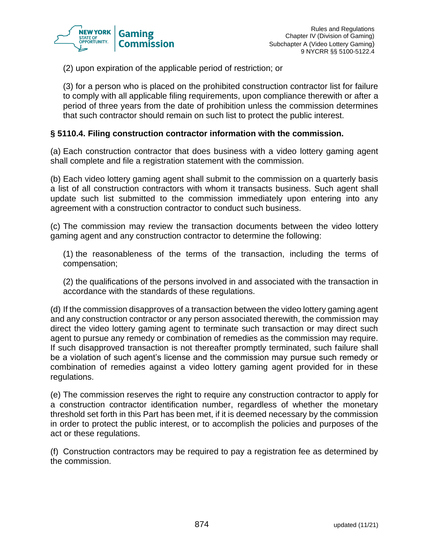

(2) upon expiration of the applicable period of restriction; or

(3) for a person who is placed on the prohibited construction contractor list for failure to comply with all applicable filing requirements, upon compliance therewith or after a period of three years from the date of prohibition unless the commission determines that such contractor should remain on such list to protect the public interest.

#### **§ 5110.4. Filing construction contractor information with the commission.**

(a) Each construction contractor that does business with a video lottery gaming agent shall complete and file a registration statement with the commission.

(b) Each video lottery gaming agent shall submit to the commission on a quarterly basis a list of all construction contractors with whom it transacts business. Such agent shall update such list submitted to the commission immediately upon entering into any agreement with a construction contractor to conduct such business.

(c) The commission may review the transaction documents between the video lottery gaming agent and any construction contractor to determine the following:

(1) the reasonableness of the terms of the transaction, including the terms of compensation;

(2) the qualifications of the persons involved in and associated with the transaction in accordance with the standards of these regulations.

(d) If the commission disapproves of a transaction between the video lottery gaming agent and any construction contractor or any person associated therewith, the commission may direct the video lottery gaming agent to terminate such transaction or may direct such agent to pursue any remedy or combination of remedies as the commission may require. If such disapproved transaction is not thereafter promptly terminated, such failure shall be a violation of such agent's license and the commission may pursue such remedy or combination of remedies against a video lottery gaming agent provided for in these regulations.

(e) The commission reserves the right to require any construction contractor to apply for a construction contractor identification number, regardless of whether the monetary threshold set forth in this Part has been met, if it is deemed necessary by the commission in order to protect the public interest, or to accomplish the policies and purposes of the act or these regulations.

(f) Construction contractors may be required to pay a registration fee as determined by the commission.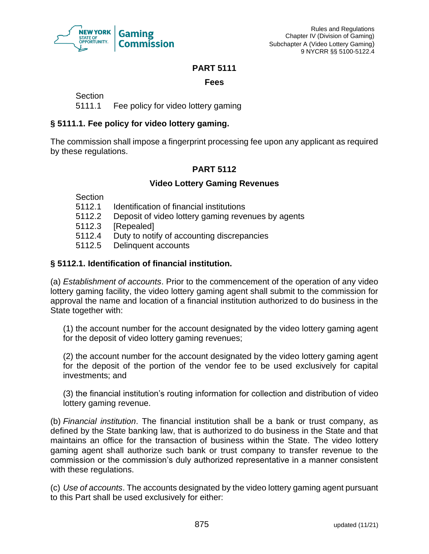

#### **PART 5111**

#### **Fees**

**Section** 

5111.1 Fee policy for video lottery gaming

## **§ 5111.1. Fee policy for video lottery gaming.**

The commission shall impose a fingerprint processing fee upon any applicant as required by these regulations.

## **PART 5112**

## **Video Lottery Gaming Revenues**

**Section** 

- 5112.1 Identification of financial institutions
- 5112.2 Deposit of video lottery gaming revenues by agents
- 5112.3 [Repealed]
- 5112.4 Duty to notify of accounting discrepancies
- 5112.5 Delinquent accounts

## **§ 5112.1. Identification of financial institution.**

(a) *Establishment of accounts*. Prior to the commencement of the operation of any video lottery gaming facility, the video lottery gaming agent shall submit to the commission for approval the name and location of a financial institution authorized to do business in the State together with:

(1) the account number for the account designated by the video lottery gaming agent for the deposit of video lottery gaming revenues;

(2) the account number for the account designated by the video lottery gaming agent for the deposit of the portion of the vendor fee to be used exclusively for capital investments; and

(3) the financial institution's routing information for collection and distribution of video lottery gaming revenue.

(b) *Financial institution*. The financial institution shall be a bank or trust company, as defined by the State banking law, that is authorized to do business in the State and that maintains an office for the transaction of business within the State. The video lottery gaming agent shall authorize such bank or trust company to transfer revenue to the commission or the commission's duly authorized representative in a manner consistent with these regulations.

(c) *Use of accounts*. The accounts designated by the video lottery gaming agent pursuant to this Part shall be used exclusively for either: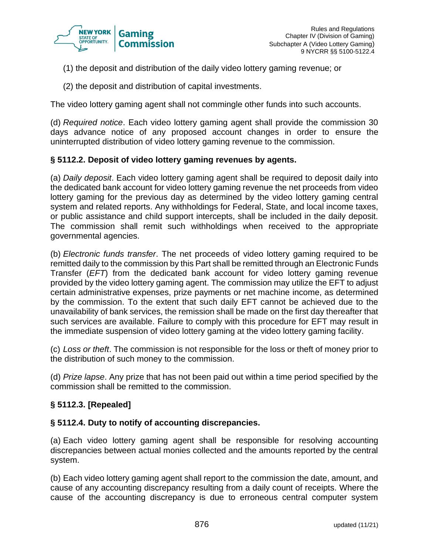

- (1) the deposit and distribution of the daily video lottery gaming revenue; or
- (2) the deposit and distribution of capital investments.

The video lottery gaming agent shall not commingle other funds into such accounts.

(d) *Required notice*. Each video lottery gaming agent shall provide the commission 30 days advance notice of any proposed account changes in order to ensure the uninterrupted distribution of video lottery gaming revenue to the commission.

## **§ 5112.2. Deposit of video lottery gaming revenues by agents.**

(a) *Daily deposit*. Each video lottery gaming agent shall be required to deposit daily into the dedicated bank account for video lottery gaming revenue the net proceeds from video lottery gaming for the previous day as determined by the video lottery gaming central system and related reports. Any withholdings for Federal, State, and local income taxes, or public assistance and child support intercepts, shall be included in the daily deposit. The commission shall remit such withholdings when received to the appropriate governmental agencies.

(b) *Electronic funds transfer*. The net proceeds of video lottery gaming required to be remitted daily to the commission by this Part shall be remitted through an Electronic Funds Transfer (*EFT*) from the dedicated bank account for video lottery gaming revenue provided by the video lottery gaming agent. The commission may utilize the EFT to adjust certain administrative expenses, prize payments or net machine income, as determined by the commission. To the extent that such daily EFT cannot be achieved due to the unavailability of bank services, the remission shall be made on the first day thereafter that such services are available. Failure to comply with this procedure for EFT may result in the immediate suspension of video lottery gaming at the video lottery gaming facility.

(c) *Loss or theft*. The commission is not responsible for the loss or theft of money prior to the distribution of such money to the commission.

(d) *Prize lapse*. Any prize that has not been paid out within a time period specified by the commission shall be remitted to the commission.

## **§ 5112.3. [Repealed]**

## **§ 5112.4. Duty to notify of accounting discrepancies.**

(a) Each video lottery gaming agent shall be responsible for resolving accounting discrepancies between actual monies collected and the amounts reported by the central system.

(b) Each video lottery gaming agent shall report to the commission the date, amount, and cause of any accounting discrepancy resulting from a daily count of receipts. Where the cause of the accounting discrepancy is due to erroneous central computer system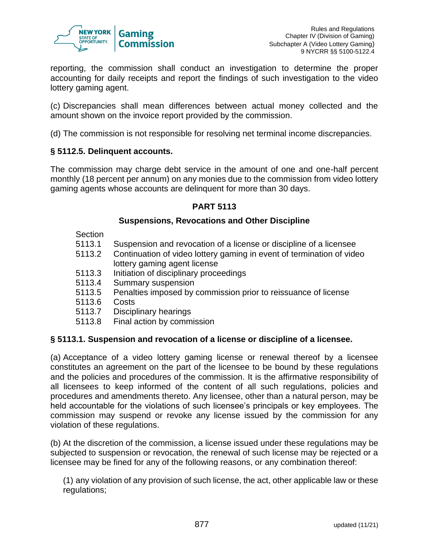

reporting, the commission shall conduct an investigation to determine the proper accounting for daily receipts and report the findings of such investigation to the video lottery gaming agent.

(c) Discrepancies shall mean differences between actual money collected and the amount shown on the invoice report provided by the commission.

(d) The commission is not responsible for resolving net terminal income discrepancies.

## **§ 5112.5. Delinquent accounts.**

The commission may charge debt service in the amount of one and one-half percent monthly (18 percent per annum) on any monies due to the commission from video lottery gaming agents whose accounts are delinquent for more than 30 days.

#### **PART 5113**

## **Suspensions, Revocations and Other Discipline**

**Section** 

- 5113.1 Suspension and revocation of a license or discipline of a licensee
- 5113.2 Continuation of video lottery gaming in event of termination of video lottery gaming agent license
- 5113.3 Initiation of disciplinary proceedings
- 5113.4 Summary suspension
- 5113.5 Penalties imposed by commission prior to reissuance of license
- 5113.6 Costs
- 5113.7 Disciplinary hearings
- 5113.8 Final action by commission

## **§ 5113.1. Suspension and revocation of a license or discipline of a licensee.**

(a) Acceptance of a video lottery gaming license or renewal thereof by a licensee constitutes an agreement on the part of the licensee to be bound by these regulations and the policies and procedures of the commission. It is the affirmative responsibility of all licensees to keep informed of the content of all such regulations, policies and procedures and amendments thereto. Any licensee, other than a natural person, may be held accountable for the violations of such licensee's principals or key employees. The commission may suspend or revoke any license issued by the commission for any violation of these regulations.

(b) At the discretion of the commission, a license issued under these regulations may be subjected to suspension or revocation, the renewal of such license may be rejected or a licensee may be fined for any of the following reasons, or any combination thereof:

(1) any violation of any provision of such license, the act, other applicable law or these regulations;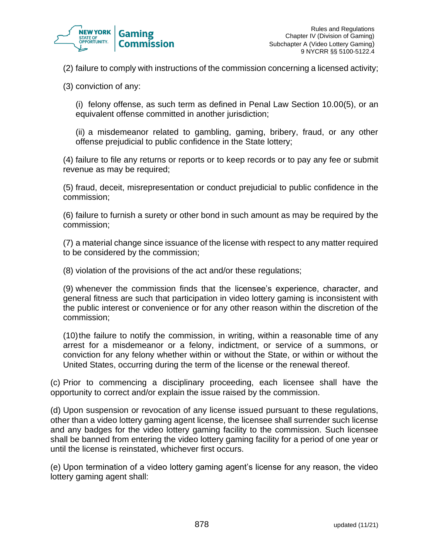

(2) failure to comply with instructions of the commission concerning a licensed activity;

(3) conviction of any:

(i) felony offense, as such term as defined in Penal Law Section 10.00(5), or an equivalent offense committed in another jurisdiction;

(ii) a misdemeanor related to gambling, gaming, bribery, fraud, or any other offense prejudicial to public confidence in the State lottery;

(4) failure to file any returns or reports or to keep records or to pay any fee or submit revenue as may be required;

(5) fraud, deceit, misrepresentation or conduct prejudicial to public confidence in the commission;

(6) failure to furnish a surety or other bond in such amount as may be required by the commission;

(7) a material change since issuance of the license with respect to any matter required to be considered by the commission;

(8) violation of the provisions of the act and/or these regulations;

(9) whenever the commission finds that the licensee's experience, character, and general fitness are such that participation in video lottery gaming is inconsistent with the public interest or convenience or for any other reason within the discretion of the commission;

(10)the failure to notify the commission, in writing, within a reasonable time of any arrest for a misdemeanor or a felony, indictment, or service of a summons, or conviction for any felony whether within or without the State, or within or without the United States, occurring during the term of the license or the renewal thereof.

(c) Prior to commencing a disciplinary proceeding, each licensee shall have the opportunity to correct and/or explain the issue raised by the commission.

(d) Upon suspension or revocation of any license issued pursuant to these regulations, other than a video lottery gaming agent license, the licensee shall surrender such license and any badges for the video lottery gaming facility to the commission. Such licensee shall be banned from entering the video lottery gaming facility for a period of one year or until the license is reinstated, whichever first occurs.

(e) Upon termination of a video lottery gaming agent's license for any reason, the video lottery gaming agent shall: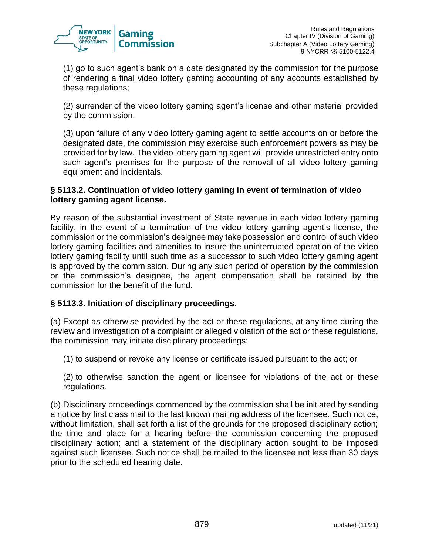

(1) go to such agent's bank on a date designated by the commission for the purpose of rendering a final video lottery gaming accounting of any accounts established by these regulations;

(2) surrender of the video lottery gaming agent's license and other material provided by the commission.

(3) upon failure of any video lottery gaming agent to settle accounts on or before the designated date, the commission may exercise such enforcement powers as may be provided for by law. The video lottery gaming agent will provide unrestricted entry onto such agent's premises for the purpose of the removal of all video lottery gaming equipment and incidentals.

## **§ 5113.2. Continuation of video lottery gaming in event of termination of video lottery gaming agent license.**

By reason of the substantial investment of State revenue in each video lottery gaming facility, in the event of a termination of the video lottery gaming agent's license, the commission or the commission's designee may take possession and control of such video lottery gaming facilities and amenities to insure the uninterrupted operation of the video lottery gaming facility until such time as a successor to such video lottery gaming agent is approved by the commission. During any such period of operation by the commission or the commission's designee, the agent compensation shall be retained by the commission for the benefit of the fund.

# **§ 5113.3. Initiation of disciplinary proceedings.**

(a) Except as otherwise provided by the act or these regulations, at any time during the review and investigation of a complaint or alleged violation of the act or these regulations, the commission may initiate disciplinary proceedings:

(1) to suspend or revoke any license or certificate issued pursuant to the act; or

(2) to otherwise sanction the agent or licensee for violations of the act or these regulations.

(b) Disciplinary proceedings commenced by the commission shall be initiated by sending a notice by first class mail to the last known mailing address of the licensee. Such notice, without limitation, shall set forth a list of the grounds for the proposed disciplinary action; the time and place for a hearing before the commission concerning the proposed disciplinary action; and a statement of the disciplinary action sought to be imposed against such licensee. Such notice shall be mailed to the licensee not less than 30 days prior to the scheduled hearing date.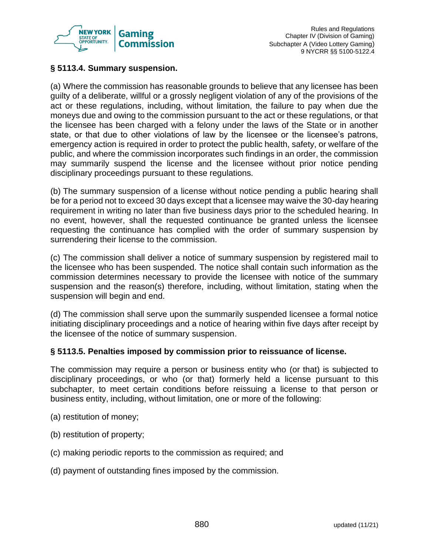

## **§ 5113.4. Summary suspension.**

(a) Where the commission has reasonable grounds to believe that any licensee has been guilty of a deliberate, willful or a grossly negligent violation of any of the provisions of the act or these regulations, including, without limitation, the failure to pay when due the moneys due and owing to the commission pursuant to the act or these regulations, or that the licensee has been charged with a felony under the laws of the State or in another state, or that due to other violations of law by the licensee or the licensee's patrons, emergency action is required in order to protect the public health, safety, or welfare of the public, and where the commission incorporates such findings in an order, the commission may summarily suspend the license and the licensee without prior notice pending disciplinary proceedings pursuant to these regulations.

(b) The summary suspension of a license without notice pending a public hearing shall be for a period not to exceed 30 days except that a licensee may waive the 30-day hearing requirement in writing no later than five business days prior to the scheduled hearing. In no event, however, shall the requested continuance be granted unless the licensee requesting the continuance has complied with the order of summary suspension by surrendering their license to the commission.

(c) The commission shall deliver a notice of summary suspension by registered mail to the licensee who has been suspended. The notice shall contain such information as the commission determines necessary to provide the licensee with notice of the summary suspension and the reason(s) therefore, including, without limitation, stating when the suspension will begin and end.

(d) The commission shall serve upon the summarily suspended licensee a formal notice initiating disciplinary proceedings and a notice of hearing within five days after receipt by the licensee of the notice of summary suspension.

## **§ 5113.5. Penalties imposed by commission prior to reissuance of license.**

The commission may require a person or business entity who (or that) is subjected to disciplinary proceedings, or who (or that) formerly held a license pursuant to this subchapter, to meet certain conditions before reissuing a license to that person or business entity, including, without limitation, one or more of the following:

- (a) restitution of money;
- (b) restitution of property;
- (c) making periodic reports to the commission as required; and
- (d) payment of outstanding fines imposed by the commission.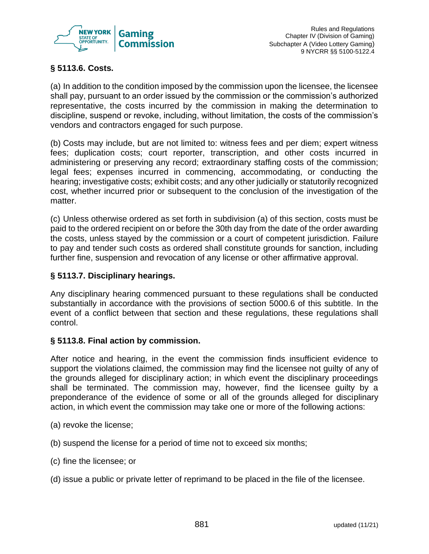

# **§ 5113.6. Costs.**

(a) In addition to the condition imposed by the commission upon the licensee, the licensee shall pay, pursuant to an order issued by the commission or the commission's authorized representative, the costs incurred by the commission in making the determination to discipline, suspend or revoke, including, without limitation, the costs of the commission's vendors and contractors engaged for such purpose.

(b) Costs may include, but are not limited to: witness fees and per diem; expert witness fees; duplication costs; court reporter, transcription, and other costs incurred in administering or preserving any record; extraordinary staffing costs of the commission; legal fees; expenses incurred in commencing, accommodating, or conducting the hearing; investigative costs; exhibit costs; and any other judicially or statutorily recognized cost, whether incurred prior or subsequent to the conclusion of the investigation of the matter.

(c) Unless otherwise ordered as set forth in subdivision (a) of this section, costs must be paid to the ordered recipient on or before the 30th day from the date of the order awarding the costs, unless stayed by the commission or a court of competent jurisdiction. Failure to pay and tender such costs as ordered shall constitute grounds for sanction, including further fine, suspension and revocation of any license or other affirmative approval.

## **§ 5113.7. Disciplinary hearings.**

Any disciplinary hearing commenced pursuant to these regulations shall be conducted substantially in accordance with the provisions of section 5000.6 of this subtitle. In the event of a conflict between that section and these regulations, these regulations shall control.

## **§ 5113.8. Final action by commission.**

After notice and hearing, in the event the commission finds insufficient evidence to support the violations claimed, the commission may find the licensee not guilty of any of the grounds alleged for disciplinary action; in which event the disciplinary proceedings shall be terminated. The commission may, however, find the licensee guilty by a preponderance of the evidence of some or all of the grounds alleged for disciplinary action, in which event the commission may take one or more of the following actions:

- (a) revoke the license;
- (b) suspend the license for a period of time not to exceed six months;
- (c) fine the licensee; or
- (d) issue a public or private letter of reprimand to be placed in the file of the licensee.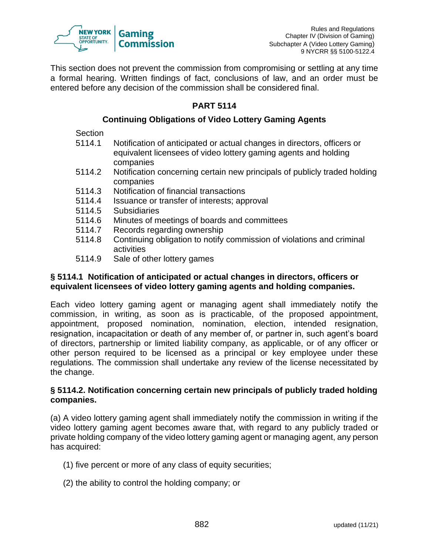

This section does not prevent the commission from compromising or settling at any time a formal hearing. Written findings of fact, conclusions of law, and an order must be entered before any decision of the commission shall be considered final.

# **PART 5114**

## **Continuing Obligations of Video Lottery Gaming Agents**

**Section** 

- 5114.1 Notification of anticipated or actual changes in directors, officers or equivalent licensees of video lottery gaming agents and holding companies
- 5114.2 Notification concerning certain new principals of publicly traded holding companies
- 5114.3 Notification of financial transactions
- 5114.4 Issuance or transfer of interests; approval
- 5114.5 Subsidiaries
- 5114.6 Minutes of meetings of boards and committees
- 5114.7 Records regarding ownership
- 5114.8 Continuing obligation to notify commission of violations and criminal activities
- 5114.9 Sale of other lottery games

## **§ 5114.1 Notification of anticipated or actual changes in directors, officers or equivalent licensees of video lottery gaming agents and holding companies.**

Each video lottery gaming agent or managing agent shall immediately notify the commission, in writing, as soon as is practicable, of the proposed appointment, appointment, proposed nomination, nomination, election, intended resignation, resignation, incapacitation or death of any member of, or partner in, such agent's board of directors, partnership or limited liability company, as applicable, or of any officer or other person required to be licensed as a principal or key employee under these regulations. The commission shall undertake any review of the license necessitated by the change.

## **§ 5114.2. Notification concerning certain new principals of publicly traded holding companies.**

(a) A video lottery gaming agent shall immediately notify the commission in writing if the video lottery gaming agent becomes aware that, with regard to any publicly traded or private holding company of the video lottery gaming agent or managing agent, any person has acquired:

- (1) five percent or more of any class of equity securities;
- (2) the ability to control the holding company; or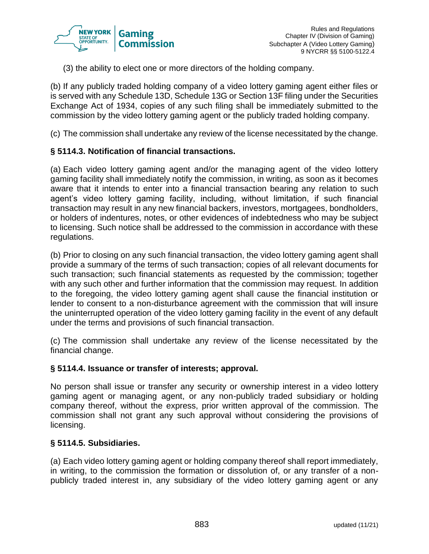

(3) the ability to elect one or more directors of the holding company.

(b) If any publicly traded holding company of a video lottery gaming agent either files or is served with any Schedule 13D, Schedule 13G or Section 13F filing under the Securities Exchange Act of 1934, copies of any such filing shall be immediately submitted to the commission by the video lottery gaming agent or the publicly traded holding company.

(c) The commission shall undertake any review of the license necessitated by the change.

#### **§ 5114.3. Notification of financial transactions.**

(a) Each video lottery gaming agent and/or the managing agent of the video lottery gaming facility shall immediately notify the commission, in writing, as soon as it becomes aware that it intends to enter into a financial transaction bearing any relation to such agent's video lottery gaming facility, including, without limitation, if such financial transaction may result in any new financial backers, investors, mortgagees, bondholders, or holders of indentures, notes, or other evidences of indebtedness who may be subject to licensing. Such notice shall be addressed to the commission in accordance with these regulations.

(b) Prior to closing on any such financial transaction, the video lottery gaming agent shall provide a summary of the terms of such transaction; copies of all relevant documents for such transaction; such financial statements as requested by the commission; together with any such other and further information that the commission may request. In addition to the foregoing, the video lottery gaming agent shall cause the financial institution or lender to consent to a non-disturbance agreement with the commission that will insure the uninterrupted operation of the video lottery gaming facility in the event of any default under the terms and provisions of such financial transaction.

(c) The commission shall undertake any review of the license necessitated by the financial change.

#### **§ 5114.4. Issuance or transfer of interests; approval.**

No person shall issue or transfer any security or ownership interest in a video lottery gaming agent or managing agent, or any non-publicly traded subsidiary or holding company thereof, without the express, prior written approval of the commission. The commission shall not grant any such approval without considering the provisions of licensing.

#### **§ 5114.5. Subsidiaries.**

(a) Each video lottery gaming agent or holding company thereof shall report immediately, in writing, to the commission the formation or dissolution of, or any transfer of a nonpublicly traded interest in, any subsidiary of the video lottery gaming agent or any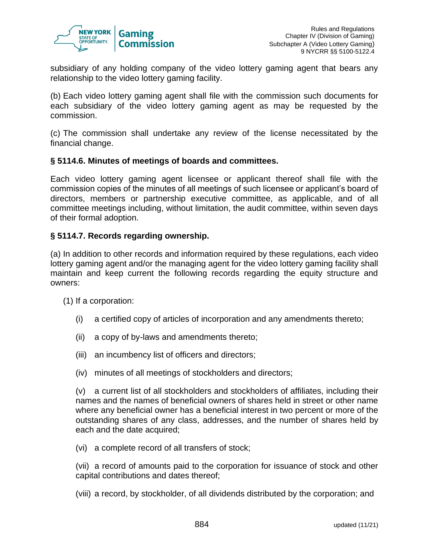

subsidiary of any holding company of the video lottery gaming agent that bears any relationship to the video lottery gaming facility.

(b) Each video lottery gaming agent shall file with the commission such documents for each subsidiary of the video lottery gaming agent as may be requested by the commission.

(c) The commission shall undertake any review of the license necessitated by the financial change.

#### **§ 5114.6. Minutes of meetings of boards and committees.**

Each video lottery gaming agent licensee or applicant thereof shall file with the commission copies of the minutes of all meetings of such licensee or applicant's board of directors, members or partnership executive committee, as applicable, and of all committee meetings including, without limitation, the audit committee, within seven days of their formal adoption.

#### **§ 5114.7. Records regarding ownership.**

(a) In addition to other records and information required by these regulations, each video lottery gaming agent and/or the managing agent for the video lottery gaming facility shall maintain and keep current the following records regarding the equity structure and owners:

(1) If a corporation:

- (i) a certified copy of articles of incorporation and any amendments thereto;
- (ii) a copy of by-laws and amendments thereto;
- (iii) an incumbency list of officers and directors;
- (iv) minutes of all meetings of stockholders and directors;

(v) a current list of all stockholders and stockholders of affiliates, including their names and the names of beneficial owners of shares held in street or other name where any beneficial owner has a beneficial interest in two percent or more of the outstanding shares of any class, addresses, and the number of shares held by each and the date acquired;

(vi) a complete record of all transfers of stock;

(vii) a record of amounts paid to the corporation for issuance of stock and other capital contributions and dates thereof;

(viii) a record, by stockholder, of all dividends distributed by the corporation; and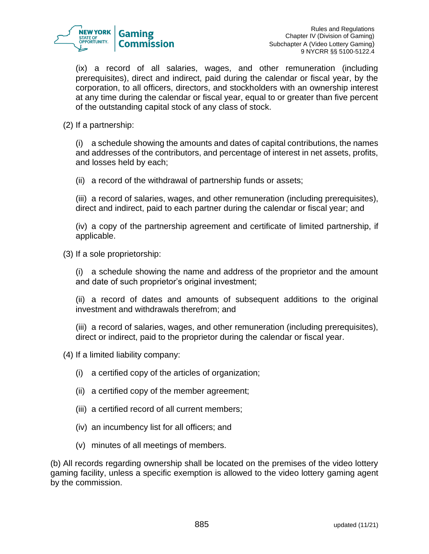

(ix) a record of all salaries, wages, and other remuneration (including prerequisites), direct and indirect, paid during the calendar or fiscal year, by the corporation, to all officers, directors, and stockholders with an ownership interest at any time during the calendar or fiscal year, equal to or greater than five percent of the outstanding capital stock of any class of stock.

(2) If a partnership:

(i) a schedule showing the amounts and dates of capital contributions, the names and addresses of the contributors, and percentage of interest in net assets, profits, and losses held by each;

(ii) a record of the withdrawal of partnership funds or assets;

(iii) a record of salaries, wages, and other remuneration (including prerequisites), direct and indirect, paid to each partner during the calendar or fiscal year; and

(iv) a copy of the partnership agreement and certificate of limited partnership, if applicable.

(3) If a sole proprietorship:

(i) a schedule showing the name and address of the proprietor and the amount and date of such proprietor's original investment;

(ii) a record of dates and amounts of subsequent additions to the original investment and withdrawals therefrom; and

(iii) a record of salaries, wages, and other remuneration (including prerequisites), direct or indirect, paid to the proprietor during the calendar or fiscal year.

(4) If a limited liability company:

- (i) a certified copy of the articles of organization;
- (ii) a certified copy of the member agreement;
- (iii) a certified record of all current members;
- (iv) an incumbency list for all officers; and
- (v) minutes of all meetings of members.

(b) All records regarding ownership shall be located on the premises of the video lottery gaming facility, unless a specific exemption is allowed to the video lottery gaming agent by the commission.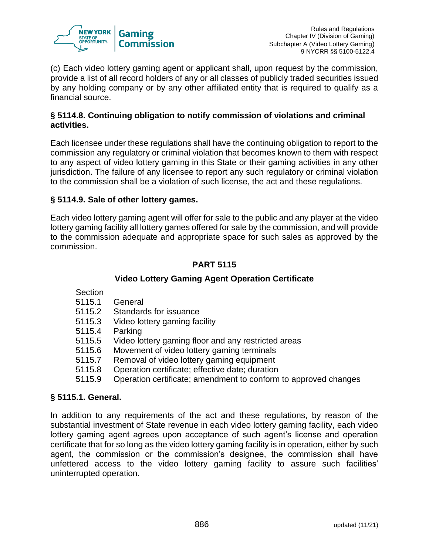

(c) Each video lottery gaming agent or applicant shall, upon request by the commission, provide a list of all record holders of any or all classes of publicly traded securities issued by any holding company or by any other affiliated entity that is required to qualify as a financial source.

## **§ 5114.8. Continuing obligation to notify commission of violations and criminal activities.**

Each licensee under these regulations shall have the continuing obligation to report to the commission any regulatory or criminal violation that becomes known to them with respect to any aspect of video lottery gaming in this State or their gaming activities in any other jurisdiction. The failure of any licensee to report any such regulatory or criminal violation to the commission shall be a violation of such license, the act and these regulations.

## **§ 5114.9. Sale of other lottery games.**

Each video lottery gaming agent will offer for sale to the public and any player at the video lottery gaming facility all lottery games offered for sale by the commission, and will provide to the commission adequate and appropriate space for such sales as approved by the commission.

# **PART 5115**

# **Video Lottery Gaming Agent Operation Certificate**

- **Section**
- 5115.1 General
- 5115.2 Standards for issuance
- 5115.3 Video lottery gaming facility
- 5115.4 Parking
- 5115.5 Video lottery gaming floor and any restricted areas
- 5115.6 Movement of video lottery gaming terminals
- 5115.7 Removal of video lottery gaming equipment
- 5115.8 Operation certificate; effective date; duration
- 5115.9 Operation certificate; amendment to conform to approved changes

## **§ 5115.1. General.**

In addition to any requirements of the act and these regulations, by reason of the substantial investment of State revenue in each video lottery gaming facility, each video lottery gaming agent agrees upon acceptance of such agent's license and operation certificate that for so long as the video lottery gaming facility is in operation, either by such agent, the commission or the commission's designee, the commission shall have unfettered access to the video lottery gaming facility to assure such facilities' uninterrupted operation.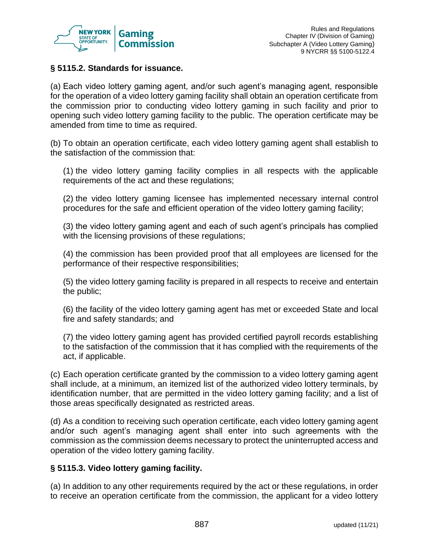

## **§ 5115.2. Standards for issuance.**

(a) Each video lottery gaming agent, and/or such agent's managing agent, responsible for the operation of a video lottery gaming facility shall obtain an operation certificate from the commission prior to conducting video lottery gaming in such facility and prior to opening such video lottery gaming facility to the public. The operation certificate may be amended from time to time as required.

(b) To obtain an operation certificate, each video lottery gaming agent shall establish to the satisfaction of the commission that:

(1) the video lottery gaming facility complies in all respects with the applicable requirements of the act and these regulations;

(2) the video lottery gaming licensee has implemented necessary internal control procedures for the safe and efficient operation of the video lottery gaming facility;

(3) the video lottery gaming agent and each of such agent's principals has complied with the licensing provisions of these regulations;

(4) the commission has been provided proof that all employees are licensed for the performance of their respective responsibilities;

(5) the video lottery gaming facility is prepared in all respects to receive and entertain the public;

(6) the facility of the video lottery gaming agent has met or exceeded State and local fire and safety standards; and

(7) the video lottery gaming agent has provided certified payroll records establishing to the satisfaction of the commission that it has complied with the requirements of the act, if applicable.

(c) Each operation certificate granted by the commission to a video lottery gaming agent shall include, at a minimum, an itemized list of the authorized video lottery terminals, by identification number, that are permitted in the video lottery gaming facility; and a list of those areas specifically designated as restricted areas.

(d) As a condition to receiving such operation certificate, each video lottery gaming agent and/or such agent's managing agent shall enter into such agreements with the commission as the commission deems necessary to protect the uninterrupted access and operation of the video lottery gaming facility.

## **§ 5115.3. Video lottery gaming facility.**

(a) In addition to any other requirements required by the act or these regulations, in order to receive an operation certificate from the commission, the applicant for a video lottery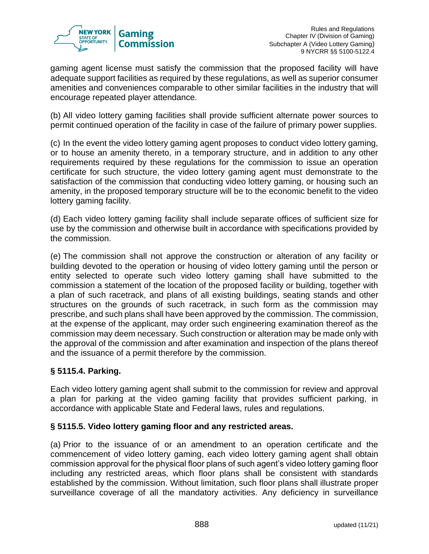

gaming agent license must satisfy the commission that the proposed facility will have adequate support facilities as required by these regulations, as well as superior consumer amenities and conveniences comparable to other similar facilities in the industry that will encourage repeated player attendance.

(b) All video lottery gaming facilities shall provide sufficient alternate power sources to permit continued operation of the facility in case of the failure of primary power supplies.

(c) In the event the video lottery gaming agent proposes to conduct video lottery gaming, or to house an amenity thereto, in a temporary structure, and in addition to any other requirements required by these regulations for the commission to issue an operation certificate for such structure, the video lottery gaming agent must demonstrate to the satisfaction of the commission that conducting video lottery gaming, or housing such an amenity, in the proposed temporary structure will be to the economic benefit to the video lottery gaming facility.

(d) Each video lottery gaming facility shall include separate offices of sufficient size for use by the commission and otherwise built in accordance with specifications provided by the commission.

(e) The commission shall not approve the construction or alteration of any facility or building devoted to the operation or housing of video lottery gaming until the person or entity selected to operate such video lottery gaming shall have submitted to the commission a statement of the location of the proposed facility or building, together with a plan of such racetrack, and plans of all existing buildings, seating stands and other structures on the grounds of such racetrack, in such form as the commission may prescribe, and such plans shall have been approved by the commission. The commission, at the expense of the applicant, may order such engineering examination thereof as the commission may deem necessary. Such construction or alteration may be made only with the approval of the commission and after examination and inspection of the plans thereof and the issuance of a permit therefore by the commission.

# **§ 5115.4. Parking.**

Each video lottery gaming agent shall submit to the commission for review and approval a plan for parking at the video gaming facility that provides sufficient parking, in accordance with applicable State and Federal laws, rules and regulations.

# **§ 5115.5. Video lottery gaming floor and any restricted areas.**

(a) Prior to the issuance of or an amendment to an operation certificate and the commencement of video lottery gaming, each video lottery gaming agent shall obtain commission approval for the physical floor plans of such agent's video lottery gaming floor including any restricted areas, which floor plans shall be consistent with standards established by the commission. Without limitation, such floor plans shall illustrate proper surveillance coverage of all the mandatory activities. Any deficiency in surveillance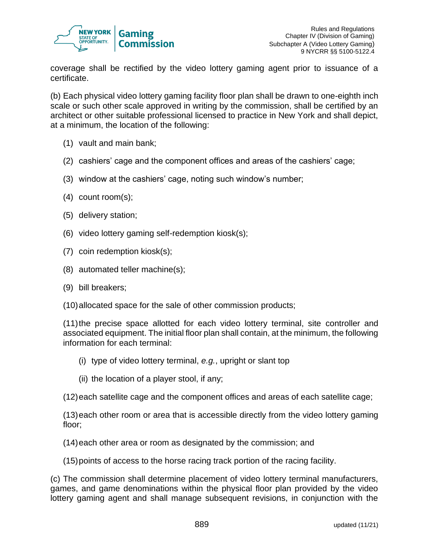

coverage shall be rectified by the video lottery gaming agent prior to issuance of a certificate.

(b) Each physical video lottery gaming facility floor plan shall be drawn to one-eighth inch scale or such other scale approved in writing by the commission, shall be certified by an architect or other suitable professional licensed to practice in New York and shall depict, at a minimum, the location of the following:

- (1) vault and main bank;
- (2) cashiers' cage and the component offices and areas of the cashiers' cage;
- (3) window at the cashiers' cage, noting such window's number;
- (4) count room(s);
- (5) delivery station;
- (6) video lottery gaming self-redemption kiosk(s);
- (7) coin redemption kiosk(s);
- (8) automated teller machine(s);
- (9) bill breakers;
- (10)allocated space for the sale of other commission products;

(11)the precise space allotted for each video lottery terminal, site controller and associated equipment. The initial floor plan shall contain, at the minimum, the following information for each terminal:

- (i) type of video lottery terminal, *e.g.*, upright or slant top
- (ii) the location of a player stool, if any;
- (12)each satellite cage and the component offices and areas of each satellite cage;

(13)each other room or area that is accessible directly from the video lottery gaming floor;

- (14)each other area or room as designated by the commission; and
- (15)points of access to the horse racing track portion of the racing facility.

(c) The commission shall determine placement of video lottery terminal manufacturers, games, and game denominations within the physical floor plan provided by the video lottery gaming agent and shall manage subsequent revisions, in conjunction with the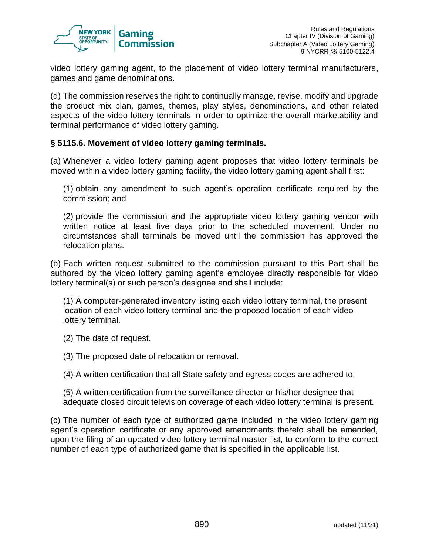

video lottery gaming agent, to the placement of video lottery terminal manufacturers, games and game denominations.

(d) The commission reserves the right to continually manage, revise, modify and upgrade the product mix plan, games, themes, play styles, denominations, and other related aspects of the video lottery terminals in order to optimize the overall marketability and terminal performance of video lottery gaming.

#### **§ 5115.6. Movement of video lottery gaming terminals.**

(a) Whenever a video lottery gaming agent proposes that video lottery terminals be moved within a video lottery gaming facility, the video lottery gaming agent shall first:

(1) obtain any amendment to such agent's operation certificate required by the commission; and

(2) provide the commission and the appropriate video lottery gaming vendor with written notice at least five days prior to the scheduled movement. Under no circumstances shall terminals be moved until the commission has approved the relocation plans.

(b) Each written request submitted to the commission pursuant to this Part shall be authored by the video lottery gaming agent's employee directly responsible for video lottery terminal(s) or such person's designee and shall include:

(1) A computer-generated inventory listing each video lottery terminal, the present location of each video lottery terminal and the proposed location of each video lottery terminal.

(2) The date of request.

(3) The proposed date of relocation or removal.

(4) A written certification that all State safety and egress codes are adhered to.

(5) A written certification from the surveillance director or his/her designee that adequate closed circuit television coverage of each video lottery terminal is present.

(c) The number of each type of authorized game included in the video lottery gaming agent's operation certificate or any approved amendments thereto shall be amended, upon the filing of an updated video lottery terminal master list, to conform to the correct number of each type of authorized game that is specified in the applicable list.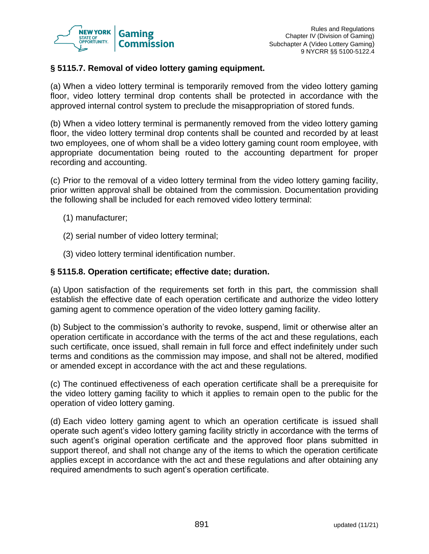

## **§ 5115.7. Removal of video lottery gaming equipment.**

(a) When a video lottery terminal is temporarily removed from the video lottery gaming floor, video lottery terminal drop contents shall be protected in accordance with the approved internal control system to preclude the misappropriation of stored funds.

(b) When a video lottery terminal is permanently removed from the video lottery gaming floor, the video lottery terminal drop contents shall be counted and recorded by at least two employees, one of whom shall be a video lottery gaming count room employee, with appropriate documentation being routed to the accounting department for proper recording and accounting.

(c) Prior to the removal of a video lottery terminal from the video lottery gaming facility, prior written approval shall be obtained from the commission. Documentation providing the following shall be included for each removed video lottery terminal:

- (1) manufacturer;
- (2) serial number of video lottery terminal;
- (3) video lottery terminal identification number.

#### **§ 5115.8. Operation certificate; effective date; duration.**

(a) Upon satisfaction of the requirements set forth in this part, the commission shall establish the effective date of each operation certificate and authorize the video lottery gaming agent to commence operation of the video lottery gaming facility.

(b) Subject to the commission's authority to revoke, suspend, limit or otherwise alter an operation certificate in accordance with the terms of the act and these regulations, each such certificate, once issued, shall remain in full force and effect indefinitely under such terms and conditions as the commission may impose, and shall not be altered, modified or amended except in accordance with the act and these regulations.

(c) The continued effectiveness of each operation certificate shall be a prerequisite for the video lottery gaming facility to which it applies to remain open to the public for the operation of video lottery gaming.

(d) Each video lottery gaming agent to which an operation certificate is issued shall operate such agent's video lottery gaming facility strictly in accordance with the terms of such agent's original operation certificate and the approved floor plans submitted in support thereof, and shall not change any of the items to which the operation certificate applies except in accordance with the act and these regulations and after obtaining any required amendments to such agent's operation certificate.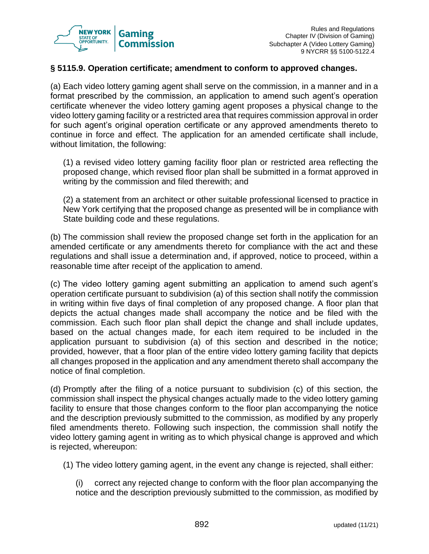

#### **§ 5115.9. Operation certificate; amendment to conform to approved changes.**

(a) Each video lottery gaming agent shall serve on the commission, in a manner and in a format prescribed by the commission, an application to amend such agent's operation certificate whenever the video lottery gaming agent proposes a physical change to the video lottery gaming facility or a restricted area that requires commission approval in order for such agent's original operation certificate or any approved amendments thereto to continue in force and effect. The application for an amended certificate shall include, without limitation, the following:

(1) a revised video lottery gaming facility floor plan or restricted area reflecting the proposed change, which revised floor plan shall be submitted in a format approved in writing by the commission and filed therewith; and

(2) a statement from an architect or other suitable professional licensed to practice in New York certifying that the proposed change as presented will be in compliance with State building code and these regulations.

(b) The commission shall review the proposed change set forth in the application for an amended certificate or any amendments thereto for compliance with the act and these regulations and shall issue a determination and, if approved, notice to proceed, within a reasonable time after receipt of the application to amend.

(c) The video lottery gaming agent submitting an application to amend such agent's operation certificate pursuant to subdivision (a) of this section shall notify the commission in writing within five days of final completion of any proposed change. A floor plan that depicts the actual changes made shall accompany the notice and be filed with the commission. Each such floor plan shall depict the change and shall include updates, based on the actual changes made, for each item required to be included in the application pursuant to subdivision (a) of this section and described in the notice; provided, however, that a floor plan of the entire video lottery gaming facility that depicts all changes proposed in the application and any amendment thereto shall accompany the notice of final completion.

(d) Promptly after the filing of a notice pursuant to subdivision (c) of this section, the commission shall inspect the physical changes actually made to the video lottery gaming facility to ensure that those changes conform to the floor plan accompanying the notice and the description previously submitted to the commission, as modified by any properly filed amendments thereto. Following such inspection, the commission shall notify the video lottery gaming agent in writing as to which physical change is approved and which is rejected, whereupon:

(1) The video lottery gaming agent, in the event any change is rejected, shall either:

(i) correct any rejected change to conform with the floor plan accompanying the notice and the description previously submitted to the commission, as modified by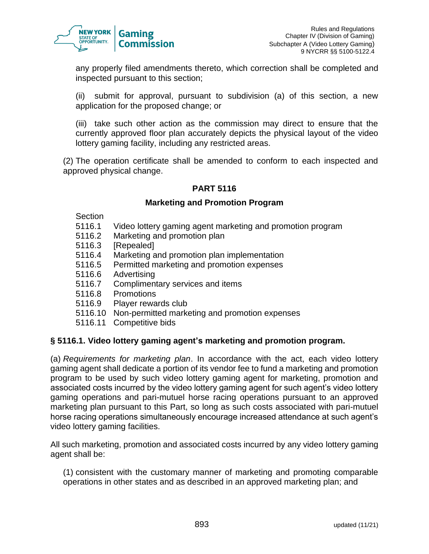

any properly filed amendments thereto, which correction shall be completed and inspected pursuant to this section;

(ii) submit for approval, pursuant to subdivision (a) of this section, a new application for the proposed change; or

(iii) take such other action as the commission may direct to ensure that the currently approved floor plan accurately depicts the physical layout of the video lottery gaming facility, including any restricted areas.

(2) The operation certificate shall be amended to conform to each inspected and approved physical change.

## **PART 5116**

#### **Marketing and Promotion Program**

Section

- 5116.1 Video lottery gaming agent marketing and promotion program
- 5116.2 Marketing and promotion plan
- 5116.3 [Repealed]
- 5116.4 Marketing and promotion plan implementation
- 5116.5 Permitted marketing and promotion expenses
- 5116.6 Advertising
- 5116.7 Complimentary services and items
- 5116.8 Promotions
- 5116.9 Player rewards club
- 5116.10 Non-permitted marketing and promotion expenses
- 5116.11 Competitive bids

#### **§ 5116.1. Video lottery gaming agent's marketing and promotion program.**

(a) *Requirements for marketing plan*. In accordance with the act, each video lottery gaming agent shall dedicate a portion of its vendor fee to fund a marketing and promotion program to be used by such video lottery gaming agent for marketing, promotion and associated costs incurred by the video lottery gaming agent for such agent's video lottery gaming operations and pari-mutuel horse racing operations pursuant to an approved marketing plan pursuant to this Part, so long as such costs associated with pari-mutuel horse racing operations simultaneously encourage increased attendance at such agent's video lottery gaming facilities.

All such marketing, promotion and associated costs incurred by any video lottery gaming agent shall be:

(1) consistent with the customary manner of marketing and promoting comparable operations in other states and as described in an approved marketing plan; and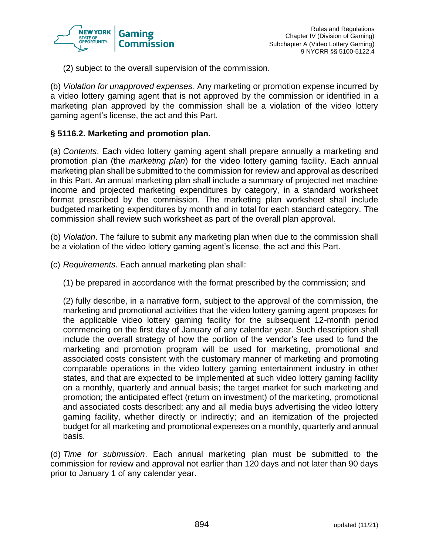

(2) subject to the overall supervision of the commission.

(b) *Violation for unapproved expenses.* Any marketing or promotion expense incurred by a video lottery gaming agent that is not approved by the commission or identified in a marketing plan approved by the commission shall be a violation of the video lottery gaming agent's license, the act and this Part.

#### **§ 5116.2. Marketing and promotion plan.**

(a) *Contents*. Each video lottery gaming agent shall prepare annually a marketing and promotion plan (the *marketing plan*) for the video lottery gaming facility. Each annual marketing plan shall be submitted to the commission for review and approval as described in this Part. An annual marketing plan shall include a summary of projected net machine income and projected marketing expenditures by category, in a standard worksheet format prescribed by the commission. The marketing plan worksheet shall include budgeted marketing expenditures by month and in total for each standard category. The commission shall review such worksheet as part of the overall plan approval.

(b) *Violation*. The failure to submit any marketing plan when due to the commission shall be a violation of the video lottery gaming agent's license, the act and this Part.

- (c) *Requirements*. Each annual marketing plan shall:
	- (1) be prepared in accordance with the format prescribed by the commission; and

(2) fully describe, in a narrative form, subject to the approval of the commission, the marketing and promotional activities that the video lottery gaming agent proposes for the applicable video lottery gaming facility for the subsequent 12-month period commencing on the first day of January of any calendar year. Such description shall include the overall strategy of how the portion of the vendor's fee used to fund the marketing and promotion program will be used for marketing, promotional and associated costs consistent with the customary manner of marketing and promoting comparable operations in the video lottery gaming entertainment industry in other states, and that are expected to be implemented at such video lottery gaming facility on a monthly, quarterly and annual basis; the target market for such marketing and promotion; the anticipated effect (return on investment) of the marketing, promotional and associated costs described; any and all media buys advertising the video lottery gaming facility, whether directly or indirectly; and an itemization of the projected budget for all marketing and promotional expenses on a monthly, quarterly and annual basis.

(d) *Time for submission*. Each annual marketing plan must be submitted to the commission for review and approval not earlier than 120 days and not later than 90 days prior to January 1 of any calendar year.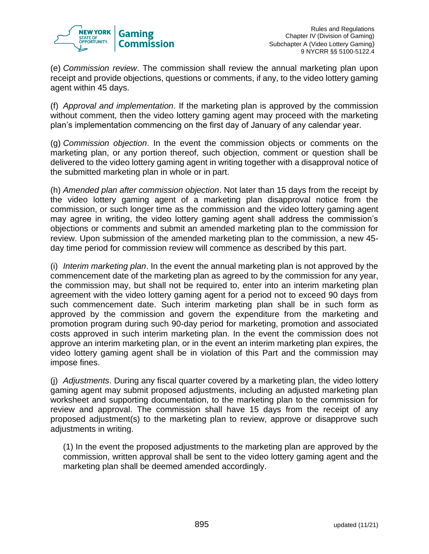

(e) *Commission review*. The commission shall review the annual marketing plan upon receipt and provide objections, questions or comments, if any, to the video lottery gaming agent within 45 days.

(f) *Approval and implementation*. If the marketing plan is approved by the commission without comment, then the video lottery gaming agent may proceed with the marketing plan's implementation commencing on the first day of January of any calendar year.

(g) *Commission objection*. In the event the commission objects or comments on the marketing plan, or any portion thereof, such objection, comment or question shall be delivered to the video lottery gaming agent in writing together with a disapproval notice of the submitted marketing plan in whole or in part.

(h) *Amended plan after commission objection*. Not later than 15 days from the receipt by the video lottery gaming agent of a marketing plan disapproval notice from the commission, or such longer time as the commission and the video lottery gaming agent may agree in writing, the video lottery gaming agent shall address the commission's objections or comments and submit an amended marketing plan to the commission for review. Upon submission of the amended marketing plan to the commission, a new 45 day time period for commission review will commence as described by this part.

(i) *Interim marketing plan*. In the event the annual marketing plan is not approved by the commencement date of the marketing plan as agreed to by the commission for any year, the commission may, but shall not be required to, enter into an interim marketing plan agreement with the video lottery gaming agent for a period not to exceed 90 days from such commencement date. Such interim marketing plan shall be in such form as approved by the commission and govern the expenditure from the marketing and promotion program during such 90-day period for marketing, promotion and associated costs approved in such interim marketing plan. In the event the commission does not approve an interim marketing plan, or in the event an interim marketing plan expires, the video lottery gaming agent shall be in violation of this Part and the commission may impose fines.

(j) *Adjustments*. During any fiscal quarter covered by a marketing plan, the video lottery gaming agent may submit proposed adjustments, including an adjusted marketing plan worksheet and supporting documentation, to the marketing plan to the commission for review and approval. The commission shall have 15 days from the receipt of any proposed adjustment(s) to the marketing plan to review, approve or disapprove such adjustments in writing.

(1) In the event the proposed adjustments to the marketing plan are approved by the commission, written approval shall be sent to the video lottery gaming agent and the marketing plan shall be deemed amended accordingly.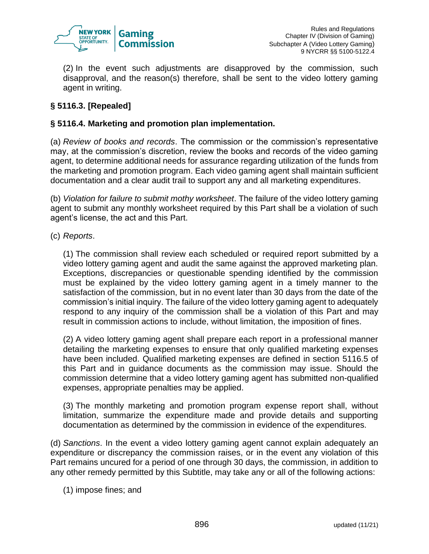

(2) In the event such adjustments are disapproved by the commission, such disapproval, and the reason(s) therefore, shall be sent to the video lottery gaming agent in writing.

# **§ 5116.3. [Repealed]**

#### **§ 5116.4. Marketing and promotion plan implementation.**

(a) *Review of books and records*. The commission or the commission's representative may, at the commission's discretion, review the books and records of the video gaming agent, to determine additional needs for assurance regarding utilization of the funds from the marketing and promotion program. Each video gaming agent shall maintain sufficient documentation and a clear audit trail to support any and all marketing expenditures.

(b) *Violation for failure to submit mothy worksheet*. The failure of the video lottery gaming agent to submit any monthly worksheet required by this Part shall be a violation of such agent's license, the act and this Part.

(c) *Reports*.

(1) The commission shall review each scheduled or required report submitted by a video lottery gaming agent and audit the same against the approved marketing plan. Exceptions, discrepancies or questionable spending identified by the commission must be explained by the video lottery gaming agent in a timely manner to the satisfaction of the commission, but in no event later than 30 days from the date of the commission's initial inquiry. The failure of the video lottery gaming agent to adequately respond to any inquiry of the commission shall be a violation of this Part and may result in commission actions to include, without limitation, the imposition of fines.

(2) A video lottery gaming agent shall prepare each report in a professional manner detailing the marketing expenses to ensure that only qualified marketing expenses have been included. Qualified marketing expenses are defined in section 5116.5 of this Part and in guidance documents as the commission may issue. Should the commission determine that a video lottery gaming agent has submitted non-qualified expenses, appropriate penalties may be applied.

(3) The monthly marketing and promotion program expense report shall, without limitation, summarize the expenditure made and provide details and supporting documentation as determined by the commission in evidence of the expenditures.

(d) *Sanctions*. In the event a video lottery gaming agent cannot explain adequately an expenditure or discrepancy the commission raises, or in the event any violation of this Part remains uncured for a period of one through 30 days, the commission, in addition to any other remedy permitted by this Subtitle, may take any or all of the following actions:

(1) impose fines; and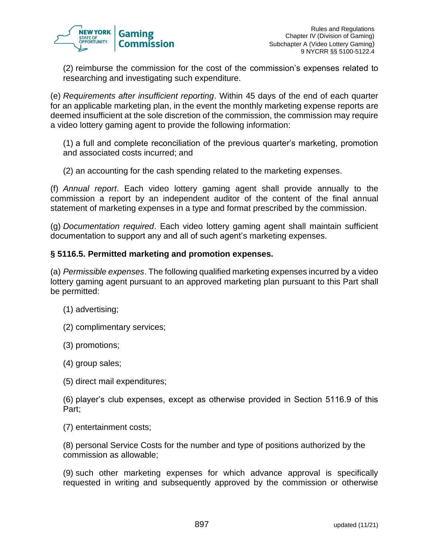

(2) reimburse the commission for the cost of the commission's expenses related to researching and investigating such expenditure.

(e) *Requirements after insufficient reporting*. Within 45 days of the end of each quarter for an applicable marketing plan, in the event the monthly marketing expense reports are deemed insufficient at the sole discretion of the commission, the commission may require a video lottery gaming agent to provide the following information:

(1) a full and complete reconciliation of the previous quarter's marketing, promotion and associated costs incurred; and

(2) an accounting for the cash spending related to the marketing expenses.

(f) *Annual report*. Each video lottery gaming agent shall provide annually to the commission a report by an independent auditor of the content of the final annual statement of marketing expenses in a type and format prescribed by the commission.

(g) *Documentation required*. Each video lottery gaming agent shall maintain sufficient documentation to support any and all of such agent's marketing expenses.

#### **§ 5116.5. Permitted marketing and promotion expenses.**

(a) *Permissible expenses*. The following qualified marketing expenses incurred by a video lottery gaming agent pursuant to an approved marketing plan pursuant to this Part shall be permitted:

- (1) advertising;
- (2) complimentary services;
- (3) promotions;
- (4) group sales;
- (5) direct mail expenditures;

(6) player's club expenses, except as otherwise provided in Section 5116.9 of this Part;

(7) entertainment costs;

(8) personal Service Costs for the number and type of positions authorized by the commission as allowable;

(9) such other marketing expenses for which advance approval is specifically requested in writing and subsequently approved by the commission or otherwise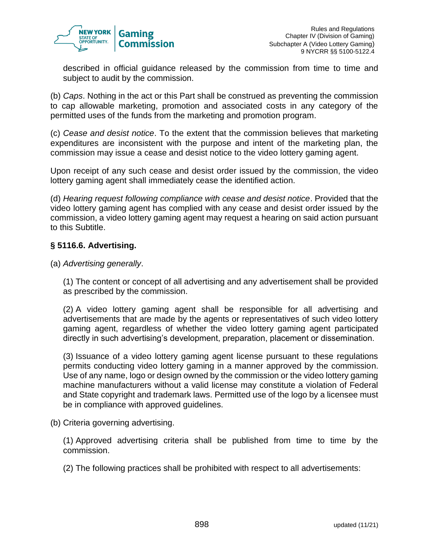

described in official guidance released by the commission from time to time and subject to audit by the commission.

(b) *Caps*. Nothing in the act or this Part shall be construed as preventing the commission to cap allowable marketing, promotion and associated costs in any category of the permitted uses of the funds from the marketing and promotion program.

(c) *Cease and desist notice*. To the extent that the commission believes that marketing expenditures are inconsistent with the purpose and intent of the marketing plan, the commission may issue a cease and desist notice to the video lottery gaming agent.

Upon receipt of any such cease and desist order issued by the commission, the video lottery gaming agent shall immediately cease the identified action.

(d) *Hearing request following compliance with cease and desist notice*. Provided that the video lottery gaming agent has complied with any cease and desist order issued by the commission, a video lottery gaming agent may request a hearing on said action pursuant to this Subtitle.

## **§ 5116.6. Advertising.**

#### (a) *Advertising generally*.

(1) The content or concept of all advertising and any advertisement shall be provided as prescribed by the commission.

(2) A video lottery gaming agent shall be responsible for all advertising and advertisements that are made by the agents or representatives of such video lottery gaming agent, regardless of whether the video lottery gaming agent participated directly in such advertising's development, preparation, placement or dissemination.

(3) Issuance of a video lottery gaming agent license pursuant to these regulations permits conducting video lottery gaming in a manner approved by the commission. Use of any name, logo or design owned by the commission or the video lottery gaming machine manufacturers without a valid license may constitute a violation of Federal and State copyright and trademark laws. Permitted use of the logo by a licensee must be in compliance with approved guidelines.

(b) Criteria governing advertising.

(1) Approved advertising criteria shall be published from time to time by the commission.

(2) The following practices shall be prohibited with respect to all advertisements: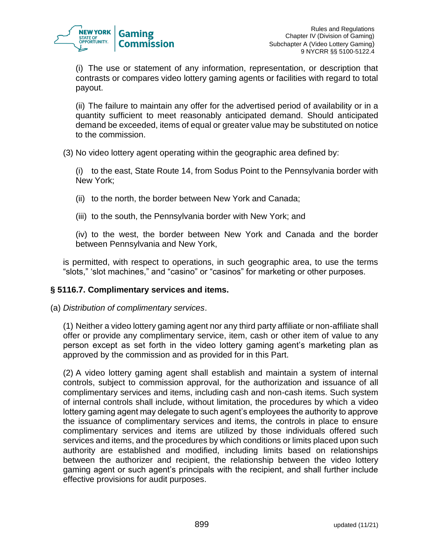

(i) The use or statement of any information, representation, or description that contrasts or compares video lottery gaming agents or facilities with regard to total payout.

(ii) The failure to maintain any offer for the advertised period of availability or in a quantity sufficient to meet reasonably anticipated demand. Should anticipated demand be exceeded, items of equal or greater value may be substituted on notice to the commission.

(3) No video lottery agent operating within the geographic area defined by:

(i) to the east, State Route 14, from Sodus Point to the Pennsylvania border with New York;

- (ii) to the north, the border between New York and Canada;
- (iii) to the south, the Pennsylvania border with New York; and

(iv) to the west, the border between New York and Canada and the border between Pennsylvania and New York,

is permitted, with respect to operations, in such geographic area, to use the terms "slots," 'slot machines," and "casino" or "casinos" for marketing or other purposes.

## **§ 5116.7. Complimentary services and items.**

(a) *Distribution of complimentary services*.

(1) Neither a video lottery gaming agent nor any third party affiliate or non-affiliate shall offer or provide any complimentary service, item, cash or other item of value to any person except as set forth in the video lottery gaming agent's marketing plan as approved by the commission and as provided for in this Part.

(2) A video lottery gaming agent shall establish and maintain a system of internal controls, subject to commission approval, for the authorization and issuance of all complimentary services and items, including cash and non-cash items. Such system of internal controls shall include, without limitation, the procedures by which a video lottery gaming agent may delegate to such agent's employees the authority to approve the issuance of complimentary services and items, the controls in place to ensure complimentary services and items are utilized by those individuals offered such services and items, and the procedures by which conditions or limits placed upon such authority are established and modified, including limits based on relationships between the authorizer and recipient, the relationship between the video lottery gaming agent or such agent's principals with the recipient, and shall further include effective provisions for audit purposes.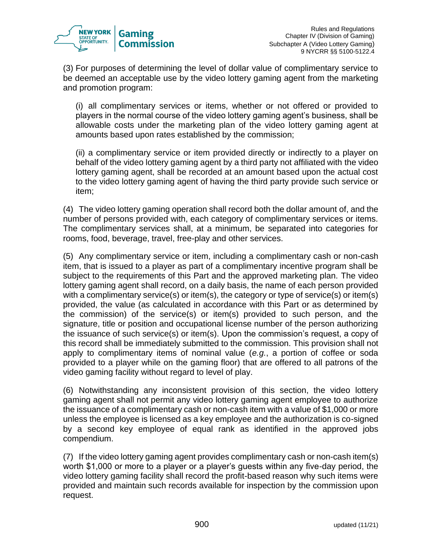

(3) For purposes of determining the level of dollar value of complimentary service to be deemed an acceptable use by the video lottery gaming agent from the marketing and promotion program:

(i) all complimentary services or items, whether or not offered or provided to players in the normal course of the video lottery gaming agent's business, shall be allowable costs under the marketing plan of the video lottery gaming agent at amounts based upon rates established by the commission;

(ii) a complimentary service or item provided directly or indirectly to a player on behalf of the video lottery gaming agent by a third party not affiliated with the video lottery gaming agent, shall be recorded at an amount based upon the actual cost to the video lottery gaming agent of having the third party provide such service or item;

(4) The video lottery gaming operation shall record both the dollar amount of, and the number of persons provided with, each category of complimentary services or items. The complimentary services shall, at a minimum, be separated into categories for rooms, food, beverage, travel, free-play and other services.

(5) Any complimentary service or item, including a complimentary cash or non-cash item, that is issued to a player as part of a complimentary incentive program shall be subject to the requirements of this Part and the approved marketing plan. The video lottery gaming agent shall record, on a daily basis, the name of each person provided with a complimentary service(s) or item(s), the category or type of service(s) or item(s) provided, the value (as calculated in accordance with this Part or as determined by the commission) of the service(s) or item(s) provided to such person, and the signature, title or position and occupational license number of the person authorizing the issuance of such service(s) or item(s). Upon the commission's request, a copy of this record shall be immediately submitted to the commission. This provision shall not apply to complimentary items of nominal value (*e.g.*, a portion of coffee or soda provided to a player while on the gaming floor) that are offered to all patrons of the video gaming facility without regard to level of play.

(6) Notwithstanding any inconsistent provision of this section, the video lottery gaming agent shall not permit any video lottery gaming agent employee to authorize the issuance of a complimentary cash or non-cash item with a value of \$1,000 or more unless the employee is licensed as a key employee and the authorization is co-signed by a second key employee of equal rank as identified in the approved jobs compendium.

(7) If the video lottery gaming agent provides complimentary cash or non-cash item(s) worth \$1,000 or more to a player or a player's guests within any five-day period, the video lottery gaming facility shall record the profit-based reason why such items were provided and maintain such records available for inspection by the commission upon request.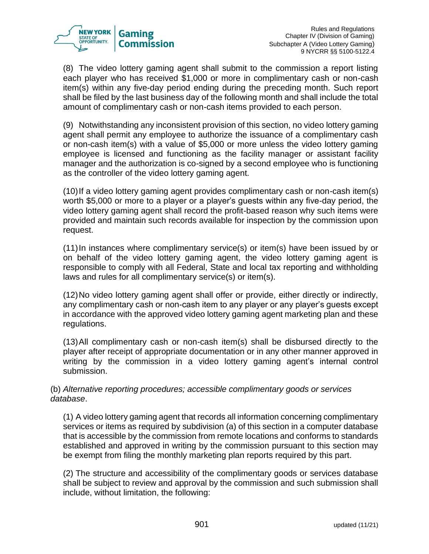

(8) The video lottery gaming agent shall submit to the commission a report listing each player who has received \$1,000 or more in complimentary cash or non-cash item(s) within any five-day period ending during the preceding month. Such report shall be filed by the last business day of the following month and shall include the total amount of complimentary cash or non-cash items provided to each person.

(9) Notwithstanding any inconsistent provision of this section, no video lottery gaming agent shall permit any employee to authorize the issuance of a complimentary cash or non-cash item(s) with a value of \$5,000 or more unless the video lottery gaming employee is licensed and functioning as the facility manager or assistant facility manager and the authorization is co-signed by a second employee who is functioning as the controller of the video lottery gaming agent.

(10)If a video lottery gaming agent provides complimentary cash or non-cash item(s) worth \$5,000 or more to a player or a player's guests within any five-day period, the video lottery gaming agent shall record the profit-based reason why such items were provided and maintain such records available for inspection by the commission upon request.

(11)In instances where complimentary service(s) or item(s) have been issued by or on behalf of the video lottery gaming agent, the video lottery gaming agent is responsible to comply with all Federal, State and local tax reporting and withholding laws and rules for all complimentary service(s) or item(s).

(12)No video lottery gaming agent shall offer or provide, either directly or indirectly, any complimentary cash or non-cash item to any player or any player's guests except in accordance with the approved video lottery gaming agent marketing plan and these regulations.

(13)All complimentary cash or non-cash item(s) shall be disbursed directly to the player after receipt of appropriate documentation or in any other manner approved in writing by the commission in a video lottery gaming agent's internal control submission.

(b) *Alternative reporting procedures; accessible complimentary goods or services database*.

(1) A video lottery gaming agent that records all information concerning complimentary services or items as required by subdivision (a) of this section in a computer database that is accessible by the commission from remote locations and conforms to standards established and approved in writing by the commission pursuant to this section may be exempt from filing the monthly marketing plan reports required by this part.

(2) The structure and accessibility of the complimentary goods or services database shall be subject to review and approval by the commission and such submission shall include, without limitation, the following: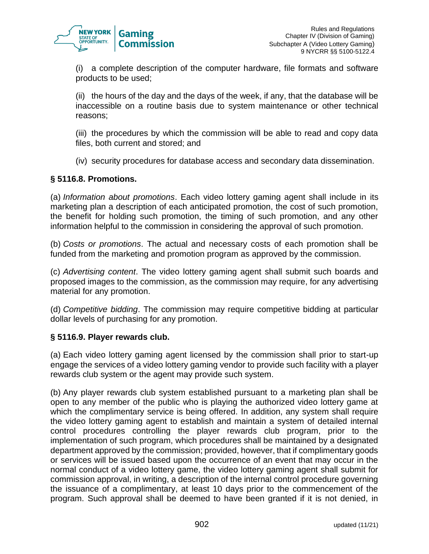

(i) a complete description of the computer hardware, file formats and software products to be used;

(ii) the hours of the day and the days of the week, if any, that the database will be inaccessible on a routine basis due to system maintenance or other technical reasons;

(iii) the procedures by which the commission will be able to read and copy data files, both current and stored; and

(iv) security procedures for database access and secondary data dissemination.

#### **§ 5116.8. Promotions.**

(a) *Information about promotions*. Each video lottery gaming agent shall include in its marketing plan a description of each anticipated promotion, the cost of such promotion, the benefit for holding such promotion, the timing of such promotion, and any other information helpful to the commission in considering the approval of such promotion.

(b) *Costs or promotions*. The actual and necessary costs of each promotion shall be funded from the marketing and promotion program as approved by the commission.

(c) *Advertising content*. The video lottery gaming agent shall submit such boards and proposed images to the commission, as the commission may require, for any advertising material for any promotion.

(d) *Competitive bidding*. The commission may require competitive bidding at particular dollar levels of purchasing for any promotion.

#### **§ 5116.9. Player rewards club.**

(a) Each video lottery gaming agent licensed by the commission shall prior to start-up engage the services of a video lottery gaming vendor to provide such facility with a player rewards club system or the agent may provide such system.

(b) Any player rewards club system established pursuant to a marketing plan shall be open to any member of the public who is playing the authorized video lottery game at which the complimentary service is being offered. In addition, any system shall require the video lottery gaming agent to establish and maintain a system of detailed internal control procedures controlling the player rewards club program, prior to the implementation of such program, which procedures shall be maintained by a designated department approved by the commission; provided, however, that if complimentary goods or services will be issued based upon the occurrence of an event that may occur in the normal conduct of a video lottery game, the video lottery gaming agent shall submit for commission approval, in writing, a description of the internal control procedure governing the issuance of a complimentary, at least 10 days prior to the commencement of the program. Such approval shall be deemed to have been granted if it is not denied, in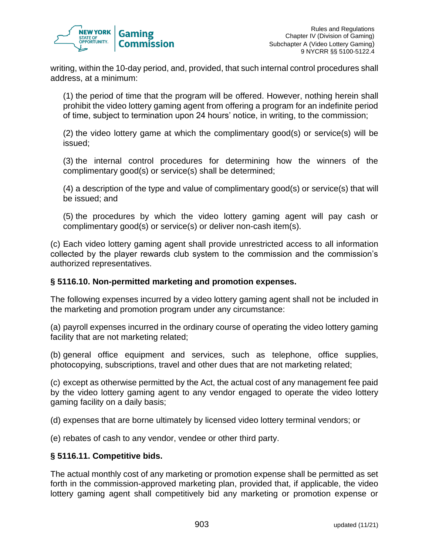

writing, within the 10-day period, and, provided, that such internal control procedures shall address, at a minimum:

(1) the period of time that the program will be offered. However, nothing herein shall prohibit the video lottery gaming agent from offering a program for an indefinite period of time, subject to termination upon 24 hours' notice, in writing, to the commission;

(2) the video lottery game at which the complimentary good(s) or service(s) will be issued;

(3) the internal control procedures for determining how the winners of the complimentary good(s) or service(s) shall be determined;

(4) a description of the type and value of complimentary good(s) or service(s) that will be issued; and

(5) the procedures by which the video lottery gaming agent will pay cash or complimentary good(s) or service(s) or deliver non-cash item(s).

(c) Each video lottery gaming agent shall provide unrestricted access to all information collected by the player rewards club system to the commission and the commission's authorized representatives.

## **§ 5116.10. Non-permitted marketing and promotion expenses.**

The following expenses incurred by a video lottery gaming agent shall not be included in the marketing and promotion program under any circumstance:

(a) payroll expenses incurred in the ordinary course of operating the video lottery gaming facility that are not marketing related;

(b) general office equipment and services, such as telephone, office supplies, photocopying, subscriptions, travel and other dues that are not marketing related;

(c) except as otherwise permitted by the Act, the actual cost of any management fee paid by the video lottery gaming agent to any vendor engaged to operate the video lottery gaming facility on a daily basis;

(d) expenses that are borne ultimately by licensed video lottery terminal vendors; or

(e) rebates of cash to any vendor, vendee or other third party.

## **§ 5116.11. Competitive bids.**

The actual monthly cost of any marketing or promotion expense shall be permitted as set forth in the commission-approved marketing plan, provided that, if applicable, the video lottery gaming agent shall competitively bid any marketing or promotion expense or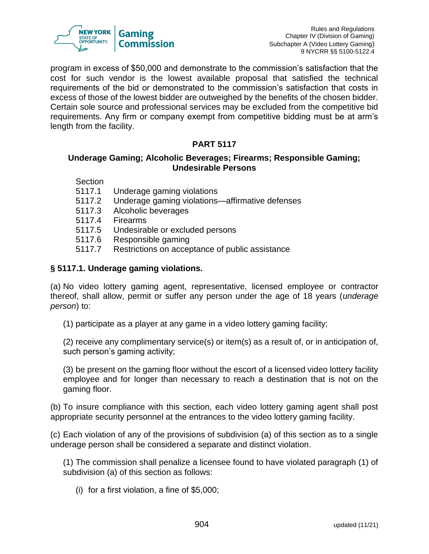

program in excess of \$50,000 and demonstrate to the commission's satisfaction that the cost for such vendor is the lowest available proposal that satisfied the technical requirements of the bid or demonstrated to the commission's satisfaction that costs in excess of those of the lowest bidder are outweighed by the benefits of the chosen bidder. Certain sole source and professional services may be excluded from the competitive bid requirements. Any firm or company exempt from competitive bidding must be at arm's length from the facility.

# **PART 5117**

#### **Underage Gaming; Alcoholic Beverages; Firearms; Responsible Gaming; Undesirable Persons**

- Section
- 5117.1 Underage gaming violations
- 5117.2 Underage gaming violations—affirmative defenses
- 5117.3 Alcoholic beverages
- 5117.4 Firearms
- 5117.5 Undesirable or excluded persons
- 5117.6 Responsible gaming
- 5117.7 Restrictions on acceptance of public assistance

## **§ 5117.1. Underage gaming violations.**

(a) No video lottery gaming agent, representative, licensed employee or contractor thereof, shall allow, permit or suffer any person under the age of 18 years (*underage person*) to:

(1) participate as a player at any game in a video lottery gaming facility;

(2) receive any complimentary service(s) or item(s) as a result of, or in anticipation of, such person's gaming activity;

(3) be present on the gaming floor without the escort of a licensed video lottery facility employee and for longer than necessary to reach a destination that is not on the gaming floor.

(b) To insure compliance with this section, each video lottery gaming agent shall post appropriate security personnel at the entrances to the video lottery gaming facility.

(c) Each violation of any of the provisions of subdivision (a) of this section as to a single underage person shall be considered a separate and distinct violation.

(1) The commission shall penalize a licensee found to have violated paragraph (1) of subdivision (a) of this section as follows:

(i) for a first violation, a fine of \$5,000;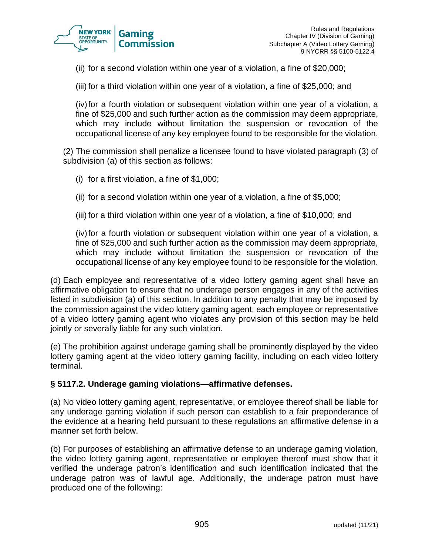

(ii) for a second violation within one year of a violation, a fine of \$20,000;

(iii) for a third violation within one year of a violation, a fine of \$25,000; and

(iv)for a fourth violation or subsequent violation within one year of a violation, a fine of \$25,000 and such further action as the commission may deem appropriate, which may include without limitation the suspension or revocation of the occupational license of any key employee found to be responsible for the violation.

(2) The commission shall penalize a licensee found to have violated paragraph (3) of subdivision (a) of this section as follows:

- (i) for a first violation, a fine of \$1,000;
- (ii) for a second violation within one year of a violation, a fine of \$5,000;
- (iii) for a third violation within one year of a violation, a fine of \$10,000; and

(iv)for a fourth violation or subsequent violation within one year of a violation, a fine of \$25,000 and such further action as the commission may deem appropriate, which may include without limitation the suspension or revocation of the occupational license of any key employee found to be responsible for the violation.

(d) Each employee and representative of a video lottery gaming agent shall have an affirmative obligation to ensure that no underage person engages in any of the activities listed in subdivision (a) of this section. In addition to any penalty that may be imposed by the commission against the video lottery gaming agent, each employee or representative of a video lottery gaming agent who violates any provision of this section may be held jointly or severally liable for any such violation.

(e) The prohibition against underage gaming shall be prominently displayed by the video lottery gaming agent at the video lottery gaming facility, including on each video lottery terminal.

#### **§ 5117.2. Underage gaming violations—affirmative defenses.**

(a) No video lottery gaming agent, representative, or employee thereof shall be liable for any underage gaming violation if such person can establish to a fair preponderance of the evidence at a hearing held pursuant to these regulations an affirmative defense in a manner set forth below.

(b) For purposes of establishing an affirmative defense to an underage gaming violation, the video lottery gaming agent, representative or employee thereof must show that it verified the underage patron's identification and such identification indicated that the underage patron was of lawful age. Additionally, the underage patron must have produced one of the following: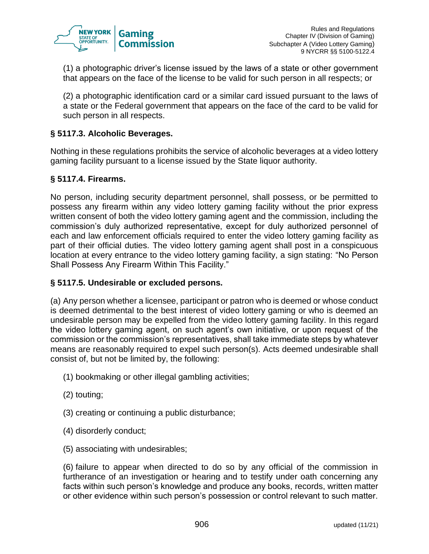

(1) a photographic driver's license issued by the laws of a state or other government that appears on the face of the license to be valid for such person in all respects; or

(2) a photographic identification card or a similar card issued pursuant to the laws of a state or the Federal government that appears on the face of the card to be valid for such person in all respects.

## **§ 5117.3. Alcoholic Beverages.**

Nothing in these regulations prohibits the service of alcoholic beverages at a video lottery gaming facility pursuant to a license issued by the State liquor authority.

#### **§ 5117.4. Firearms.**

No person, including security department personnel, shall possess, or be permitted to possess any firearm within any video lottery gaming facility without the prior express written consent of both the video lottery gaming agent and the commission, including the commission's duly authorized representative, except for duly authorized personnel of each and law enforcement officials required to enter the video lottery gaming facility as part of their official duties. The video lottery gaming agent shall post in a conspicuous location at every entrance to the video lottery gaming facility, a sign stating: "No Person Shall Possess Any Firearm Within This Facility."

## **§ 5117.5. Undesirable or excluded persons.**

(a) Any person whether a licensee, participant or patron who is deemed or whose conduct is deemed detrimental to the best interest of video lottery gaming or who is deemed an undesirable person may be expelled from the video lottery gaming facility. In this regard the video lottery gaming agent, on such agent's own initiative, or upon request of the commission or the commission's representatives, shall take immediate steps by whatever means are reasonably required to expel such person(s). Acts deemed undesirable shall consist of, but not be limited by, the following:

- (1) bookmaking or other illegal gambling activities;
- (2) touting;
- (3) creating or continuing a public disturbance;
- (4) disorderly conduct;
- (5) associating with undesirables;

(6) failure to appear when directed to do so by any official of the commission in furtherance of an investigation or hearing and to testify under oath concerning any facts within such person's knowledge and produce any books, records, written matter or other evidence within such person's possession or control relevant to such matter.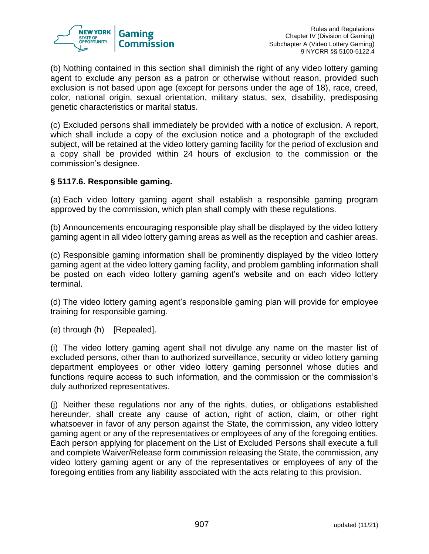

(b) Nothing contained in this section shall diminish the right of any video lottery gaming agent to exclude any person as a patron or otherwise without reason, provided such exclusion is not based upon age (except for persons under the age of 18), race, creed, color, national origin, sexual orientation, military status, sex, disability, predisposing genetic characteristics or marital status.

(c) Excluded persons shall immediately be provided with a notice of exclusion. A report, which shall include a copy of the exclusion notice and a photograph of the excluded subject, will be retained at the video lottery gaming facility for the period of exclusion and a copy shall be provided within 24 hours of exclusion to the commission or the commission's designee.

## **§ 5117.6. Responsible gaming.**

(a) Each video lottery gaming agent shall establish a responsible gaming program approved by the commission, which plan shall comply with these regulations.

(b) Announcements encouraging responsible play shall be displayed by the video lottery gaming agent in all video lottery gaming areas as well as the reception and cashier areas.

(c) Responsible gaming information shall be prominently displayed by the video lottery gaming agent at the video lottery gaming facility, and problem gambling information shall be posted on each video lottery gaming agent's website and on each video lottery terminal.

(d) The video lottery gaming agent's responsible gaming plan will provide for employee training for responsible gaming.

(e) through (h) [Repealed].

(i) The video lottery gaming agent shall not divulge any name on the master list of excluded persons, other than to authorized surveillance, security or video lottery gaming department employees or other video lottery gaming personnel whose duties and functions require access to such information, and the commission or the commission's duly authorized representatives.

(j) Neither these regulations nor any of the rights, duties, or obligations established hereunder, shall create any cause of action, right of action, claim, or other right whatsoever in favor of any person against the State, the commission, any video lottery gaming agent or any of the representatives or employees of any of the foregoing entities. Each person applying for placement on the List of Excluded Persons shall execute a full and complete Waiver/Release form commission releasing the State, the commission, any video lottery gaming agent or any of the representatives or employees of any of the foregoing entities from any liability associated with the acts relating to this provision.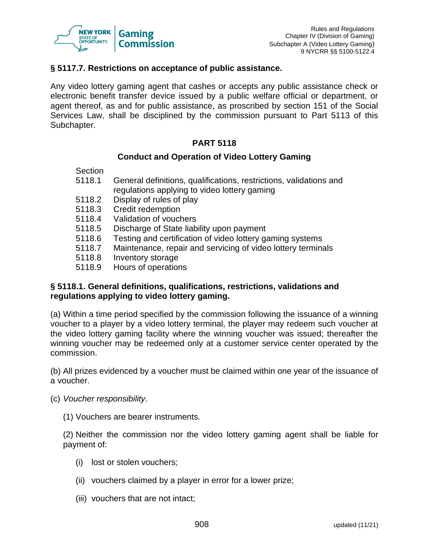

#### **§ 5117.7. Restrictions on acceptance of public assistance.**

Any video lottery gaming agent that cashes or accepts any public assistance check or electronic benefit transfer device issued by a public welfare official or department, or agent thereof, as and for public assistance, as proscribed by section 151 of the Social Services Law, shall be disciplined by the commission pursuant to Part 5113 of this Subchapter.

#### **PART 5118**

#### **Conduct and Operation of Video Lottery Gaming**

- Section
- 5118.1 General definitions, qualifications, restrictions, validations and regulations applying to video lottery gaming
- 5118.2 Display of rules of play
- 5118.3 Credit redemption
- 5118.4 Validation of vouchers
- 5118.5 Discharge of State liability upon payment
- 5118.6 Testing and certification of video lottery gaming systems
- 5118.7 Maintenance, repair and servicing of video lottery terminals
- 5118.8 Inventory storage
- 5118.9 Hours of operations

#### **§ 5118.1. General definitions, qualifications, restrictions, validations and regulations applying to video lottery gaming.**

(a) Within a time period specified by the commission following the issuance of a winning voucher to a player by a video lottery terminal, the player may redeem such voucher at the video lottery gaming facility where the winning voucher was issued; thereafter the winning voucher may be redeemed only at a customer service center operated by the commission.

(b) All prizes evidenced by a voucher must be claimed within one year of the issuance of a voucher.

- (c) *Voucher responsibility*.
	- (1) Vouchers are bearer instruments.

(2) Neither the commission nor the video lottery gaming agent shall be liable for payment of:

- (i) lost or stolen vouchers;
- (ii) vouchers claimed by a player in error for a lower prize;
- (iii) vouchers that are not intact;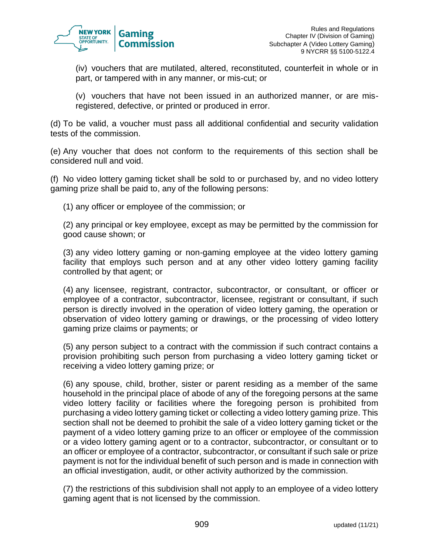

(iv) vouchers that are mutilated, altered, reconstituted, counterfeit in whole or in part, or tampered with in any manner, or mis-cut; or

(v) vouchers that have not been issued in an authorized manner, or are misregistered, defective, or printed or produced in error.

(d) To be valid, a voucher must pass all additional confidential and security validation tests of the commission.

(e) Any voucher that does not conform to the requirements of this section shall be considered null and void.

(f) No video lottery gaming ticket shall be sold to or purchased by, and no video lottery gaming prize shall be paid to, any of the following persons:

(1) any officer or employee of the commission; or

(2) any principal or key employee, except as may be permitted by the commission for good cause shown; or

(3) any video lottery gaming or non-gaming employee at the video lottery gaming facility that employs such person and at any other video lottery gaming facility controlled by that agent; or

(4) any licensee, registrant, contractor, subcontractor, or consultant, or officer or employee of a contractor, subcontractor, licensee, registrant or consultant, if such person is directly involved in the operation of video lottery gaming, the operation or observation of video lottery gaming or drawings, or the processing of video lottery gaming prize claims or payments; or

(5) any person subject to a contract with the commission if such contract contains a provision prohibiting such person from purchasing a video lottery gaming ticket or receiving a video lottery gaming prize; or

(6) any spouse, child, brother, sister or parent residing as a member of the same household in the principal place of abode of any of the foregoing persons at the same video lottery facility or facilities where the foregoing person is prohibited from purchasing a video lottery gaming ticket or collecting a video lottery gaming prize. This section shall not be deemed to prohibit the sale of a video lottery gaming ticket or the payment of a video lottery gaming prize to an officer or employee of the commission or a video lottery gaming agent or to a contractor, subcontractor, or consultant or to an officer or employee of a contractor, subcontractor, or consultant if such sale or prize payment is not for the individual benefit of such person and is made in connection with an official investigation, audit, or other activity authorized by the commission.

(7) the restrictions of this subdivision shall not apply to an employee of a video lottery gaming agent that is not licensed by the commission.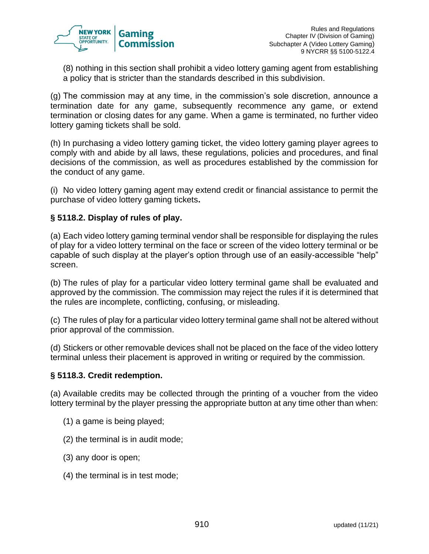

(8) nothing in this section shall prohibit a video lottery gaming agent from establishing a policy that is stricter than the standards described in this subdivision.

(g) The commission may at any time, in the commission's sole discretion, announce a termination date for any game, subsequently recommence any game, or extend termination or closing dates for any game. When a game is terminated, no further video lottery gaming tickets shall be sold.

(h) In purchasing a video lottery gaming ticket, the video lottery gaming player agrees to comply with and abide by all laws, these regulations, policies and procedures, and final decisions of the commission, as well as procedures established by the commission for the conduct of any game.

(i) No video lottery gaming agent may extend credit or financial assistance to permit the purchase of video lottery gaming tickets**.**

## **§ 5118.2. Display of rules of play.**

(a) Each video lottery gaming terminal vendor shall be responsible for displaying the rules of play for a video lottery terminal on the face or screen of the video lottery terminal or be capable of such display at the player's option through use of an easily-accessible "help" screen.

(b) The rules of play for a particular video lottery terminal game shall be evaluated and approved by the commission. The commission may reject the rules if it is determined that the rules are incomplete, conflicting, confusing, or misleading.

(c) The rules of play for a particular video lottery terminal game shall not be altered without prior approval of the commission.

(d) Stickers or other removable devices shall not be placed on the face of the video lottery terminal unless their placement is approved in writing or required by the commission.

## **§ 5118.3. Credit redemption.**

(a) Available credits may be collected through the printing of a voucher from the video lottery terminal by the player pressing the appropriate button at any time other than when:

- (1) a game is being played;
- (2) the terminal is in audit mode;
- (3) any door is open;
- (4) the terminal is in test mode;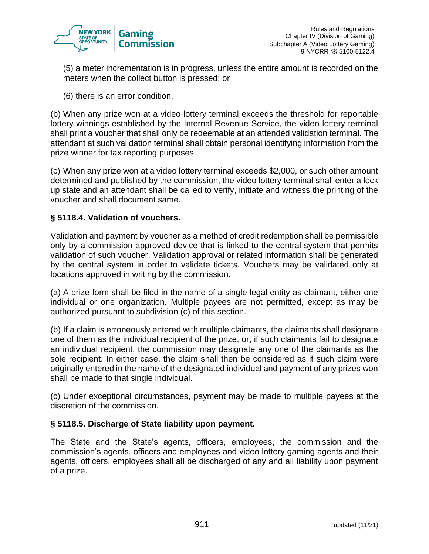

(5) a meter incrementation is in progress, unless the entire amount is recorded on the meters when the collect button is pressed; or

(6) there is an error condition.

(b) When any prize won at a video lottery terminal exceeds the threshold for reportable lottery winnings established by the Internal Revenue Service, the video lottery terminal shall print a voucher that shall only be redeemable at an attended validation terminal. The attendant at such validation terminal shall obtain personal identifying information from the prize winner for tax reporting purposes.

(c) When any prize won at a video lottery terminal exceeds \$2,000, or such other amount determined and published by the commission, the video lottery terminal shall enter a lock up state and an attendant shall be called to verify, initiate and witness the printing of the voucher and shall document same.

## **§ 5118.4. Validation of vouchers.**

Validation and payment by voucher as a method of credit redemption shall be permissible only by a commission approved device that is linked to the central system that permits validation of such voucher. Validation approval or related information shall be generated by the central system in order to validate tickets. Vouchers may be validated only at locations approved in writing by the commission.

(a) A prize form shall be filed in the name of a single legal entity as claimant, either one individual or one organization. Multiple payees are not permitted, except as may be authorized pursuant to subdivision (c) of this section.

(b) If a claim is erroneously entered with multiple claimants, the claimants shall designate one of them as the individual recipient of the prize, or, if such claimants fail to designate an individual recipient, the commission may designate any one of the claimants as the sole recipient. In either case, the claim shall then be considered as if such claim were originally entered in the name of the designated individual and payment of any prizes won shall be made to that single individual.

(c) Under exceptional circumstances, payment may be made to multiple payees at the discretion of the commission.

## **§ 5118.5. Discharge of State liability upon payment.**

The State and the State's agents, officers, employees, the commission and the commission's agents, officers and employees and video lottery gaming agents and their agents, officers, employees shall all be discharged of any and all liability upon payment of a prize.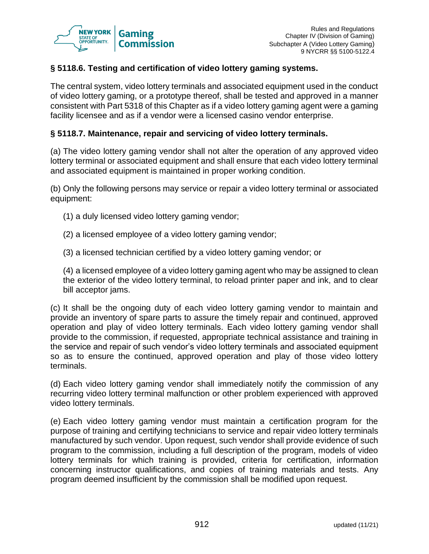

## **§ 5118.6. Testing and certification of video lottery gaming systems.**

The central system, video lottery terminals and associated equipment used in the conduct of video lottery gaming, or a prototype thereof, shall be tested and approved in a manner consistent with Part 5318 of this Chapter as if a video lottery gaming agent were a gaming facility licensee and as if a vendor were a licensed casino vendor enterprise.

#### **§ 5118.7. Maintenance, repair and servicing of video lottery terminals.**

(a) The video lottery gaming vendor shall not alter the operation of any approved video lottery terminal or associated equipment and shall ensure that each video lottery terminal and associated equipment is maintained in proper working condition.

(b) Only the following persons may service or repair a video lottery terminal or associated equipment:

- (1) a duly licensed video lottery gaming vendor;
- (2) a licensed employee of a video lottery gaming vendor;
- (3) a licensed technician certified by a video lottery gaming vendor; or

(4) a licensed employee of a video lottery gaming agent who may be assigned to clean the exterior of the video lottery terminal, to reload printer paper and ink, and to clear bill acceptor jams.

(c) It shall be the ongoing duty of each video lottery gaming vendor to maintain and provide an inventory of spare parts to assure the timely repair and continued, approved operation and play of video lottery terminals. Each video lottery gaming vendor shall provide to the commission, if requested, appropriate technical assistance and training in the service and repair of such vendor's video lottery terminals and associated equipment so as to ensure the continued, approved operation and play of those video lottery terminals.

(d) Each video lottery gaming vendor shall immediately notify the commission of any recurring video lottery terminal malfunction or other problem experienced with approved video lottery terminals.

(e) Each video lottery gaming vendor must maintain a certification program for the purpose of training and certifying technicians to service and repair video lottery terminals manufactured by such vendor. Upon request, such vendor shall provide evidence of such program to the commission, including a full description of the program, models of video lottery terminals for which training is provided, criteria for certification, information concerning instructor qualifications, and copies of training materials and tests. Any program deemed insufficient by the commission shall be modified upon request.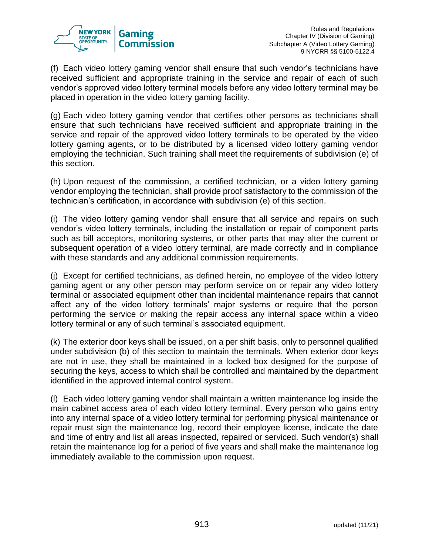

(f) Each video lottery gaming vendor shall ensure that such vendor's technicians have received sufficient and appropriate training in the service and repair of each of such vendor's approved video lottery terminal models before any video lottery terminal may be placed in operation in the video lottery gaming facility.

(g) Each video lottery gaming vendor that certifies other persons as technicians shall ensure that such technicians have received sufficient and appropriate training in the service and repair of the approved video lottery terminals to be operated by the video lottery gaming agents, or to be distributed by a licensed video lottery gaming vendor employing the technician. Such training shall meet the requirements of subdivision (e) of this section.

(h) Upon request of the commission, a certified technician, or a video lottery gaming vendor employing the technician, shall provide proof satisfactory to the commission of the technician's certification, in accordance with subdivision (e) of this section.

(i) The video lottery gaming vendor shall ensure that all service and repairs on such vendor's video lottery terminals, including the installation or repair of component parts such as bill acceptors, monitoring systems, or other parts that may alter the current or subsequent operation of a video lottery terminal, are made correctly and in compliance with these standards and any additional commission requirements.

(j) Except for certified technicians, as defined herein, no employee of the video lottery gaming agent or any other person may perform service on or repair any video lottery terminal or associated equipment other than incidental maintenance repairs that cannot affect any of the video lottery terminals' major systems or require that the person performing the service or making the repair access any internal space within a video lottery terminal or any of such terminal's associated equipment.

(k) The exterior door keys shall be issued, on a per shift basis, only to personnel qualified under subdivision (b) of this section to maintain the terminals. When exterior door keys are not in use, they shall be maintained in a locked box designed for the purpose of securing the keys, access to which shall be controlled and maintained by the department identified in the approved internal control system.

(l) Each video lottery gaming vendor shall maintain a written maintenance log inside the main cabinet access area of each video lottery terminal. Every person who gains entry into any internal space of a video lottery terminal for performing physical maintenance or repair must sign the maintenance log, record their employee license, indicate the date and time of entry and list all areas inspected, repaired or serviced. Such vendor(s) shall retain the maintenance log for a period of five years and shall make the maintenance log immediately available to the commission upon request.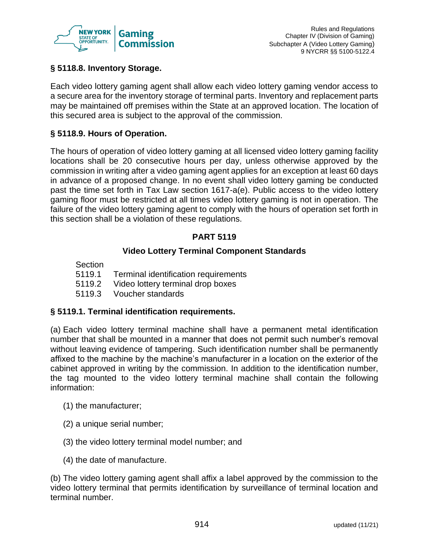

## **§ 5118.8. Inventory Storage.**

Each video lottery gaming agent shall allow each video lottery gaming vendor access to a secure area for the inventory storage of terminal parts. Inventory and replacement parts may be maintained off premises within the State at an approved location. The location of this secured area is subject to the approval of the commission.

#### **§ 5118.9. Hours of Operation.**

The hours of operation of video lottery gaming at all licensed video lottery gaming facility locations shall be 20 consecutive hours per day, unless otherwise approved by the commission in writing after a video gaming agent applies for an exception at least 60 days in advance of a proposed change. In no event shall video lottery gaming be conducted past the time set forth in Tax Law section 1617-a(e). Public access to the video lottery gaming floor must be restricted at all times video lottery gaming is not in operation. The failure of the video lottery gaming agent to comply with the hours of operation set forth in this section shall be a violation of these regulations.

## **PART 5119**

#### **Video Lottery Terminal Component Standards**

Section

- 5119.1 Terminal identification requirements
- 5119.2 Video lottery terminal drop boxes
- 5119.3 Voucher standards

#### **§ 5119.1. Terminal identification requirements.**

(a) Each video lottery terminal machine shall have a permanent metal identification number that shall be mounted in a manner that does not permit such number's removal without leaving evidence of tampering. Such identification number shall be permanently affixed to the machine by the machine's manufacturer in a location on the exterior of the cabinet approved in writing by the commission. In addition to the identification number, the tag mounted to the video lottery terminal machine shall contain the following information:

- (1) the manufacturer;
- (2) a unique serial number;
- (3) the video lottery terminal model number; and
- (4) the date of manufacture.

(b) The video lottery gaming agent shall affix a label approved by the commission to the video lottery terminal that permits identification by surveillance of terminal location and terminal number.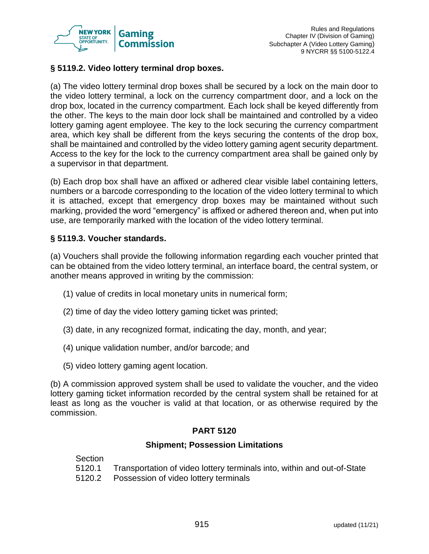

## **§ 5119.2. Video lottery terminal drop boxes.**

(a) The video lottery terminal drop boxes shall be secured by a lock on the main door to the video lottery terminal, a lock on the currency compartment door, and a lock on the drop box, located in the currency compartment. Each lock shall be keyed differently from the other. The keys to the main door lock shall be maintained and controlled by a video lottery gaming agent employee. The key to the lock securing the currency compartment area, which key shall be different from the keys securing the contents of the drop box, shall be maintained and controlled by the video lottery gaming agent security department. Access to the key for the lock to the currency compartment area shall be gained only by a supervisor in that department.

(b) Each drop box shall have an affixed or adhered clear visible label containing letters, numbers or a barcode corresponding to the location of the video lottery terminal to which it is attached, except that emergency drop boxes may be maintained without such marking, provided the word "emergency" is affixed or adhered thereon and, when put into use, are temporarily marked with the location of the video lottery terminal.

## **§ 5119.3. Voucher standards.**

(a) Vouchers shall provide the following information regarding each voucher printed that can be obtained from the video lottery terminal, an interface board, the central system, or another means approved in writing by the commission:

- (1) value of credits in local monetary units in numerical form;
- (2) time of day the video lottery gaming ticket was printed;
- (3) date, in any recognized format, indicating the day, month, and year;
- (4) unique validation number, and/or barcode; and
- (5) video lottery gaming agent location.

(b) A commission approved system shall be used to validate the voucher, and the video lottery gaming ticket information recorded by the central system shall be retained for at least as long as the voucher is valid at that location, or as otherwise required by the commission.

## **PART 5120**

#### **Shipment; Possession Limitations**

Section

- 5120.1 Transportation of video lottery terminals into, within and out-of-State
- 5120.2 Possession of video lottery terminals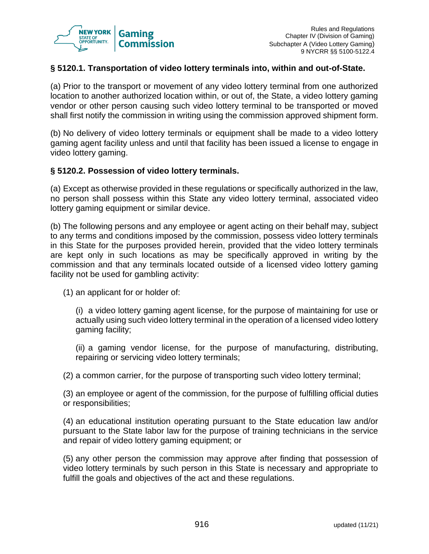

## **§ 5120.1. Transportation of video lottery terminals into, within and out-of-State.**

(a) Prior to the transport or movement of any video lottery terminal from one authorized location to another authorized location within, or out of, the State, a video lottery gaming vendor or other person causing such video lottery terminal to be transported or moved shall first notify the commission in writing using the commission approved shipment form.

(b) No delivery of video lottery terminals or equipment shall be made to a video lottery gaming agent facility unless and until that facility has been issued a license to engage in video lottery gaming.

#### **§ 5120.2. Possession of video lottery terminals.**

(a) Except as otherwise provided in these regulations or specifically authorized in the law, no person shall possess within this State any video lottery terminal, associated video lottery gaming equipment or similar device.

(b) The following persons and any employee or agent acting on their behalf may, subject to any terms and conditions imposed by the commission, possess video lottery terminals in this State for the purposes provided herein, provided that the video lottery terminals are kept only in such locations as may be specifically approved in writing by the commission and that any terminals located outside of a licensed video lottery gaming facility not be used for gambling activity:

(1) an applicant for or holder of:

(i) a video lottery gaming agent license, for the purpose of maintaining for use or actually using such video lottery terminal in the operation of a licensed video lottery gaming facility;

(ii) a gaming vendor license, for the purpose of manufacturing, distributing, repairing or servicing video lottery terminals;

(2) a common carrier, for the purpose of transporting such video lottery terminal;

(3) an employee or agent of the commission, for the purpose of fulfilling official duties or responsibilities;

(4) an educational institution operating pursuant to the State education law and/or pursuant to the State labor law for the purpose of training technicians in the service and repair of video lottery gaming equipment; or

(5) any other person the commission may approve after finding that possession of video lottery terminals by such person in this State is necessary and appropriate to fulfill the goals and objectives of the act and these regulations.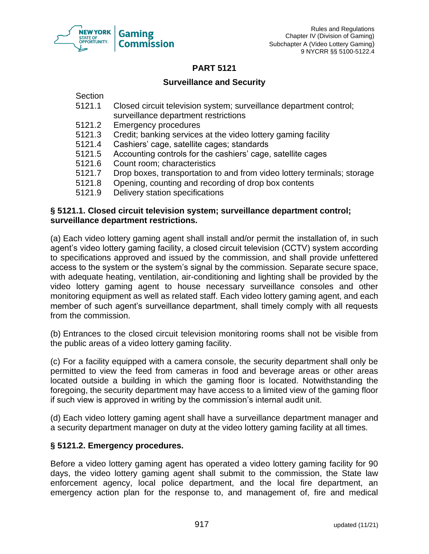

#### **PART 5121**

## **Surveillance and Security**

**Section** 

- 5121.1 Closed circuit television system; surveillance department control; surveillance department restrictions
- 5121.2 Emergency procedures
- 5121.3 Credit; banking services at the video lottery gaming facility
- 5121.4 Cashiers' cage, satellite cages; standards
- 5121.5 Accounting controls for the cashiers' cage, satellite cages
- 5121.6 Count room; characteristics
- 5121.7 Drop boxes, transportation to and from video lottery terminals; storage
- 5121.8 Opening, counting and recording of drop box contents
- 5121.9 Delivery station specifications

#### **§ 5121.1. Closed circuit television system; surveillance department control; surveillance department restrictions.**

(a) Each video lottery gaming agent shall install and/or permit the installation of, in such agent's video lottery gaming facility, a closed circuit television (CCTV) system according to specifications approved and issued by the commission, and shall provide unfettered access to the system or the system's signal by the commission. Separate secure space, with adequate heating, ventilation, air-conditioning and lighting shall be provided by the video lottery gaming agent to house necessary surveillance consoles and other monitoring equipment as well as related staff. Each video lottery gaming agent, and each member of such agent's surveillance department, shall timely comply with all requests from the commission.

(b) Entrances to the closed circuit television monitoring rooms shall not be visible from the public areas of a video lottery gaming facility.

(c) For a facility equipped with a camera console, the security department shall only be permitted to view the feed from cameras in food and beverage areas or other areas located outside a building in which the gaming floor is located. Notwithstanding the foregoing, the security department may have access to a limited view of the gaming floor if such view is approved in writing by the commission's internal audit unit.

(d) Each video lottery gaming agent shall have a surveillance department manager and a security department manager on duty at the video lottery gaming facility at all times.

## **§ 5121.2. Emergency procedures.**

Before a video lottery gaming agent has operated a video lottery gaming facility for 90 days, the video lottery gaming agent shall submit to the commission, the State law enforcement agency, local police department, and the local fire department, an emergency action plan for the response to, and management of, fire and medical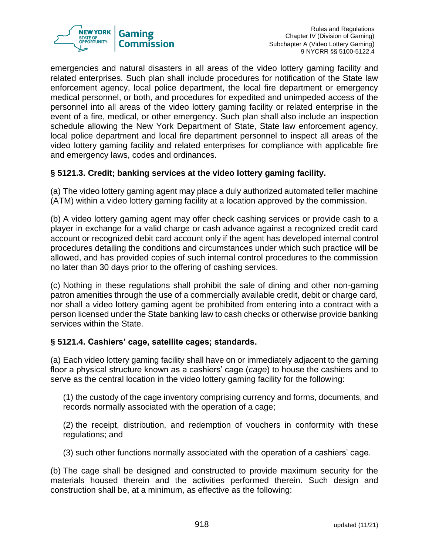

emergencies and natural disasters in all areas of the video lottery gaming facility and related enterprises. Such plan shall include procedures for notification of the State law enforcement agency, local police department, the local fire department or emergency medical personnel, or both, and procedures for expedited and unimpeded access of the personnel into all areas of the video lottery gaming facility or related enterprise in the event of a fire, medical, or other emergency. Such plan shall also include an inspection schedule allowing the New York Department of State, State law enforcement agency, local police department and local fire department personnel to inspect all areas of the video lottery gaming facility and related enterprises for compliance with applicable fire and emergency laws, codes and ordinances.

## **§ 5121.3. Credit; banking services at the video lottery gaming facility.**

(a) The video lottery gaming agent may place a duly authorized automated teller machine (ATM) within a video lottery gaming facility at a location approved by the commission.

(b) A video lottery gaming agent may offer check cashing services or provide cash to a player in exchange for a valid charge or cash advance against a recognized credit card account or recognized debit card account only if the agent has developed internal control procedures detailing the conditions and circumstances under which such practice will be allowed, and has provided copies of such internal control procedures to the commission no later than 30 days prior to the offering of cashing services.

(c) Nothing in these regulations shall prohibit the sale of dining and other non-gaming patron amenities through the use of a commercially available credit, debit or charge card, nor shall a video lottery gaming agent be prohibited from entering into a contract with a person licensed under the State banking law to cash checks or otherwise provide banking services within the State.

## **§ 5121.4. Cashiers' cage, satellite cages; standards.**

(a) Each video lottery gaming facility shall have on or immediately adjacent to the gaming floor a physical structure known as a cashiers' cage (*cage*) to house the cashiers and to serve as the central location in the video lottery gaming facility for the following:

(1) the custody of the cage inventory comprising currency and forms, documents, and records normally associated with the operation of a cage;

(2) the receipt, distribution, and redemption of vouchers in conformity with these regulations; and

(3) such other functions normally associated with the operation of a cashiers' cage.

(b) The cage shall be designed and constructed to provide maximum security for the materials housed therein and the activities performed therein. Such design and construction shall be, at a minimum, as effective as the following: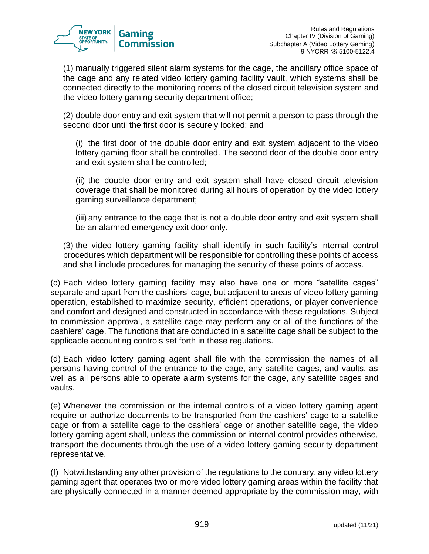

(1) manually triggered silent alarm systems for the cage, the ancillary office space of the cage and any related video lottery gaming facility vault, which systems shall be connected directly to the monitoring rooms of the closed circuit television system and the video lottery gaming security department office;

(2) double door entry and exit system that will not permit a person to pass through the second door until the first door is securely locked; and

(i) the first door of the double door entry and exit system adjacent to the video lottery gaming floor shall be controlled. The second door of the double door entry and exit system shall be controlled;

(ii) the double door entry and exit system shall have closed circuit television coverage that shall be monitored during all hours of operation by the video lottery gaming surveillance department;

(iii) any entrance to the cage that is not a double door entry and exit system shall be an alarmed emergency exit door only.

(3) the video lottery gaming facility shall identify in such facility's internal control procedures which department will be responsible for controlling these points of access and shall include procedures for managing the security of these points of access.

(c) Each video lottery gaming facility may also have one or more "satellite cages" separate and apart from the cashiers' cage, but adjacent to areas of video lottery gaming operation, established to maximize security, efficient operations, or player convenience and comfort and designed and constructed in accordance with these regulations. Subject to commission approval, a satellite cage may perform any or all of the functions of the cashiers' cage. The functions that are conducted in a satellite cage shall be subject to the applicable accounting controls set forth in these regulations.

(d) Each video lottery gaming agent shall file with the commission the names of all persons having control of the entrance to the cage, any satellite cages, and vaults, as well as all persons able to operate alarm systems for the cage, any satellite cages and vaults.

(e) Whenever the commission or the internal controls of a video lottery gaming agent require or authorize documents to be transported from the cashiers' cage to a satellite cage or from a satellite cage to the cashiers' cage or another satellite cage, the video lottery gaming agent shall, unless the commission or internal control provides otherwise, transport the documents through the use of a video lottery gaming security department representative.

(f) Notwithstanding any other provision of the regulations to the contrary, any video lottery gaming agent that operates two or more video lottery gaming areas within the facility that are physically connected in a manner deemed appropriate by the commission may, with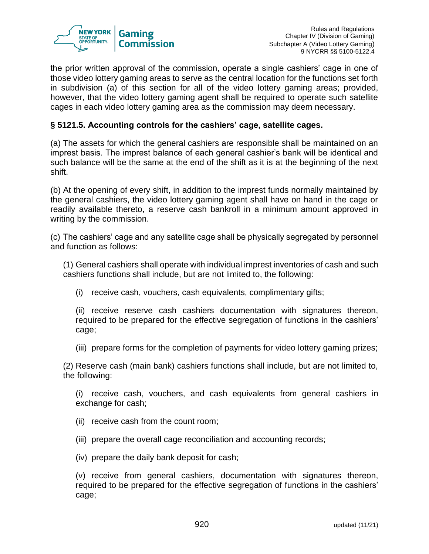

the prior written approval of the commission, operate a single cashiers' cage in one of those video lottery gaming areas to serve as the central location for the functions set forth in subdivision (a) of this section for all of the video lottery gaming areas; provided, however, that the video lottery gaming agent shall be required to operate such satellite cages in each video lottery gaming area as the commission may deem necessary.

## **§ 5121.5. Accounting controls for the cashiers' cage, satellite cages.**

(a) The assets for which the general cashiers are responsible shall be maintained on an imprest basis. The imprest balance of each general cashier's bank will be identical and such balance will be the same at the end of the shift as it is at the beginning of the next shift.

(b) At the opening of every shift, in addition to the imprest funds normally maintained by the general cashiers, the video lottery gaming agent shall have on hand in the cage or readily available thereto, a reserve cash bankroll in a minimum amount approved in writing by the commission.

(c) The cashiers' cage and any satellite cage shall be physically segregated by personnel and function as follows:

(1) General cashiers shall operate with individual imprest inventories of cash and such cashiers functions shall include, but are not limited to, the following:

(i) receive cash, vouchers, cash equivalents, complimentary gifts;

(ii) receive reserve cash cashiers documentation with signatures thereon, required to be prepared for the effective segregation of functions in the cashiers' cage;

(iii) prepare forms for the completion of payments for video lottery gaming prizes;

(2) Reserve cash (main bank) cashiers functions shall include, but are not limited to, the following:

(i) receive cash, vouchers, and cash equivalents from general cashiers in exchange for cash;

- (ii) receive cash from the count room;
- (iii) prepare the overall cage reconciliation and accounting records;
- (iv) prepare the daily bank deposit for cash;

(v) receive from general cashiers, documentation with signatures thereon, required to be prepared for the effective segregation of functions in the cashiers' cage;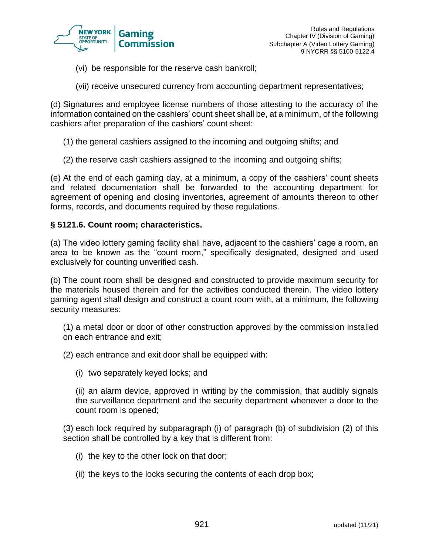

- (vi) be responsible for the reserve cash bankroll;
- (vii) receive unsecured currency from accounting department representatives;

(d) Signatures and employee license numbers of those attesting to the accuracy of the information contained on the cashiers' count sheet shall be, at a minimum, of the following cashiers after preparation of the cashiers' count sheet:

- (1) the general cashiers assigned to the incoming and outgoing shifts; and
- (2) the reserve cash cashiers assigned to the incoming and outgoing shifts;

(e) At the end of each gaming day, at a minimum, a copy of the cashiers' count sheets and related documentation shall be forwarded to the accounting department for agreement of opening and closing inventories, agreement of amounts thereon to other forms, records, and documents required by these regulations.

#### **§ 5121.6. Count room; characteristics.**

(a) The video lottery gaming facility shall have, adjacent to the cashiers' cage a room, an area to be known as the "count room," specifically designated, designed and used exclusively for counting unverified cash.

(b) The count room shall be designed and constructed to provide maximum security for the materials housed therein and for the activities conducted therein. The video lottery gaming agent shall design and construct a count room with, at a minimum, the following security measures:

(1) a metal door or door of other construction approved by the commission installed on each entrance and exit;

- (2) each entrance and exit door shall be equipped with:
	- (i) two separately keyed locks; and

(ii) an alarm device, approved in writing by the commission, that audibly signals the surveillance department and the security department whenever a door to the count room is opened;

(3) each lock required by subparagraph (i) of paragraph (b) of subdivision (2) of this section shall be controlled by a key that is different from:

- (i) the key to the other lock on that door;
- (ii) the keys to the locks securing the contents of each drop box;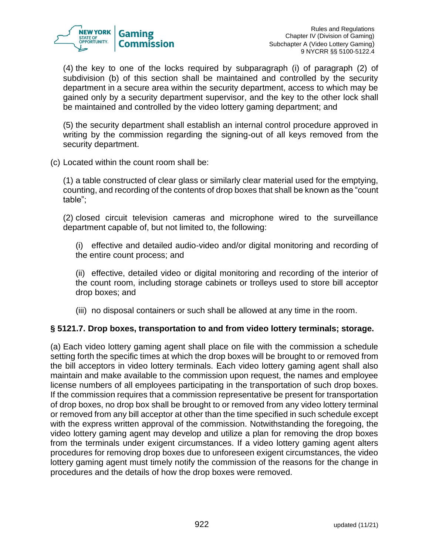

(4) the key to one of the locks required by subparagraph (i) of paragraph (2) of subdivision (b) of this section shall be maintained and controlled by the security department in a secure area within the security department, access to which may be gained only by a security department supervisor, and the key to the other lock shall be maintained and controlled by the video lottery gaming department; and

(5) the security department shall establish an internal control procedure approved in writing by the commission regarding the signing-out of all keys removed from the security department.

(c) Located within the count room shall be:

(1) a table constructed of clear glass or similarly clear material used for the emptying, counting, and recording of the contents of drop boxes that shall be known as the "count table";

(2) closed circuit television cameras and microphone wired to the surveillance department capable of, but not limited to, the following:

(i) effective and detailed audio-video and/or digital monitoring and recording of the entire count process; and

(ii) effective, detailed video or digital monitoring and recording of the interior of the count room, including storage cabinets or trolleys used to store bill acceptor drop boxes; and

(iii) no disposal containers or such shall be allowed at any time in the room.

## **§ 5121.7. Drop boxes, transportation to and from video lottery terminals; storage.**

(a) Each video lottery gaming agent shall place on file with the commission a schedule setting forth the specific times at which the drop boxes will be brought to or removed from the bill acceptors in video lottery terminals. Each video lottery gaming agent shall also maintain and make available to the commission upon request, the names and employee license numbers of all employees participating in the transportation of such drop boxes. If the commission requires that a commission representative be present for transportation of drop boxes, no drop box shall be brought to or removed from any video lottery terminal or removed from any bill acceptor at other than the time specified in such schedule except with the express written approval of the commission. Notwithstanding the foregoing, the video lottery gaming agent may develop and utilize a plan for removing the drop boxes from the terminals under exigent circumstances. If a video lottery gaming agent alters procedures for removing drop boxes due to unforeseen exigent circumstances, the video lottery gaming agent must timely notify the commission of the reasons for the change in procedures and the details of how the drop boxes were removed.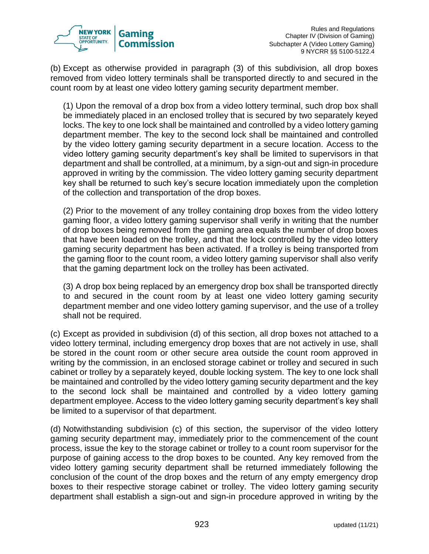

(b) Except as otherwise provided in paragraph (3) of this subdivision, all drop boxes removed from video lottery terminals shall be transported directly to and secured in the count room by at least one video lottery gaming security department member.

(1) Upon the removal of a drop box from a video lottery terminal, such drop box shall be immediately placed in an enclosed trolley that is secured by two separately keyed locks. The key to one lock shall be maintained and controlled by a video lottery gaming department member. The key to the second lock shall be maintained and controlled by the video lottery gaming security department in a secure location. Access to the video lottery gaming security department's key shall be limited to supervisors in that department and shall be controlled, at a minimum, by a sign-out and sign-in procedure approved in writing by the commission. The video lottery gaming security department key shall be returned to such key's secure location immediately upon the completion of the collection and transportation of the drop boxes.

(2) Prior to the movement of any trolley containing drop boxes from the video lottery gaming floor, a video lottery gaming supervisor shall verify in writing that the number of drop boxes being removed from the gaming area equals the number of drop boxes that have been loaded on the trolley, and that the lock controlled by the video lottery gaming security department has been activated. If a trolley is being transported from the gaming floor to the count room, a video lottery gaming supervisor shall also verify that the gaming department lock on the trolley has been activated.

(3) A drop box being replaced by an emergency drop box shall be transported directly to and secured in the count room by at least one video lottery gaming security department member and one video lottery gaming supervisor, and the use of a trolley shall not be required.

(c) Except as provided in subdivision (d) of this section, all drop boxes not attached to a video lottery terminal, including emergency drop boxes that are not actively in use, shall be stored in the count room or other secure area outside the count room approved in writing by the commission, in an enclosed storage cabinet or trolley and secured in such cabinet or trolley by a separately keyed, double locking system. The key to one lock shall be maintained and controlled by the video lottery gaming security department and the key to the second lock shall be maintained and controlled by a video lottery gaming department employee. Access to the video lottery gaming security department's key shall be limited to a supervisor of that department.

(d) Notwithstanding subdivision (c) of this section, the supervisor of the video lottery gaming security department may, immediately prior to the commencement of the count process, issue the key to the storage cabinet or trolley to a count room supervisor for the purpose of gaining access to the drop boxes to be counted. Any key removed from the video lottery gaming security department shall be returned immediately following the conclusion of the count of the drop boxes and the return of any empty emergency drop boxes to their respective storage cabinet or trolley. The video lottery gaming security department shall establish a sign-out and sign-in procedure approved in writing by the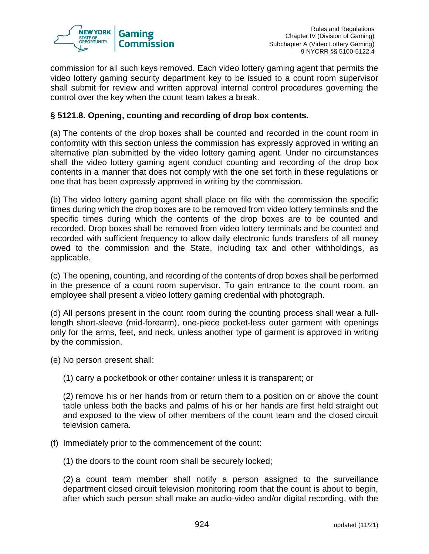

commission for all such keys removed. Each video lottery gaming agent that permits the video lottery gaming security department key to be issued to a count room supervisor shall submit for review and written approval internal control procedures governing the control over the key when the count team takes a break.

## **§ 5121.8. Opening, counting and recording of drop box contents.**

(a) The contents of the drop boxes shall be counted and recorded in the count room in conformity with this section unless the commission has expressly approved in writing an alternative plan submitted by the video lottery gaming agent. Under no circumstances shall the video lottery gaming agent conduct counting and recording of the drop box contents in a manner that does not comply with the one set forth in these regulations or one that has been expressly approved in writing by the commission.

(b) The video lottery gaming agent shall place on file with the commission the specific times during which the drop boxes are to be removed from video lottery terminals and the specific times during which the contents of the drop boxes are to be counted and recorded. Drop boxes shall be removed from video lottery terminals and be counted and recorded with sufficient frequency to allow daily electronic funds transfers of all money owed to the commission and the State, including tax and other withholdings, as applicable.

(c) The opening, counting, and recording of the contents of drop boxes shall be performed in the presence of a count room supervisor. To gain entrance to the count room, an employee shall present a video lottery gaming credential with photograph.

(d) All persons present in the count room during the counting process shall wear a fulllength short-sleeve (mid-forearm), one-piece pocket-less outer garment with openings only for the arms, feet, and neck, unless another type of garment is approved in writing by the commission.

(e) No person present shall:

(1) carry a pocketbook or other container unless it is transparent; or

(2) remove his or her hands from or return them to a position on or above the count table unless both the backs and palms of his or her hands are first held straight out and exposed to the view of other members of the count team and the closed circuit television camera.

(f) Immediately prior to the commencement of the count:

(1) the doors to the count room shall be securely locked;

(2) a count team member shall notify a person assigned to the surveillance department closed circuit television monitoring room that the count is about to begin, after which such person shall make an audio-video and/or digital recording, with the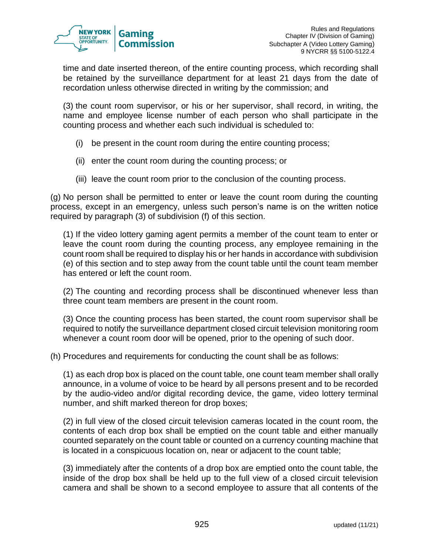

time and date inserted thereon, of the entire counting process, which recording shall be retained by the surveillance department for at least 21 days from the date of recordation unless otherwise directed in writing by the commission; and

(3) the count room supervisor, or his or her supervisor, shall record, in writing, the name and employee license number of each person who shall participate in the counting process and whether each such individual is scheduled to:

- (i) be present in the count room during the entire counting process;
- (ii) enter the count room during the counting process; or
- (iii) leave the count room prior to the conclusion of the counting process.

(g) No person shall be permitted to enter or leave the count room during the counting process, except in an emergency, unless such person's name is on the written notice required by paragraph (3) of subdivision (f) of this section.

(1) If the video lottery gaming agent permits a member of the count team to enter or leave the count room during the counting process, any employee remaining in the count room shall be required to display his or her hands in accordance with subdivision (e) of this section and to step away from the count table until the count team member has entered or left the count room.

(2) The counting and recording process shall be discontinued whenever less than three count team members are present in the count room.

(3) Once the counting process has been started, the count room supervisor shall be required to notify the surveillance department closed circuit television monitoring room whenever a count room door will be opened, prior to the opening of such door.

(h) Procedures and requirements for conducting the count shall be as follows:

(1) as each drop box is placed on the count table, one count team member shall orally announce, in a volume of voice to be heard by all persons present and to be recorded by the audio-video and/or digital recording device, the game, video lottery terminal number, and shift marked thereon for drop boxes;

(2) in full view of the closed circuit television cameras located in the count room, the contents of each drop box shall be emptied on the count table and either manually counted separately on the count table or counted on a currency counting machine that is located in a conspicuous location on, near or adjacent to the count table;

(3) immediately after the contents of a drop box are emptied onto the count table, the inside of the drop box shall be held up to the full view of a closed circuit television camera and shall be shown to a second employee to assure that all contents of the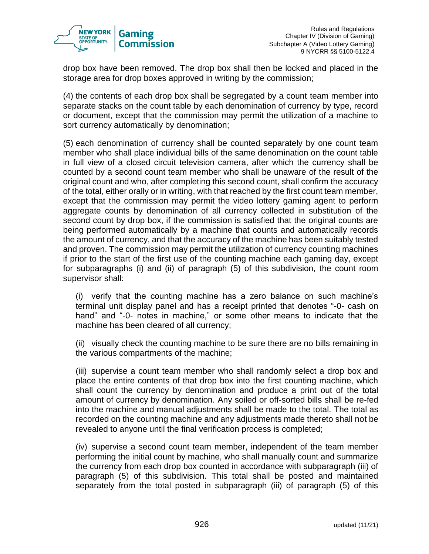

drop box have been removed. The drop box shall then be locked and placed in the storage area for drop boxes approved in writing by the commission;

(4) the contents of each drop box shall be segregated by a count team member into separate stacks on the count table by each denomination of currency by type, record or document, except that the commission may permit the utilization of a machine to sort currency automatically by denomination;

(5) each denomination of currency shall be counted separately by one count team member who shall place individual bills of the same denomination on the count table in full view of a closed circuit television camera, after which the currency shall be counted by a second count team member who shall be unaware of the result of the original count and who, after completing this second count, shall confirm the accuracy of the total, either orally or in writing, with that reached by the first count team member, except that the commission may permit the video lottery gaming agent to perform aggregate counts by denomination of all currency collected in substitution of the second count by drop box, if the commission is satisfied that the original counts are being performed automatically by a machine that counts and automatically records the amount of currency, and that the accuracy of the machine has been suitably tested and proven. The commission may permit the utilization of currency counting machines if prior to the start of the first use of the counting machine each gaming day, except for subparagraphs (i) and (ii) of paragraph (5) of this subdivision, the count room supervisor shall:

(i) verify that the counting machine has a zero balance on such machine's terminal unit display panel and has a receipt printed that denotes "-0- cash on hand" and "-0- notes in machine," or some other means to indicate that the machine has been cleared of all currency;

(ii) visually check the counting machine to be sure there are no bills remaining in the various compartments of the machine;

(iii) supervise a count team member who shall randomly select a drop box and place the entire contents of that drop box into the first counting machine, which shall count the currency by denomination and produce a print out of the total amount of currency by denomination. Any soiled or off-sorted bills shall be re-fed into the machine and manual adjustments shall be made to the total. The total as recorded on the counting machine and any adjustments made thereto shall not be revealed to anyone until the final verification process is completed;

(iv) supervise a second count team member, independent of the team member performing the initial count by machine, who shall manually count and summarize the currency from each drop box counted in accordance with subparagraph (iii) of paragraph (5) of this subdivision. This total shall be posted and maintained separately from the total posted in subparagraph (iii) of paragraph (5) of this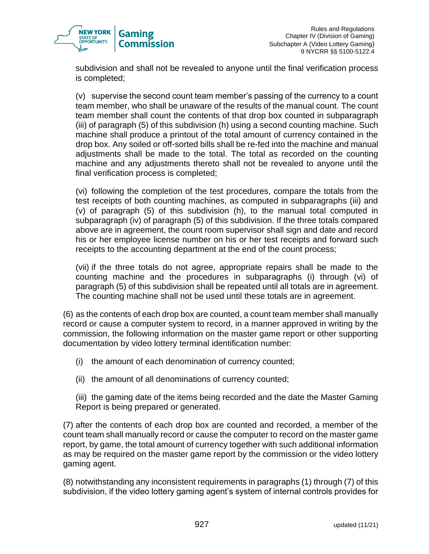

subdivision and shall not be revealed to anyone until the final verification process is completed;

(v) supervise the second count team member's passing of the currency to a count team member, who shall be unaware of the results of the manual count. The count team member shall count the contents of that drop box counted in subparagraph (iii) of paragraph (5) of this subdivision (h) using a second counting machine. Such machine shall produce a printout of the total amount of currency contained in the drop box. Any soiled or off-sorted bills shall be re-fed into the machine and manual adjustments shall be made to the total. The total as recorded on the counting machine and any adjustments thereto shall not be revealed to anyone until the final verification process is completed;

(vi) following the completion of the test procedures, compare the totals from the test receipts of both counting machines, as computed in subparagraphs (iii) and (v) of paragraph (5) of this subdivision (h), to the manual total computed in subparagraph (iv) of paragraph (5) of this subdivision. If the three totals compared above are in agreement, the count room supervisor shall sign and date and record his or her employee license number on his or her test receipts and forward such receipts to the accounting department at the end of the count process;

(vii) if the three totals do not agree, appropriate repairs shall be made to the counting machine and the procedures in subparagraphs (i) through (vi) of paragraph (5) of this subdivision shall be repeated until all totals are in agreement. The counting machine shall not be used until these totals are in agreement.

(6) as the contents of each drop box are counted, a count team member shall manually record or cause a computer system to record, in a manner approved in writing by the commission, the following information on the master game report or other supporting documentation by video lottery terminal identification number:

- (i) the amount of each denomination of currency counted;
- (ii) the amount of all denominations of currency counted;

(iii) the gaming date of the items being recorded and the date the Master Gaming Report is being prepared or generated.

(7) after the contents of each drop box are counted and recorded, a member of the count team shall manually record or cause the computer to record on the master game report, by game, the total amount of currency together with such additional information as may be required on the master game report by the commission or the video lottery gaming agent.

(8) notwithstanding any inconsistent requirements in paragraphs (1) through (7) of this subdivision, if the video lottery gaming agent's system of internal controls provides for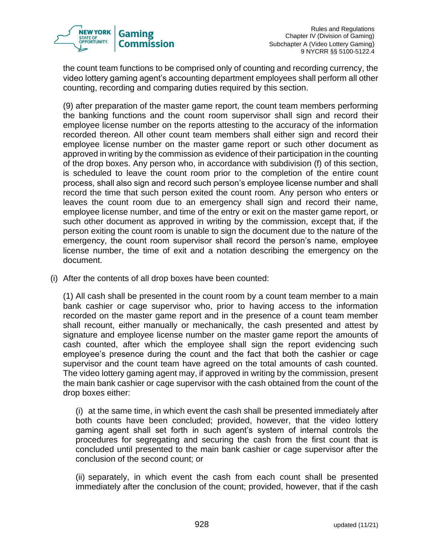

the count team functions to be comprised only of counting and recording currency, the video lottery gaming agent's accounting department employees shall perform all other counting, recording and comparing duties required by this section.

(9) after preparation of the master game report, the count team members performing the banking functions and the count room supervisor shall sign and record their employee license number on the reports attesting to the accuracy of the information recorded thereon. All other count team members shall either sign and record their employee license number on the master game report or such other document as approved in writing by the commission as evidence of their participation in the counting of the drop boxes. Any person who, in accordance with subdivision (f) of this section, is scheduled to leave the count room prior to the completion of the entire count process, shall also sign and record such person's employee license number and shall record the time that such person exited the count room. Any person who enters or leaves the count room due to an emergency shall sign and record their name, employee license number, and time of the entry or exit on the master game report, or such other document as approved in writing by the commission, except that, if the person exiting the count room is unable to sign the document due to the nature of the emergency, the count room supervisor shall record the person's name, employee license number, the time of exit and a notation describing the emergency on the document.

(i) After the contents of all drop boxes have been counted:

(1) All cash shall be presented in the count room by a count team member to a main bank cashier or cage supervisor who, prior to having access to the information recorded on the master game report and in the presence of a count team member shall recount, either manually or mechanically, the cash presented and attest by signature and employee license number on the master game report the amounts of cash counted, after which the employee shall sign the report evidencing such employee's presence during the count and the fact that both the cashier or cage supervisor and the count team have agreed on the total amounts of cash counted. The video lottery gaming agent may, if approved in writing by the commission, present the main bank cashier or cage supervisor with the cash obtained from the count of the drop boxes either:

(i) at the same time, in which event the cash shall be presented immediately after both counts have been concluded; provided, however, that the video lottery gaming agent shall set forth in such agent's system of internal controls the procedures for segregating and securing the cash from the first count that is concluded until presented to the main bank cashier or cage supervisor after the conclusion of the second count; or

(ii) separately, in which event the cash from each count shall be presented immediately after the conclusion of the count; provided, however, that if the cash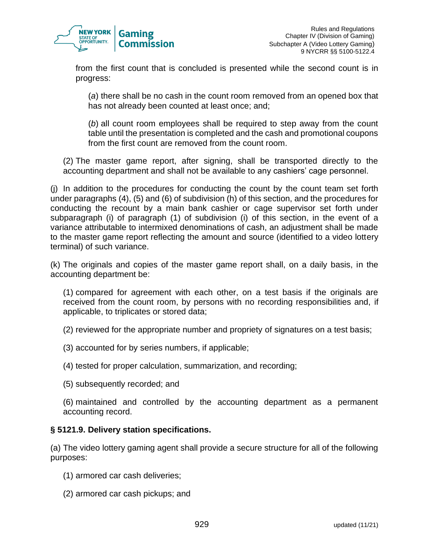

from the first count that is concluded is presented while the second count is in progress:

(*a*) there shall be no cash in the count room removed from an opened box that has not already been counted at least once; and;

(*b*) all count room employees shall be required to step away from the count table until the presentation is completed and the cash and promotional coupons from the first count are removed from the count room.

(2) The master game report, after signing, shall be transported directly to the accounting department and shall not be available to any cashiers' cage personnel.

(j) In addition to the procedures for conducting the count by the count team set forth under paragraphs (4), (5) and (6) of subdivision (h) of this section, and the procedures for conducting the recount by a main bank cashier or cage supervisor set forth under subparagraph (i) of paragraph (1) of subdivision (i) of this section, in the event of a variance attributable to intermixed denominations of cash, an adjustment shall be made to the master game report reflecting the amount and source (identified to a video lottery terminal) of such variance.

(k) The originals and copies of the master game report shall, on a daily basis, in the accounting department be:

(1) compared for agreement with each other, on a test basis if the originals are received from the count room, by persons with no recording responsibilities and, if applicable, to triplicates or stored data;

- (2) reviewed for the appropriate number and propriety of signatures on a test basis;
- (3) accounted for by series numbers, if applicable;
- (4) tested for proper calculation, summarization, and recording;
- (5) subsequently recorded; and

(6) maintained and controlled by the accounting department as a permanent accounting record.

# **§ 5121.9. Delivery station specifications.**

(a) The video lottery gaming agent shall provide a secure structure for all of the following purposes:

- (1) armored car cash deliveries;
- (2) armored car cash pickups; and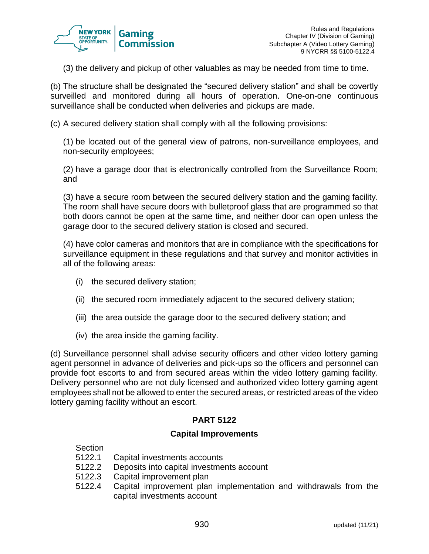

(3) the delivery and pickup of other valuables as may be needed from time to time.

(b) The structure shall be designated the "secured delivery station" and shall be covertly surveilled and monitored during all hours of operation. One-on-one continuous surveillance shall be conducted when deliveries and pickups are made.

(c) A secured delivery station shall comply with all the following provisions:

(1) be located out of the general view of patrons, non-surveillance employees, and non-security employees;

(2) have a garage door that is electronically controlled from the Surveillance Room; and

(3) have a secure room between the secured delivery station and the gaming facility. The room shall have secure doors with bulletproof glass that are programmed so that both doors cannot be open at the same time, and neither door can open unless the garage door to the secured delivery station is closed and secured.

(4) have color cameras and monitors that are in compliance with the specifications for surveillance equipment in these regulations and that survey and monitor activities in all of the following areas:

- (i) the secured delivery station;
- (ii) the secured room immediately adjacent to the secured delivery station;
- (iii) the area outside the garage door to the secured delivery station; and
- (iv) the area inside the gaming facility.

(d) Surveillance personnel shall advise security officers and other video lottery gaming agent personnel in advance of deliveries and pick-ups so the officers and personnel can provide foot escorts to and from secured areas within the video lottery gaming facility. Delivery personnel who are not duly licensed and authorized video lottery gaming agent employees shall not be allowed to enter the secured areas, or restricted areas of the video lottery gaming facility without an escort.

# **PART 5122**

### **Capital Improvements**

Section

- 5122.1 Capital investments accounts
- 5122.2 Deposits into capital investments account
- 5122.3 Capital improvement plan
- 5122.4 Capital improvement plan implementation and withdrawals from the capital investments account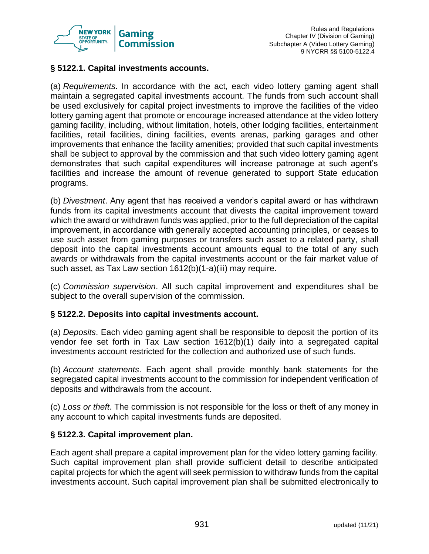

# **§ 5122.1. Capital investments accounts.**

(a) *Requirements*. In accordance with the act, each video lottery gaming agent shall maintain a segregated capital investments account. The funds from such account shall be used exclusively for capital project investments to improve the facilities of the video lottery gaming agent that promote or encourage increased attendance at the video lottery gaming facility, including, without limitation, hotels, other lodging facilities, entertainment facilities, retail facilities, dining facilities, events arenas, parking garages and other improvements that enhance the facility amenities; provided that such capital investments shall be subject to approval by the commission and that such video lottery gaming agent demonstrates that such capital expenditures will increase patronage at such agent's facilities and increase the amount of revenue generated to support State education programs.

(b) *Divestment*. Any agent that has received a vendor's capital award or has withdrawn funds from its capital investments account that divests the capital improvement toward which the award or withdrawn funds was applied, prior to the full depreciation of the capital improvement, in accordance with generally accepted accounting principles, or ceases to use such asset from gaming purposes or transfers such asset to a related party, shall deposit into the capital investments account amounts equal to the total of any such awards or withdrawals from the capital investments account or the fair market value of such asset, as Tax Law section 1612(b)(1-a)(iii) may require.

(c) *Commission supervision*. All such capital improvement and expenditures shall be subject to the overall supervision of the commission.

# **§ 5122.2. Deposits into capital investments account.**

(a) *Deposits*. Each video gaming agent shall be responsible to deposit the portion of its vendor fee set forth in Tax Law section 1612(b)(1) daily into a segregated capital investments account restricted for the collection and authorized use of such funds.

(b) *Account statements*. Each agent shall provide monthly bank statements for the segregated capital investments account to the commission for independent verification of deposits and withdrawals from the account.

(c) *Loss or theft*. The commission is not responsible for the loss or theft of any money in any account to which capital investments funds are deposited.

### **§ 5122.3. Capital improvement plan.**

Each agent shall prepare a capital improvement plan for the video lottery gaming facility. Such capital improvement plan shall provide sufficient detail to describe anticipated capital projects for which the agent will seek permission to withdraw funds from the capital investments account. Such capital improvement plan shall be submitted electronically to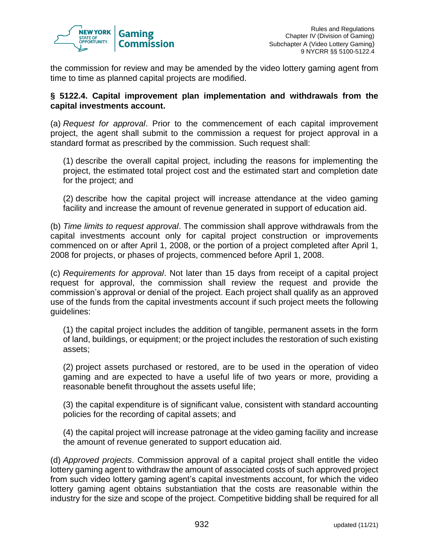

the commission for review and may be amended by the video lottery gaming agent from time to time as planned capital projects are modified.

### **§ 5122.4. Capital improvement plan implementation and withdrawals from the capital investments account.**

(a) *Request for approval*. Prior to the commencement of each capital improvement project, the agent shall submit to the commission a request for project approval in a standard format as prescribed by the commission. Such request shall:

(1) describe the overall capital project, including the reasons for implementing the project, the estimated total project cost and the estimated start and completion date for the project; and

(2) describe how the capital project will increase attendance at the video gaming facility and increase the amount of revenue generated in support of education aid.

(b) *Time limits to request approval*. The commission shall approve withdrawals from the capital investments account only for capital project construction or improvements commenced on or after April 1, 2008, or the portion of a project completed after April 1, 2008 for projects, or phases of projects, commenced before April 1, 2008.

(c) *Requirements for approval*. Not later than 15 days from receipt of a capital project request for approval, the commission shall review the request and provide the commission's approval or denial of the project. Each project shall qualify as an approved use of the funds from the capital investments account if such project meets the following guidelines:

(1) the capital project includes the addition of tangible, permanent assets in the form of land, buildings, or equipment; or the project includes the restoration of such existing assets;

(2) project assets purchased or restored, are to be used in the operation of video gaming and are expected to have a useful life of two years or more, providing a reasonable benefit throughout the assets useful life;

(3) the capital expenditure is of significant value, consistent with standard accounting policies for the recording of capital assets; and

(4) the capital project will increase patronage at the video gaming facility and increase the amount of revenue generated to support education aid.

(d) *Approved projects*. Commission approval of a capital project shall entitle the video lottery gaming agent to withdraw the amount of associated costs of such approved project from such video lottery gaming agent's capital investments account, for which the video lottery gaming agent obtains substantiation that the costs are reasonable within the industry for the size and scope of the project. Competitive bidding shall be required for all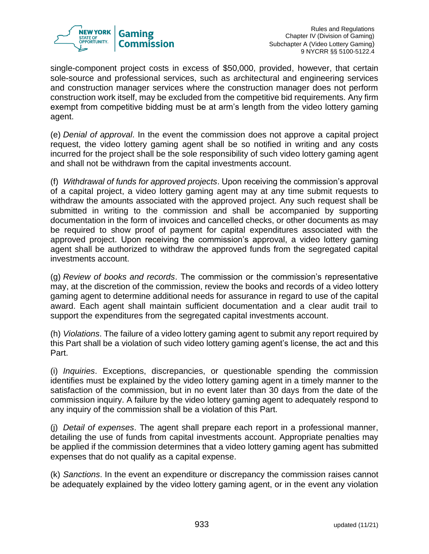

single-component project costs in excess of \$50,000, provided, however, that certain sole-source and professional services, such as architectural and engineering services and construction manager services where the construction manager does not perform construction work itself, may be excluded from the competitive bid requirements. Any firm exempt from competitive bidding must be at arm's length from the video lottery gaming agent.

(e) *Denial of approval*. In the event the commission does not approve a capital project request, the video lottery gaming agent shall be so notified in writing and any costs incurred for the project shall be the sole responsibility of such video lottery gaming agent and shall not be withdrawn from the capital investments account.

(f) *Withdrawal of funds for approved projects*. Upon receiving the commission's approval of a capital project, a video lottery gaming agent may at any time submit requests to withdraw the amounts associated with the approved project. Any such request shall be submitted in writing to the commission and shall be accompanied by supporting documentation in the form of invoices and cancelled checks, or other documents as may be required to show proof of payment for capital expenditures associated with the approved project. Upon receiving the commission's approval, a video lottery gaming agent shall be authorized to withdraw the approved funds from the segregated capital investments account.

(g) *Review of books and records*. The commission or the commission's representative may, at the discretion of the commission, review the books and records of a video lottery gaming agent to determine additional needs for assurance in regard to use of the capital award. Each agent shall maintain sufficient documentation and a clear audit trail to support the expenditures from the segregated capital investments account.

(h) *Violations*. The failure of a video lottery gaming agent to submit any report required by this Part shall be a violation of such video lottery gaming agent's license, the act and this Part.

(i) *Inquiries*. Exceptions, discrepancies, or questionable spending the commission identifies must be explained by the video lottery gaming agent in a timely manner to the satisfaction of the commission, but in no event later than 30 days from the date of the commission inquiry. A failure by the video lottery gaming agent to adequately respond to any inquiry of the commission shall be a violation of this Part.

(j) *Detail of expenses*. The agent shall prepare each report in a professional manner, detailing the use of funds from capital investments account. Appropriate penalties may be applied if the commission determines that a video lottery gaming agent has submitted expenses that do not qualify as a capital expense.

(k) *Sanctions*. In the event an expenditure or discrepancy the commission raises cannot be adequately explained by the video lottery gaming agent, or in the event any violation